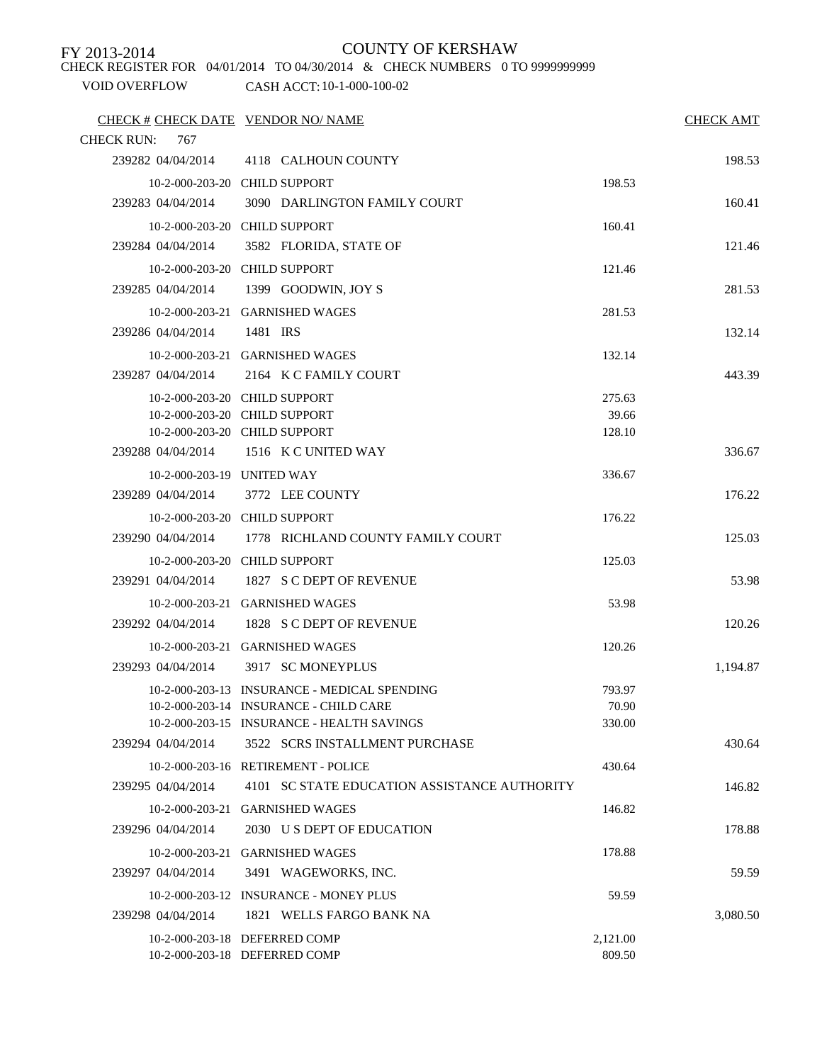CHECK REGISTER FOR 04/01/2014 TO 04/30/2014 & CHECK NUMBERS 0 TO 9999999999

| CHECK # CHECK DATE VENDOR NO/ NAME<br><b>CHECK RUN:</b><br>767 |                                                                |                    | <b>CHECK AMT</b> |
|----------------------------------------------------------------|----------------------------------------------------------------|--------------------|------------------|
|                                                                | 239282 04/04/2014 4118 CALHOUN COUNTY                          |                    | 198.53           |
|                                                                | 10-2-000-203-20 CHILD SUPPORT                                  | 198.53             |                  |
| 239283 04/04/2014                                              | 3090 DARLINGTON FAMILY COURT                                   |                    | 160.41           |
|                                                                | 10-2-000-203-20 CHILD SUPPORT                                  | 160.41             |                  |
| 239284 04/04/2014                                              | 3582 FLORIDA, STATE OF                                         |                    | 121.46           |
|                                                                | 10-2-000-203-20 CHILD SUPPORT                                  | 121.46             |                  |
| 239285 04/04/2014                                              | 1399 GOODWIN, JOY S                                            |                    | 281.53           |
|                                                                | 10-2-000-203-21 GARNISHED WAGES                                | 281.53             |                  |
| 239286 04/04/2014                                              | 1481 IRS                                                       |                    | 132.14           |
|                                                                | 10-2-000-203-21 GARNISHED WAGES                                | 132.14             |                  |
| 239287 04/04/2014                                              | 2164 K C FAMILY COURT                                          |                    | 443.39           |
|                                                                | 10-2-000-203-20 CHILD SUPPORT                                  | 275.63             |                  |
|                                                                | 10-2-000-203-20 CHILD SUPPORT                                  | 39.66              |                  |
|                                                                | 10-2-000-203-20 CHILD SUPPORT                                  | 128.10             |                  |
|                                                                | 239288 04/04/2014 1516 K C UNITED WAY                          |                    | 336.67           |
| 10-2-000-203-19 UNITED WAY                                     |                                                                | 336.67             |                  |
| 239289 04/04/2014                                              | 3772 LEE COUNTY                                                |                    | 176.22           |
|                                                                | 10-2-000-203-20 CHILD SUPPORT                                  | 176.22             |                  |
| 239290 04/04/2014                                              | 1778 RICHLAND COUNTY FAMILY COURT                              |                    | 125.03           |
|                                                                | 10-2-000-203-20 CHILD SUPPORT                                  | 125.03             |                  |
| 239291 04/04/2014                                              | 1827 S C DEPT OF REVENUE                                       |                    | 53.98            |
|                                                                | 10-2-000-203-21 GARNISHED WAGES                                | 53.98              |                  |
|                                                                | 239292 04/04/2014 1828 S C DEPT OF REVENUE                     |                    | 120.26           |
|                                                                | 10-2-000-203-21 GARNISHED WAGES                                | 120.26             |                  |
|                                                                | 239293 04/04/2014 3917 SC MONEYPLUS                            |                    | 1,194.87         |
|                                                                | 10-2-000-203-13 INSURANCE - MEDICAL SPENDING                   | 793.97             |                  |
|                                                                | 10-2-000-203-14 INSURANCE - CHILD CARE                         | 70.90              |                  |
|                                                                | 10-2-000-203-15 INSURANCE - HEALTH SAVINGS                     | 330.00             |                  |
| 239294 04/04/2014                                              | 3522 SCRS INSTALLMENT PURCHASE                                 |                    | 430.64           |
|                                                                | 10-2-000-203-16 RETIREMENT - POLICE                            | 430.64             |                  |
| 239295 04/04/2014                                              | 4101 SC STATE EDUCATION ASSISTANCE AUTHORITY                   |                    | 146.82           |
|                                                                | 10-2-000-203-21 GARNISHED WAGES                                | 146.82             |                  |
| 239296 04/04/2014                                              | 2030 U S DEPT OF EDUCATION                                     |                    | 178.88           |
|                                                                | 10-2-000-203-21 GARNISHED WAGES                                | 178.88             |                  |
| 239297 04/04/2014                                              | 3491 WAGEWORKS, INC.                                           |                    | 59.59            |
|                                                                | 10-2-000-203-12 INSURANCE - MONEY PLUS                         | 59.59              |                  |
| 239298 04/04/2014                                              | 1821 WELLS FARGO BANK NA                                       |                    | 3,080.50         |
|                                                                | 10-2-000-203-18 DEFERRED COMP<br>10-2-000-203-18 DEFERRED COMP | 2,121.00<br>809.50 |                  |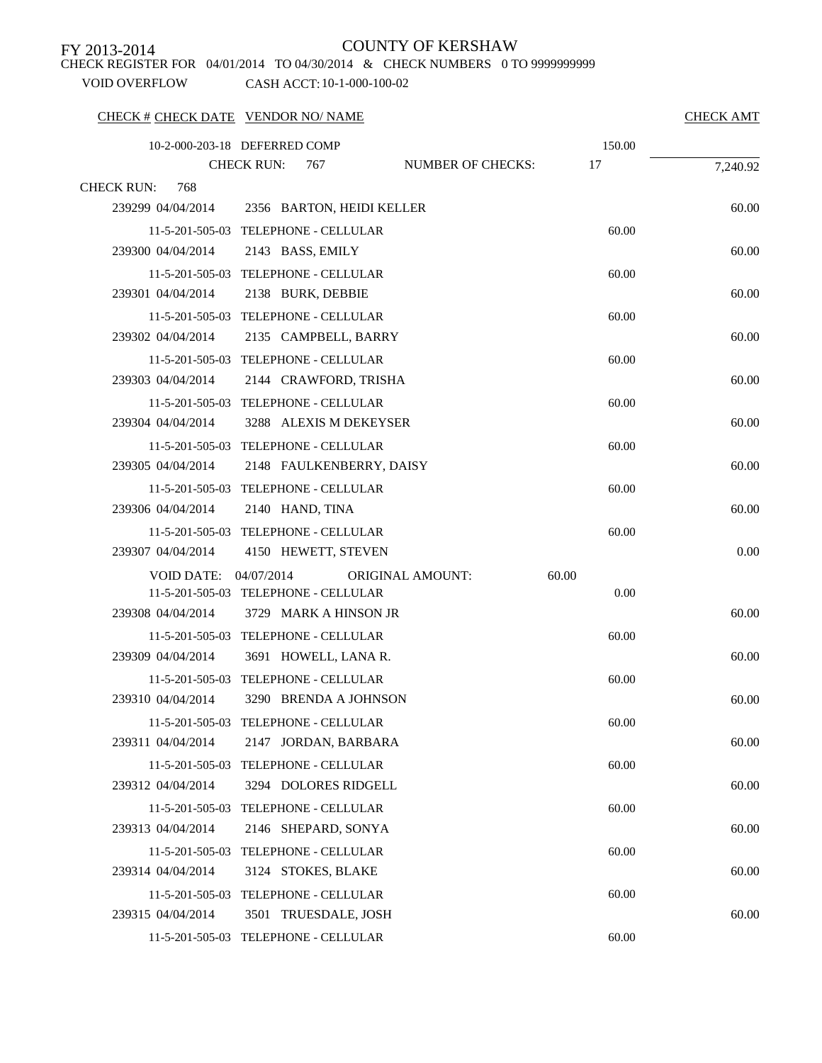CHECK REGISTER FOR 04/01/2014 TO 04/30/2014 & CHECK NUMBERS 0 TO 9999999999

VOID OVERFLOW CASH ACCT: 10-1-000-100-02

### CHECK # CHECK DATE VENDOR NO/ NAME CHECK AMT

|                           | 10-2-000-203-18 DEFERRED COMP        |                          | 150.00 |          |
|---------------------------|--------------------------------------|--------------------------|--------|----------|
|                           | <b>CHECK RUN:</b><br>767             | <b>NUMBER OF CHECKS:</b> | 17     | 7,240.92 |
| 768<br><b>CHECK RUN:</b>  |                                      |                          |        |          |
| 239299 04/04/2014         | 2356 BARTON, HEIDI KELLER            |                          |        | 60.00    |
|                           | 11-5-201-505-03 TELEPHONE - CELLULAR |                          | 60.00  |          |
| 239300 04/04/2014         | 2143 BASS, EMILY                     |                          |        | 60.00    |
|                           | 11-5-201-505-03 TELEPHONE - CELLULAR |                          | 60.00  |          |
| 239301 04/04/2014         | 2138 BURK, DEBBIE                    |                          |        | 60.00    |
|                           | 11-5-201-505-03 TELEPHONE - CELLULAR |                          | 60.00  |          |
| 239302 04/04/2014         | 2135 CAMPBELL, BARRY                 |                          |        | 60.00    |
|                           | 11-5-201-505-03 TELEPHONE - CELLULAR |                          | 60.00  |          |
| 239303 04/04/2014         | 2144 CRAWFORD, TRISHA                |                          |        | 60.00    |
|                           | 11-5-201-505-03 TELEPHONE - CELLULAR |                          | 60.00  |          |
| 239304 04/04/2014         | 3288 ALEXIS M DEKEYSER               |                          |        | 60.00    |
|                           | 11-5-201-505-03 TELEPHONE - CELLULAR |                          | 60.00  |          |
| 239305 04/04/2014         | 2148 FAULKENBERRY, DAISY             |                          |        | 60.00    |
|                           | 11-5-201-505-03 TELEPHONE - CELLULAR |                          | 60.00  |          |
| 239306 04/04/2014         | 2140 HAND, TINA                      |                          |        | 60.00    |
|                           | 11-5-201-505-03 TELEPHONE - CELLULAR |                          | 60.00  |          |
| 239307 04/04/2014         | 4150 HEWETT, STEVEN                  |                          |        | 0.00     |
| VOID DATE:                | 04/07/2014                           | <b>ORIGINAL AMOUNT:</b>  | 60.00  |          |
|                           | 11-5-201-505-03 TELEPHONE - CELLULAR |                          | 0.00   |          |
| 239308 04/04/2014         | 3729 MARK A HINSON JR                |                          |        | 60.00    |
|                           | 11-5-201-505-03 TELEPHONE - CELLULAR |                          | 60.00  |          |
| 239309 04/04/2014         | 3691 HOWELL, LANA R.                 |                          |        | 60.00    |
|                           | 11-5-201-505-03 TELEPHONE - CELLULAR |                          | 60.00  |          |
| 239310 04/04/2014         | 3290 BRENDA A JOHNSON                |                          |        | 60.00    |
|                           | 11-5-201-505-03 TELEPHONE - CELLULAR |                          | 60.00  |          |
| 239311 04/04/2014         | 2147 JORDAN, BARBARA                 |                          |        | 60.00    |
| $11 - 5 - 201 - 505 - 03$ | TELEPHONE - CELLULAR                 |                          | 60.00  |          |
| 239312 04/04/2014         | 3294 DOLORES RIDGELL                 |                          |        | 60.00    |
| 11-5-201-505-03           | TELEPHONE - CELLULAR                 |                          | 60.00  |          |
| 239313 04/04/2014         | 2146 SHEPARD, SONYA                  |                          |        | 60.00    |
| 11-5-201-505-03           | TELEPHONE - CELLULAR                 |                          | 60.00  |          |
| 239314 04/04/2014         | 3124 STOKES, BLAKE                   |                          |        | 60.00    |
| 11-5-201-505-03           | TELEPHONE - CELLULAR                 |                          | 60.00  |          |
| 239315 04/04/2014         | 3501 TRUESDALE, JOSH                 |                          |        | 60.00    |
|                           | 11-5-201-505-03 TELEPHONE - CELLULAR |                          | 60.00  |          |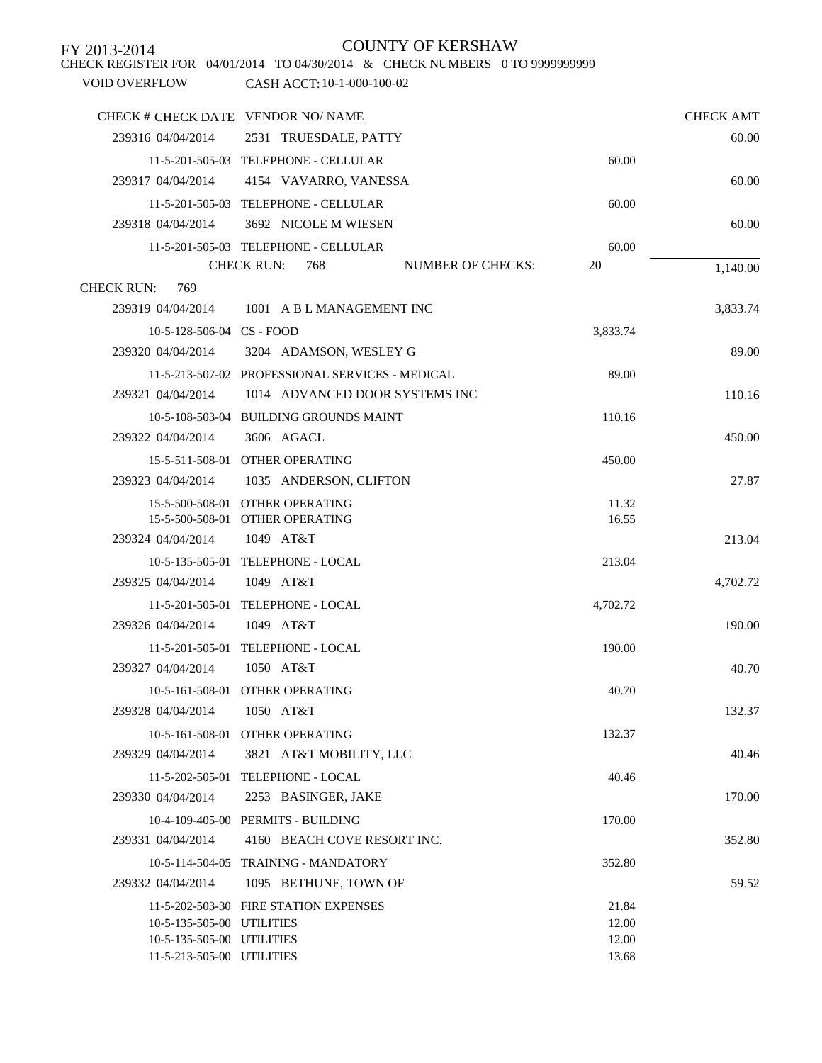CHECK REGISTER FOR 04/01/2014 TO 04/30/2014 & CHECK NUMBERS 0 TO 9999999999

| CHECK # CHECK DATE VENDOR NO/NAME |                                                 |          | <b>CHECK AMT</b> |
|-----------------------------------|-------------------------------------------------|----------|------------------|
| 239316 04/04/2014                 | 2531 TRUESDALE, PATTY                           |          | 60.00            |
|                                   | 11-5-201-505-03 TELEPHONE - CELLULAR            | 60.00    |                  |
| 239317 04/04/2014                 | 4154 VAVARRO, VANESSA                           |          | 60.00            |
|                                   | 11-5-201-505-03 TELEPHONE - CELLULAR            | 60.00    |                  |
| 239318 04/04/2014                 | 3692 NICOLE M WIESEN                            |          | 60.00            |
|                                   | 11-5-201-505-03 TELEPHONE - CELLULAR            | 60.00    |                  |
|                                   | <b>CHECK RUN:</b><br>768<br>NUMBER OF CHECKS:   | 20       | 1,140.00         |
| 769<br><b>CHECK RUN:</b>          |                                                 |          |                  |
| 239319 04/04/2014                 | 1001 A B L MANAGEMENT INC                       |          | 3,833.74         |
| 10-5-128-506-04 CS - FOOD         |                                                 | 3,833.74 |                  |
| 239320 04/04/2014                 | 3204 ADAMSON, WESLEY G                          |          | 89.00            |
|                                   | 11-5-213-507-02 PROFESSIONAL SERVICES - MEDICAL | 89.00    |                  |
| 239321 04/04/2014                 | 1014 ADVANCED DOOR SYSTEMS INC                  |          | 110.16           |
|                                   | 10-5-108-503-04 BUILDING GROUNDS MAINT          | 110.16   |                  |
| 239322 04/04/2014                 | 3606 AGACL                                      |          | 450.00           |
|                                   | 15-5-511-508-01 OTHER OPERATING                 | 450.00   |                  |
| 239323 04/04/2014                 | 1035 ANDERSON, CLIFTON                          |          | 27.87            |
|                                   | 15-5-500-508-01 OTHER OPERATING                 | 11.32    |                  |
|                                   | 15-5-500-508-01 OTHER OPERATING                 | 16.55    |                  |
| 239324 04/04/2014                 | 1049 AT&T                                       |          | 213.04           |
|                                   | 10-5-135-505-01 TELEPHONE - LOCAL               | 213.04   |                  |
| 239325 04/04/2014                 | 1049 AT&T                                       |          | 4,702.72         |
|                                   | 11-5-201-505-01 TELEPHONE - LOCAL               | 4,702.72 |                  |
| 239326 04/04/2014                 | 1049 AT&T                                       |          | 190.00           |
|                                   | 11-5-201-505-01 TELEPHONE - LOCAL               | 190.00   |                  |
| 239327 04/04/2014                 | 1050 AT&T                                       |          | 40.70            |
|                                   | 10-5-161-508-01 OTHER OPERATING                 | 40.70    |                  |
| 239328 04/04/2014                 | 1050 AT&T                                       |          | 132.37           |
|                                   | 10-5-161-508-01 OTHER OPERATING                 | 132.37   |                  |
| 239329 04/04/2014                 | 3821 AT&T MOBILITY, LLC                         |          | 40.46            |
|                                   | 11-5-202-505-01 TELEPHONE - LOCAL               | 40.46    |                  |
| 239330 04/04/2014                 | 2253 BASINGER, JAKE                             |          | 170.00           |
|                                   | 10-4-109-405-00 PERMITS - BUILDING              | 170.00   |                  |
| 239331 04/04/2014                 | 4160 BEACH COVE RESORT INC.                     |          | 352.80           |
|                                   | 10-5-114-504-05 TRAINING - MANDATORY            | 352.80   |                  |
| 239332 04/04/2014                 | 1095 BETHUNE, TOWN OF                           |          | 59.52            |
|                                   | 11-5-202-503-30 FIRE STATION EXPENSES           | 21.84    |                  |
| 10-5-135-505-00 UTILITIES         |                                                 | 12.00    |                  |
| 10-5-135-505-00 UTILITIES         |                                                 | 12.00    |                  |
| 11-5-213-505-00 UTILITIES         |                                                 | 13.68    |                  |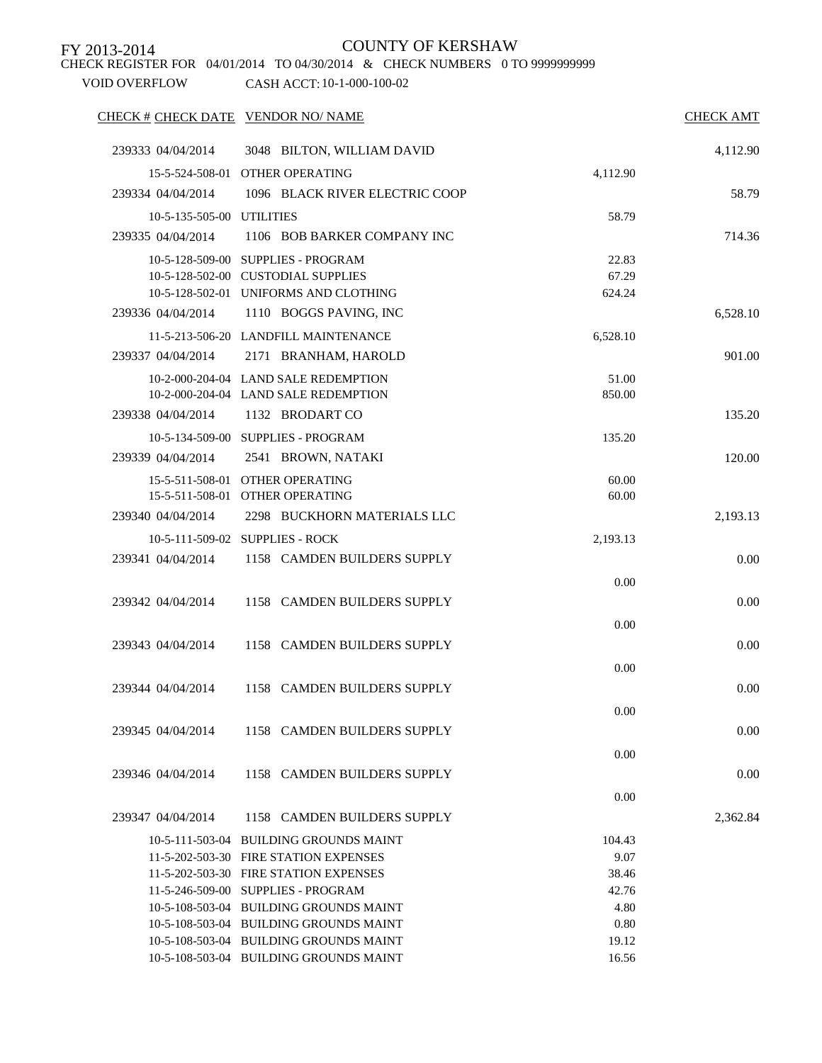CHECK REGISTER FOR 04/01/2014 TO 04/30/2014 & CHECK NUMBERS 0 TO 9999999999

| CHECK # CHECK DATE VENDOR NO/ NAME |                                                                                  |                 | <b>CHECK AMT</b> |
|------------------------------------|----------------------------------------------------------------------------------|-----------------|------------------|
| 239333 04/04/2014                  | 3048 BILTON, WILLIAM DAVID                                                       |                 | 4,112.90         |
|                                    | 15-5-524-508-01 OTHER OPERATING                                                  | 4,112.90        |                  |
| 239334 04/04/2014                  | 1096 BLACK RIVER ELECTRIC COOP                                                   |                 | 58.79            |
| 10-5-135-505-00 UTILITIES          |                                                                                  | 58.79           |                  |
| 239335 04/04/2014                  | 1106 BOB BARKER COMPANY INC                                                      |                 | 714.36           |
|                                    | 10-5-128-509-00 SUPPLIES - PROGRAM                                               | 22.83           |                  |
|                                    | 10-5-128-502-00 CUSTODIAL SUPPLIES                                               | 67.29           |                  |
|                                    | 10-5-128-502-01 UNIFORMS AND CLOTHING                                            | 624.24          |                  |
| 239336 04/04/2014                  | 1110 BOGGS PAVING, INC                                                           |                 | 6,528.10         |
|                                    | 11-5-213-506-20 LANDFILL MAINTENANCE                                             | 6,528.10        |                  |
| 239337 04/04/2014                  | 2171 BRANHAM, HAROLD                                                             |                 | 901.00           |
|                                    |                                                                                  |                 |                  |
|                                    | 10-2-000-204-04 LAND SALE REDEMPTION<br>10-2-000-204-04 LAND SALE REDEMPTION     | 51.00<br>850.00 |                  |
| 239338 04/04/2014                  | 1132 BRODART CO                                                                  |                 | 135.20           |
|                                    | 10-5-134-509-00 SUPPLIES - PROGRAM                                               | 135.20          |                  |
|                                    |                                                                                  |                 |                  |
| 239339 04/04/2014                  | 2541 BROWN, NATAKI                                                               |                 | 120.00           |
|                                    | 15-5-511-508-01 OTHER OPERATING<br>15-5-511-508-01 OTHER OPERATING               | 60.00<br>60.00  |                  |
| 239340 04/04/2014                  | 2298 BUCKHORN MATERIALS LLC                                                      |                 | 2,193.13         |
|                                    |                                                                                  |                 |                  |
|                                    | 10-5-111-509-02 SUPPLIES - ROCK                                                  | 2,193.13        |                  |
| 239341 04/04/2014                  | 1158 CAMDEN BUILDERS SUPPLY                                                      |                 | $0.00\,$         |
|                                    |                                                                                  | 0.00            |                  |
| 239342 04/04/2014                  | 1158 CAMDEN BUILDERS SUPPLY                                                      |                 | 0.00             |
|                                    |                                                                                  | 0.00            |                  |
| 239343 04/04/2014                  | 1158 CAMDEN BUILDERS SUPPLY                                                      |                 | 0.00             |
|                                    |                                                                                  | 0.00            |                  |
| 239344 04/04/2014                  | 1158 CAMDEN BUILDERS SUPPLY                                                      |                 | 0.00             |
|                                    |                                                                                  | 0.00            |                  |
| 239345 04/04/2014                  | 1158 CAMDEN BUILDERS SUPPLY                                                      |                 | 0.00             |
|                                    |                                                                                  |                 |                  |
|                                    |                                                                                  | 0.00            |                  |
| 239346 04/04/2014                  | 1158 CAMDEN BUILDERS SUPPLY                                                      |                 | 0.00             |
|                                    |                                                                                  | 0.00            |                  |
| 239347 04/04/2014                  | 1158 CAMDEN BUILDERS SUPPLY                                                      |                 | 2,362.84         |
|                                    | 10-5-111-503-04 BUILDING GROUNDS MAINT                                           | 104.43          |                  |
|                                    | 11-5-202-503-30 FIRE STATION EXPENSES                                            | 9.07            |                  |
|                                    | 11-5-202-503-30 FIRE STATION EXPENSES                                            | 38.46           |                  |
|                                    | 11-5-246-509-00 SUPPLIES - PROGRAM                                               | 42.76           |                  |
|                                    | 10-5-108-503-04 BUILDING GROUNDS MAINT<br>10-5-108-503-04 BUILDING GROUNDS MAINT | 4.80<br>0.80    |                  |
|                                    | 10-5-108-503-04 BUILDING GROUNDS MAINT                                           | 19.12           |                  |
|                                    | 10-5-108-503-04 BUILDING GROUNDS MAINT                                           | 16.56           |                  |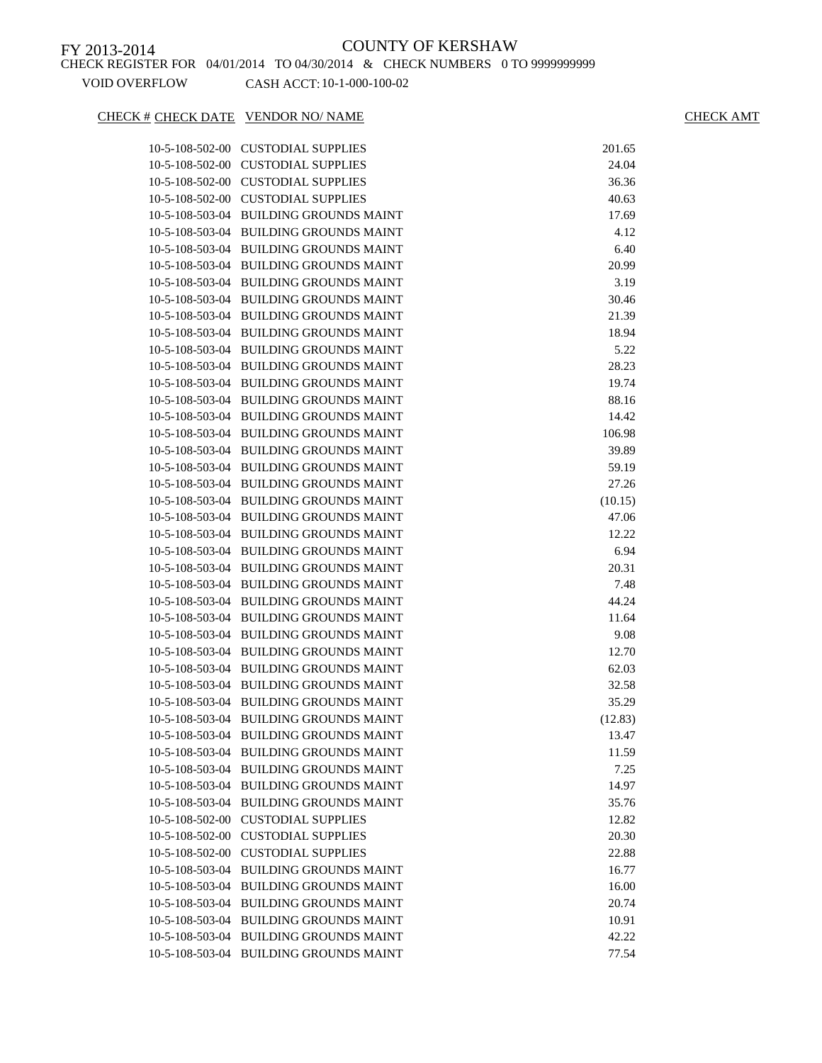### CHECK # CHECK DATE VENDOR NO/ NAME CHECK AMT

| 10-5-108-502-00   | <b>CUSTODIAL SUPPLIES</b>              | 201.65  |
|-------------------|----------------------------------------|---------|
| 10-5-108-502-00   | <b>CUSTODIAL SUPPLIES</b>              | 24.04   |
| 10-5-108-502-00   | <b>CUSTODIAL SUPPLIES</b>              | 36.36   |
| 10-5-108-502-00   | <b>CUSTODIAL SUPPLIES</b>              | 40.63   |
| 10-5-108-503-04   | <b>BUILDING GROUNDS MAINT</b>          | 17.69   |
| 10-5-108-503-04   | <b>BUILDING GROUNDS MAINT</b>          | 4.12    |
| 10-5-108-503-04   | <b>BUILDING GROUNDS MAINT</b>          | 6.40    |
| 10-5-108-503-04   | <b>BUILDING GROUNDS MAINT</b>          | 20.99   |
| 10-5-108-503-04   | <b>BUILDING GROUNDS MAINT</b>          | 3.19    |
| 10-5-108-503-04   | <b>BUILDING GROUNDS MAINT</b>          | 30.46   |
| 10-5-108-503-04   | <b>BUILDING GROUNDS MAINT</b>          | 21.39   |
| 10-5-108-503-04   | <b>BUILDING GROUNDS MAINT</b>          | 18.94   |
| 10-5-108-503-04   | <b>BUILDING GROUNDS MAINT</b>          | 5.22    |
| 10-5-108-503-04   | <b>BUILDING GROUNDS MAINT</b>          | 28.23   |
| 10-5-108-503-04   | <b>BUILDING GROUNDS MAINT</b>          | 19.74   |
| 10-5-108-503-04   | <b>BUILDING GROUNDS MAINT</b>          | 88.16   |
| 10-5-108-503-04   | <b>BUILDING GROUNDS MAINT</b>          | 14.42   |
| 10-5-108-503-04   | <b>BUILDING GROUNDS MAINT</b>          | 106.98  |
| 10-5-108-503-04   | <b>BUILDING GROUNDS MAINT</b>          | 39.89   |
| 10-5-108-503-04   | <b>BUILDING GROUNDS MAINT</b>          | 59.19   |
| 10-5-108-503-04   | <b>BUILDING GROUNDS MAINT</b>          | 27.26   |
| 10-5-108-503-04   | <b>BUILDING GROUNDS MAINT</b>          | (10.15) |
| 10-5-108-503-04   | <b>BUILDING GROUNDS MAINT</b>          | 47.06   |
| 10-5-108-503-04   | <b>BUILDING GROUNDS MAINT</b>          | 12.22   |
| 10-5-108-503-04   | <b>BUILDING GROUNDS MAINT</b>          | 6.94    |
| 10-5-108-503-04   | <b>BUILDING GROUNDS MAINT</b>          | 20.31   |
| 10-5-108-503-04   | <b>BUILDING GROUNDS MAINT</b>          | 7.48    |
| 10-5-108-503-04   | <b>BUILDING GROUNDS MAINT</b>          | 44.24   |
| 10-5-108-503-04   | <b>BUILDING GROUNDS MAINT</b>          | 11.64   |
| 10-5-108-503-04   | <b>BUILDING GROUNDS MAINT</b>          | 9.08    |
| 10-5-108-503-04   | <b>BUILDING GROUNDS MAINT</b>          | 12.70   |
| 10-5-108-503-04   | <b>BUILDING GROUNDS MAINT</b>          | 62.03   |
| 10-5-108-503-04   | <b>BUILDING GROUNDS MAINT</b>          | 32.58   |
| 10-5-108-503-04   | <b>BUILDING GROUNDS MAINT</b>          | 35.29   |
| 10-5-108-503-04   | <b>BUILDING GROUNDS MAINT</b>          | (12.83) |
| 10-5-108-503-04   | <b>BUILDING GROUNDS MAINT</b>          | 13.47   |
|                   | 10-5-108-503-04 BUILDING GROUNDS MAINT | 11.59   |
| $10-5-108-503-04$ | <b>BUILDING GROUNDS MAINT</b>          | 7.25    |
| 10-5-108-503-04   | <b>BUILDING GROUNDS MAINT</b>          | 14.97   |
| 10-5-108-503-04   | <b>BUILDING GROUNDS MAINT</b>          | 35.76   |
| 10-5-108-502-00   | <b>CUSTODIAL SUPPLIES</b>              | 12.82   |
| 10-5-108-502-00   | <b>CUSTODIAL SUPPLIES</b>              | 20.30   |
| 10-5-108-502-00   | <b>CUSTODIAL SUPPLIES</b>              | 22.88   |
| 10-5-108-503-04   | <b>BUILDING GROUNDS MAINT</b>          | 16.77   |
| 10-5-108-503-04   | <b>BUILDING GROUNDS MAINT</b>          | 16.00   |
| 10-5-108-503-04   | <b>BUILDING GROUNDS MAINT</b>          | 20.74   |
|                   | 10-5-108-503-04 BUILDING GROUNDS MAINT | 10.91   |
|                   | 10-5-108-503-04 BUILDING GROUNDS MAINT | 42.22   |
|                   | 10-5-108-503-04 BUILDING GROUNDS MAINT | 77.54   |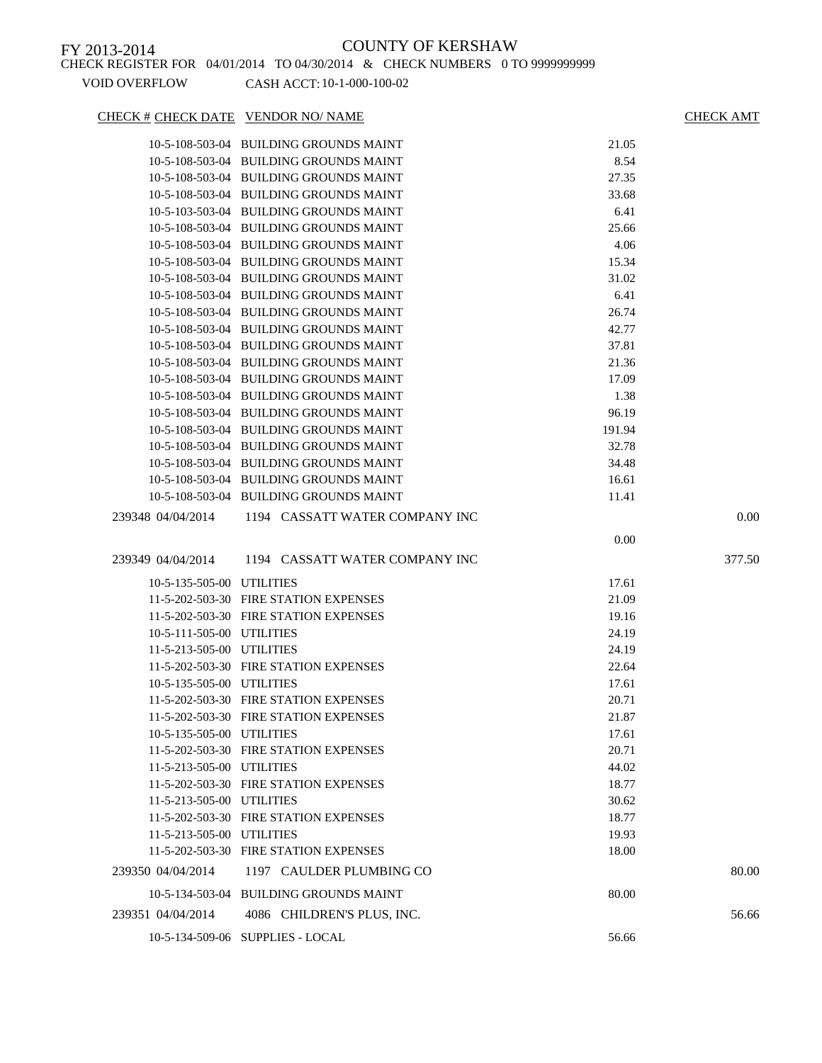### CHECK # CHECK DATE VENDOR NO/ NAME CHECK AMT

### 10-5-108-503-04 BUILDING GROUNDS MAINT 21.05 10-5-108-503-04 BUILDING GROUNDS MAINT 8.54 10-5-108-503-04 BUILDING GROUNDS MAINT 27.35 10-5-108-503-04 BUILDING GROUNDS MAINT 33.68 10-5-103-503-04 BUILDING GROUNDS MAINT 6.41 10-5-108-503-04 BUILDING GROUNDS MAINT 25.66 10-5-108-503-04 BUILDING GROUNDS MAINT 4.06 10-5-108-503-04 BUILDING GROUNDS MAINT 15.34 10-5-108-503-04 BUILDING GROUNDS MAINT 31.02 10-5-108-503-04 BUILDING GROUNDS MAINT 6.41 10-5-108-503-04 BUILDING GROUNDS MAINT 26.74 10-5-108-503-04 BUILDING GROUNDS MAINT 42.77 10-5-108-503-04 BUILDING GROUNDS MAINT 37.81 10-5-108-503-04 BUILDING GROUNDS MAINT 21.36 10-5-108-503-04 BUILDING GROUNDS MAINT 17.09 10-5-108-503-04 BUILDING GROUNDS MAINT 1.38 10-5-108-503-04 BUILDING GROUNDS MAINT 96.19 10-5-108-503-04 BUILDING GROUNDS MAINT 191.94 10-5-108-503-04 BUILDING GROUNDS MAINT 32.78 10-5-108-503-04 BUILDING GROUNDS MAINT 34.48 10-5-108-503-04 BUILDING GROUNDS MAINT 16.61 10-5-108-503-04 BUILDING GROUNDS MAINT 11.41 239348 04/04/2014 1194 CASSATT WATER COMPANY INC 0.00 0.00 239349 04/04/2014 1194 CASSATT WATER COMPANY INC 377.50 10-5-135-505-00 UTILITIES 17.61 11-5-202-503-30 FIRE STATION EXPENSES 21.09 11-5-202-503-30 FIRE STATION EXPENSES 19.16 10-5-111-505-00 UTILITIES 24.19 11-5-213-505-00 UTILITIES 24.19 11-5-202-503-30 FIRE STATION EXPENSES 22.64 10-5-135-505-00 UTILITIES 17.61 11-5-202-503-30 FIRE STATION EXPENSES 20.71 11-5-202-503-30 FIRE STATION EXPENSES 21.87 10-5-135-505-00 UTILITIES 17.61 11-5-202-503-30 FIRE STATION EXPENSES 20.71 11-5-213-505-00 UTILITIES 44.02 11-5-202-503-30 FIRE STATION EXPENSES 18.77 11-5-213-505-00 UTILITIES 30.62 11-5-202-503-30 FIRE STATION EXPENSES 18.77 11-5-213-505-00 UTILITIES 19.93 11-5-202-503-30 FIRE STATION EXPENSES 18.00 239350 04/04/2014 1197 CAULDER PLUMBING CO 80.00 10-5-134-503-04 BUILDING GROUNDS MAINT 80.00 239351 04/04/2014 4086 CHILDREN'S PLUS, INC. 56.66 10-5-134-509-06 SUPPLIES - LOCAL 56.66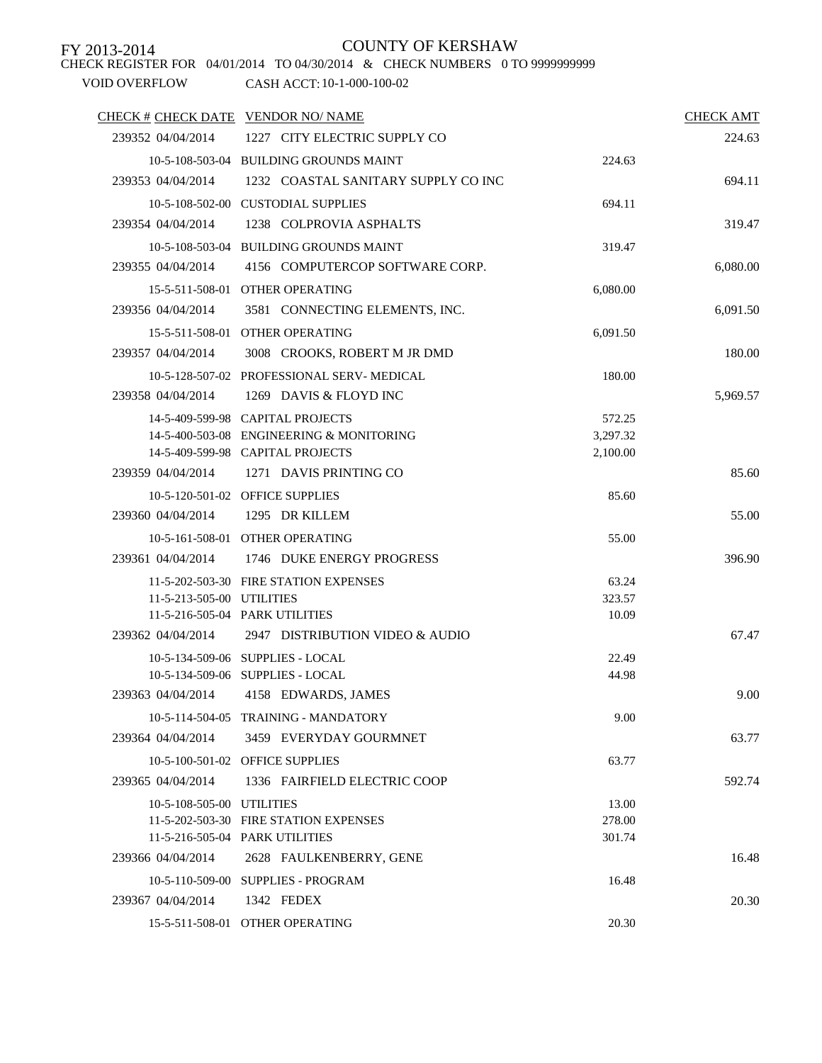# CHECK REGISTER FOR 04/01/2014 TO 04/30/2014 & CHECK NUMBERS 0 TO 9999999999

## FY 2013-2014 COUNTY OF KERSHAW

| <b>CHECK AMT</b> |                      |                                                                              | CHECK # CHECK DATE VENDOR NO/ NAME |
|------------------|----------------------|------------------------------------------------------------------------------|------------------------------------|
| 224.63           |                      | 1227 CITY ELECTRIC SUPPLY CO                                                 | 239352 04/04/2014                  |
|                  | 224.63               | 10-5-108-503-04 BUILDING GROUNDS MAINT                                       |                                    |
| 694.11           |                      | 1232 COASTAL SANITARY SUPPLY CO INC                                          | 239353 04/04/2014                  |
|                  | 694.11               | 10-5-108-502-00 CUSTODIAL SUPPLIES                                           |                                    |
| 319.47           |                      | 1238 COLPROVIA ASPHALTS                                                      | 239354 04/04/2014                  |
|                  | 319.47               | 10-5-108-503-04 BUILDING GROUNDS MAINT                                       |                                    |
| 6,080.00         |                      | 4156 COMPUTERCOP SOFTWARE CORP.                                              | 239355 04/04/2014                  |
|                  | 6,080.00             | 15-5-511-508-01 OTHER OPERATING                                              |                                    |
| 6,091.50         |                      | 3581 CONNECTING ELEMENTS, INC.                                               | 239356 04/04/2014                  |
|                  | 6,091.50             | 15-5-511-508-01 OTHER OPERATING                                              |                                    |
| 180.00           |                      | 3008 CROOKS, ROBERT M JR DMD                                                 | 239357 04/04/2014                  |
|                  |                      |                                                                              |                                    |
|                  | 180.00               | 10-5-128-507-02 PROFESSIONAL SERV-MEDICAL                                    |                                    |
| 5,969.57         |                      | 1269 DAVIS & FLOYD INC                                                       | 239358 04/04/2014                  |
|                  | 572.25               | 14-5-409-599-98 CAPITAL PROJECTS                                             |                                    |
|                  | 3,297.32<br>2,100.00 | 14-5-400-503-08 ENGINEERING & MONITORING<br>14-5-409-599-98 CAPITAL PROJECTS |                                    |
| 85.60            |                      | 239359 04/04/2014 1271 DAVIS PRINTING CO                                     |                                    |
|                  |                      |                                                                              |                                    |
|                  | 85.60                | 10-5-120-501-02 OFFICE SUPPLIES<br>1295 DR KILLEM                            |                                    |
| 55.00            |                      |                                                                              | 239360 04/04/2014                  |
|                  | 55.00                | 10-5-161-508-01 OTHER OPERATING                                              |                                    |
| 396.90           |                      | 239361 04/04/2014 1746 DUKE ENERGY PROGRESS                                  |                                    |
|                  | 63.24                | 11-5-202-503-30 FIRE STATION EXPENSES                                        |                                    |
|                  | 323.57               |                                                                              | 11-5-213-505-00 UTILITIES          |
|                  | 10.09                | 11-5-216-505-04 PARK UTILITIES                                               |                                    |
| 67.47            |                      | 2947 DISTRIBUTION VIDEO & AUDIO                                              | 239362 04/04/2014                  |
|                  | 22.49                | 10-5-134-509-06 SUPPLIES - LOCAL                                             |                                    |
|                  | 44.98                | 10-5-134-509-06 SUPPLIES - LOCAL                                             |                                    |
| 9.00             |                      | 4158 EDWARDS, JAMES                                                          | 239363 04/04/2014                  |
|                  | 9.00                 | 10-5-114-504-05 TRAINING - MANDATORY                                         |                                    |
| 63.77            |                      | 3459 EVERYDAY GOURMNET                                                       | 239364 04/04/2014                  |
|                  | 63.77                | 10-5-100-501-02 OFFICE SUPPLIES                                              |                                    |
| 592.74           |                      | 1336 FAIRFIELD ELECTRIC COOP                                                 | 239365 04/04/2014                  |
|                  | 13.00                |                                                                              | 10-5-108-505-00 UTILITIES          |
|                  | 278.00               | 11-5-202-503-30 FIRE STATION EXPENSES                                        |                                    |
|                  | 301.74               | 11-5-216-505-04 PARK UTILITIES                                               |                                    |
| 16.48            |                      | 2628 FAULKENBERRY, GENE                                                      | 239366 04/04/2014                  |
|                  | 16.48                | 10-5-110-509-00 SUPPLIES - PROGRAM                                           |                                    |
| 20.30            |                      | 1342 FEDEX                                                                   | 239367 04/04/2014                  |
|                  | 20.30                | 15-5-511-508-01 OTHER OPERATING                                              |                                    |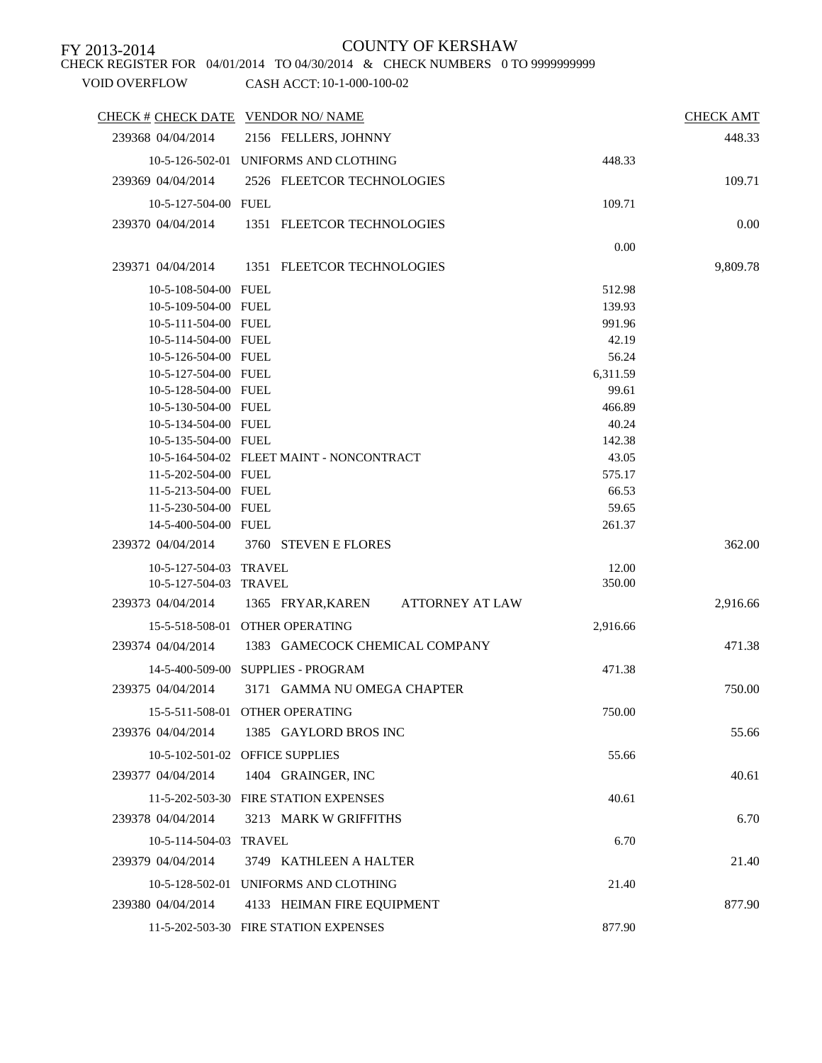CHECK REGISTER FOR 04/01/2014 TO 04/30/2014 & CHECK NUMBERS 0 TO 9999999999

|                                              | CHECK # CHECK DATE VENDOR NO/ NAME         |                | <b>CHECK AMT</b> |
|----------------------------------------------|--------------------------------------------|----------------|------------------|
| 239368 04/04/2014                            | 2156 FELLERS, JOHNNY                       |                | 448.33           |
|                                              | 10-5-126-502-01 UNIFORMS AND CLOTHING      | 448.33         |                  |
| 239369 04/04/2014                            | 2526 FLEETCOR TECHNOLOGIES                 |                | 109.71           |
| 10-5-127-504-00 FUEL                         |                                            | 109.71         |                  |
| 239370 04/04/2014                            | 1351 FLEETCOR TECHNOLOGIES                 |                | 0.00             |
|                                              |                                            |                |                  |
|                                              |                                            | 0.00           |                  |
| 239371 04/04/2014                            | 1351 FLEETCOR TECHNOLOGIES                 |                | 9,809.78         |
| 10-5-108-504-00 FUEL                         |                                            | 512.98         |                  |
| 10-5-109-504-00 FUEL                         |                                            | 139.93         |                  |
| 10-5-111-504-00 FUEL                         |                                            | 991.96         |                  |
| 10-5-114-504-00 FUEL                         |                                            | 42.19          |                  |
| 10-5-126-504-00 FUEL                         |                                            | 56.24          |                  |
| 10-5-127-504-00 FUEL                         |                                            | 6,311.59       |                  |
| 10-5-128-504-00 FUEL                         |                                            | 99.61          |                  |
| 10-5-130-504-00 FUEL                         |                                            | 466.89         |                  |
| 10-5-134-504-00 FUEL                         |                                            | 40.24          |                  |
| 10-5-135-504-00 FUEL                         |                                            | 142.38         |                  |
|                                              | 10-5-164-504-02 FLEET MAINT - NONCONTRACT  | 43.05          |                  |
| 11-5-202-504-00 FUEL                         |                                            | 575.17         |                  |
| 11-5-213-504-00 FUEL                         |                                            | 66.53<br>59.65 |                  |
| 11-5-230-504-00 FUEL<br>14-5-400-504-00 FUEL |                                            | 261.37         |                  |
|                                              |                                            |                |                  |
| 239372 04/04/2014                            | 3760 STEVEN E FLORES                       |                | 362.00           |
| 10-5-127-504-03 TRAVEL                       |                                            | 12.00          |                  |
| 10-5-127-504-03 TRAVEL                       |                                            | 350.00         |                  |
| 239373 04/04/2014                            | <b>ATTORNEY AT LAW</b><br>1365 FRYAR,KAREN |                | 2,916.66         |
|                                              | 15-5-518-508-01 OTHER OPERATING            | 2,916.66       |                  |
| 239374 04/04/2014                            | 1383 GAMECOCK CHEMICAL COMPANY             |                | 471.38           |
|                                              | 14-5-400-509-00 SUPPLIES - PROGRAM         | 471.38         |                  |
| 239375 04/04/2014                            | 3171 GAMMA NU OMEGA CHAPTER                |                | 750.00           |
|                                              |                                            |                |                  |
|                                              | 15-5-511-508-01 OTHER OPERATING            | 750.00         |                  |
| 239376 04/04/2014                            | 1385 GAYLORD BROS INC                      |                | 55.66            |
|                                              | 10-5-102-501-02 OFFICE SUPPLIES            | 55.66          |                  |
| 239377 04/04/2014                            | 1404 GRAINGER, INC                         |                | 40.61            |
|                                              |                                            |                |                  |
|                                              | 11-5-202-503-30 FIRE STATION EXPENSES      | 40.61          |                  |
| 239378 04/04/2014                            | 3213 MARK W GRIFFITHS                      |                | 6.70             |
| 10-5-114-504-03 TRAVEL                       |                                            | 6.70           |                  |
| 239379 04/04/2014                            | 3749 KATHLEEN A HALTER                     |                | 21.40            |
|                                              | 10-5-128-502-01 UNIFORMS AND CLOTHING      | 21.40          |                  |
|                                              |                                            |                |                  |
| 239380 04/04/2014                            | 4133 HEIMAN FIRE EQUIPMENT                 |                | 877.90           |
|                                              | 11-5-202-503-30 FIRE STATION EXPENSES      | 877.90         |                  |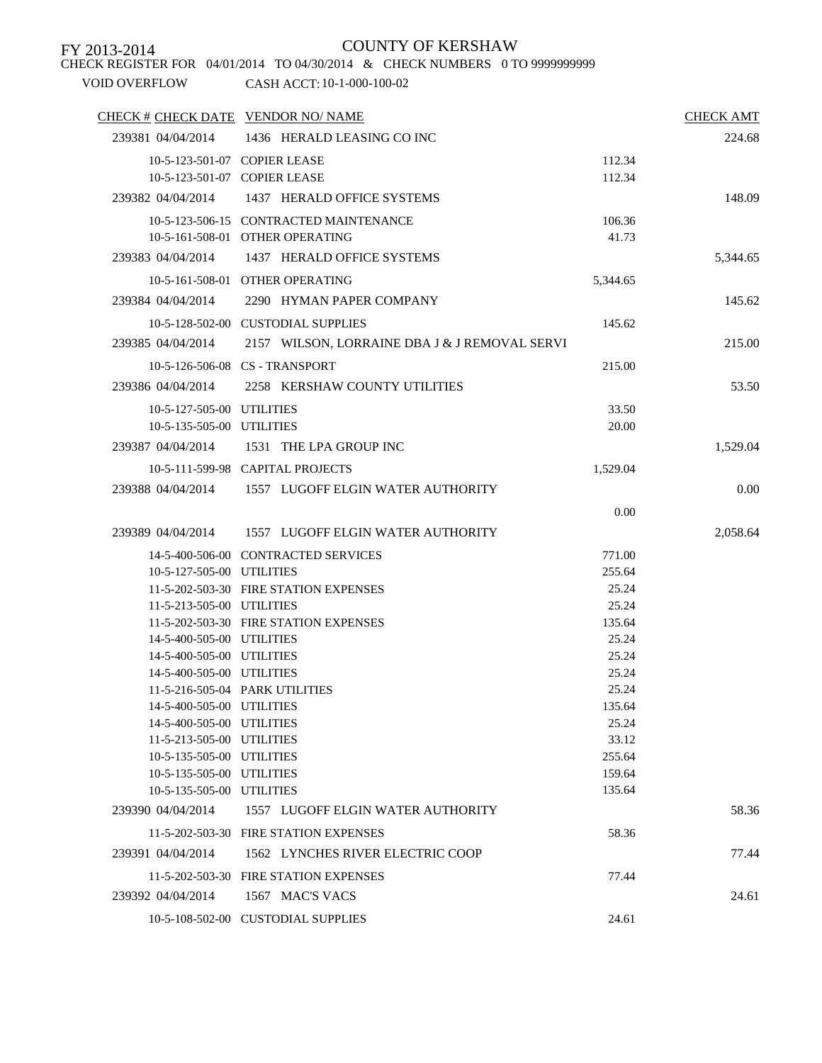CHECK REGISTER FOR 04/01/2014 TO 04/30/2014 & CHECK NUMBERS 0 TO 9999999999

| 239381 04/04/2014<br>1436 HERALD LEASING CO INC<br>224.68<br>10-5-123-501-07 COPIER LEASE<br>112.34<br>10-5-123-501-07 COPIER LEASE<br>112.34<br>1437 HERALD OFFICE SYSTEMS<br>239382 04/04/2014<br>148.09<br>10-5-123-506-15 CONTRACTED MAINTENANCE<br>106.36<br>10-5-161-508-01 OTHER OPERATING<br>41.73<br>239383 04/04/2014<br>1437 HERALD OFFICE SYSTEMS<br>5,344.65<br>10-5-161-508-01 OTHER OPERATING<br>5,344.65<br>239384 04/04/2014<br>2290 HYMAN PAPER COMPANY<br>145.62<br>10-5-128-502-00 CUSTODIAL SUPPLIES<br>145.62<br>239385 04/04/2014<br>2157 WILSON, LORRAINE DBA J & J REMOVAL SERVI<br>215.00<br>10-5-126-506-08 CS - TRANSPORT<br>215.00<br>239386 04/04/2014<br>2258 KERSHAW COUNTY UTILITIES<br>53.50<br>10-5-127-505-00 UTILITIES<br>33.50<br>10-5-135-505-00 UTILITIES<br>20.00<br>239387 04/04/2014<br>1531 THE LPA GROUP INC<br>1,529.04<br>10-5-111-599-98 CAPITAL PROJECTS<br>1,529.04<br>0.00<br>239388 04/04/2014<br>1557 LUGOFF ELGIN WATER AUTHORITY<br>0.00<br>239389 04/04/2014 1557 LUGOFF ELGIN WATER AUTHORITY<br>2,058.64<br>14-5-400-506-00 CONTRACTED SERVICES<br>771.00<br>10-5-127-505-00 UTILITIES<br>255.64<br>11-5-202-503-30 FIRE STATION EXPENSES<br>25.24<br>11-5-213-505-00 UTILITIES<br>25.24<br>11-5-202-503-30 FIRE STATION EXPENSES<br>135.64<br>14-5-400-505-00 UTILITIES<br>25.24<br>14-5-400-505-00 UTILITIES<br>25.24<br>14-5-400-505-00 UTILITIES<br>25.24<br>25.24<br>11-5-216-505-04 PARK UTILITIES<br>14-5-400-505-00 UTILITIES<br>135.64<br>14-5-400-505-00 UTILITIES<br>25.24<br>11-5-213-505-00 UTILITIES<br>33.12 |
|---------------------------------------------------------------------------------------------------------------------------------------------------------------------------------------------------------------------------------------------------------------------------------------------------------------------------------------------------------------------------------------------------------------------------------------------------------------------------------------------------------------------------------------------------------------------------------------------------------------------------------------------------------------------------------------------------------------------------------------------------------------------------------------------------------------------------------------------------------------------------------------------------------------------------------------------------------------------------------------------------------------------------------------------------------------------------------------------------------------------------------------------------------------------------------------------------------------------------------------------------------------------------------------------------------------------------------------------------------------------------------------------------------------------------------------------------------------------------------------------------------------------------------------------------------------------------------------|
|                                                                                                                                                                                                                                                                                                                                                                                                                                                                                                                                                                                                                                                                                                                                                                                                                                                                                                                                                                                                                                                                                                                                                                                                                                                                                                                                                                                                                                                                                                                                                                                       |
|                                                                                                                                                                                                                                                                                                                                                                                                                                                                                                                                                                                                                                                                                                                                                                                                                                                                                                                                                                                                                                                                                                                                                                                                                                                                                                                                                                                                                                                                                                                                                                                       |
|                                                                                                                                                                                                                                                                                                                                                                                                                                                                                                                                                                                                                                                                                                                                                                                                                                                                                                                                                                                                                                                                                                                                                                                                                                                                                                                                                                                                                                                                                                                                                                                       |
|                                                                                                                                                                                                                                                                                                                                                                                                                                                                                                                                                                                                                                                                                                                                                                                                                                                                                                                                                                                                                                                                                                                                                                                                                                                                                                                                                                                                                                                                                                                                                                                       |
|                                                                                                                                                                                                                                                                                                                                                                                                                                                                                                                                                                                                                                                                                                                                                                                                                                                                                                                                                                                                                                                                                                                                                                                                                                                                                                                                                                                                                                                                                                                                                                                       |
|                                                                                                                                                                                                                                                                                                                                                                                                                                                                                                                                                                                                                                                                                                                                                                                                                                                                                                                                                                                                                                                                                                                                                                                                                                                                                                                                                                                                                                                                                                                                                                                       |
|                                                                                                                                                                                                                                                                                                                                                                                                                                                                                                                                                                                                                                                                                                                                                                                                                                                                                                                                                                                                                                                                                                                                                                                                                                                                                                                                                                                                                                                                                                                                                                                       |
|                                                                                                                                                                                                                                                                                                                                                                                                                                                                                                                                                                                                                                                                                                                                                                                                                                                                                                                                                                                                                                                                                                                                                                                                                                                                                                                                                                                                                                                                                                                                                                                       |
|                                                                                                                                                                                                                                                                                                                                                                                                                                                                                                                                                                                                                                                                                                                                                                                                                                                                                                                                                                                                                                                                                                                                                                                                                                                                                                                                                                                                                                                                                                                                                                                       |
|                                                                                                                                                                                                                                                                                                                                                                                                                                                                                                                                                                                                                                                                                                                                                                                                                                                                                                                                                                                                                                                                                                                                                                                                                                                                                                                                                                                                                                                                                                                                                                                       |
|                                                                                                                                                                                                                                                                                                                                                                                                                                                                                                                                                                                                                                                                                                                                                                                                                                                                                                                                                                                                                                                                                                                                                                                                                                                                                                                                                                                                                                                                                                                                                                                       |
|                                                                                                                                                                                                                                                                                                                                                                                                                                                                                                                                                                                                                                                                                                                                                                                                                                                                                                                                                                                                                                                                                                                                                                                                                                                                                                                                                                                                                                                                                                                                                                                       |
|                                                                                                                                                                                                                                                                                                                                                                                                                                                                                                                                                                                                                                                                                                                                                                                                                                                                                                                                                                                                                                                                                                                                                                                                                                                                                                                                                                                                                                                                                                                                                                                       |
|                                                                                                                                                                                                                                                                                                                                                                                                                                                                                                                                                                                                                                                                                                                                                                                                                                                                                                                                                                                                                                                                                                                                                                                                                                                                                                                                                                                                                                                                                                                                                                                       |
|                                                                                                                                                                                                                                                                                                                                                                                                                                                                                                                                                                                                                                                                                                                                                                                                                                                                                                                                                                                                                                                                                                                                                                                                                                                                                                                                                                                                                                                                                                                                                                                       |
|                                                                                                                                                                                                                                                                                                                                                                                                                                                                                                                                                                                                                                                                                                                                                                                                                                                                                                                                                                                                                                                                                                                                                                                                                                                                                                                                                                                                                                                                                                                                                                                       |
|                                                                                                                                                                                                                                                                                                                                                                                                                                                                                                                                                                                                                                                                                                                                                                                                                                                                                                                                                                                                                                                                                                                                                                                                                                                                                                                                                                                                                                                                                                                                                                                       |
|                                                                                                                                                                                                                                                                                                                                                                                                                                                                                                                                                                                                                                                                                                                                                                                                                                                                                                                                                                                                                                                                                                                                                                                                                                                                                                                                                                                                                                                                                                                                                                                       |
|                                                                                                                                                                                                                                                                                                                                                                                                                                                                                                                                                                                                                                                                                                                                                                                                                                                                                                                                                                                                                                                                                                                                                                                                                                                                                                                                                                                                                                                                                                                                                                                       |
|                                                                                                                                                                                                                                                                                                                                                                                                                                                                                                                                                                                                                                                                                                                                                                                                                                                                                                                                                                                                                                                                                                                                                                                                                                                                                                                                                                                                                                                                                                                                                                                       |
|                                                                                                                                                                                                                                                                                                                                                                                                                                                                                                                                                                                                                                                                                                                                                                                                                                                                                                                                                                                                                                                                                                                                                                                                                                                                                                                                                                                                                                                                                                                                                                                       |
|                                                                                                                                                                                                                                                                                                                                                                                                                                                                                                                                                                                                                                                                                                                                                                                                                                                                                                                                                                                                                                                                                                                                                                                                                                                                                                                                                                                                                                                                                                                                                                                       |
|                                                                                                                                                                                                                                                                                                                                                                                                                                                                                                                                                                                                                                                                                                                                                                                                                                                                                                                                                                                                                                                                                                                                                                                                                                                                                                                                                                                                                                                                                                                                                                                       |
|                                                                                                                                                                                                                                                                                                                                                                                                                                                                                                                                                                                                                                                                                                                                                                                                                                                                                                                                                                                                                                                                                                                                                                                                                                                                                                                                                                                                                                                                                                                                                                                       |
|                                                                                                                                                                                                                                                                                                                                                                                                                                                                                                                                                                                                                                                                                                                                                                                                                                                                                                                                                                                                                                                                                                                                                                                                                                                                                                                                                                                                                                                                                                                                                                                       |
|                                                                                                                                                                                                                                                                                                                                                                                                                                                                                                                                                                                                                                                                                                                                                                                                                                                                                                                                                                                                                                                                                                                                                                                                                                                                                                                                                                                                                                                                                                                                                                                       |
|                                                                                                                                                                                                                                                                                                                                                                                                                                                                                                                                                                                                                                                                                                                                                                                                                                                                                                                                                                                                                                                                                                                                                                                                                                                                                                                                                                                                                                                                                                                                                                                       |
|                                                                                                                                                                                                                                                                                                                                                                                                                                                                                                                                                                                                                                                                                                                                                                                                                                                                                                                                                                                                                                                                                                                                                                                                                                                                                                                                                                                                                                                                                                                                                                                       |
|                                                                                                                                                                                                                                                                                                                                                                                                                                                                                                                                                                                                                                                                                                                                                                                                                                                                                                                                                                                                                                                                                                                                                                                                                                                                                                                                                                                                                                                                                                                                                                                       |
|                                                                                                                                                                                                                                                                                                                                                                                                                                                                                                                                                                                                                                                                                                                                                                                                                                                                                                                                                                                                                                                                                                                                                                                                                                                                                                                                                                                                                                                                                                                                                                                       |
|                                                                                                                                                                                                                                                                                                                                                                                                                                                                                                                                                                                                                                                                                                                                                                                                                                                                                                                                                                                                                                                                                                                                                                                                                                                                                                                                                                                                                                                                                                                                                                                       |
|                                                                                                                                                                                                                                                                                                                                                                                                                                                                                                                                                                                                                                                                                                                                                                                                                                                                                                                                                                                                                                                                                                                                                                                                                                                                                                                                                                                                                                                                                                                                                                                       |
|                                                                                                                                                                                                                                                                                                                                                                                                                                                                                                                                                                                                                                                                                                                                                                                                                                                                                                                                                                                                                                                                                                                                                                                                                                                                                                                                                                                                                                                                                                                                                                                       |
| 10-5-135-505-00 UTILITIES<br>255.64                                                                                                                                                                                                                                                                                                                                                                                                                                                                                                                                                                                                                                                                                                                                                                                                                                                                                                                                                                                                                                                                                                                                                                                                                                                                                                                                                                                                                                                                                                                                                   |
| 10-5-135-505-00 UTILITIES<br>159.64                                                                                                                                                                                                                                                                                                                                                                                                                                                                                                                                                                                                                                                                                                                                                                                                                                                                                                                                                                                                                                                                                                                                                                                                                                                                                                                                                                                                                                                                                                                                                   |
| 10-5-135-505-00 UTILITIES<br>135.64                                                                                                                                                                                                                                                                                                                                                                                                                                                                                                                                                                                                                                                                                                                                                                                                                                                                                                                                                                                                                                                                                                                                                                                                                                                                                                                                                                                                                                                                                                                                                   |
| 239390 04/04/2014<br>1557 LUGOFF ELGIN WATER AUTHORITY<br>58.36                                                                                                                                                                                                                                                                                                                                                                                                                                                                                                                                                                                                                                                                                                                                                                                                                                                                                                                                                                                                                                                                                                                                                                                                                                                                                                                                                                                                                                                                                                                       |
| 11-5-202-503-30 FIRE STATION EXPENSES<br>58.36                                                                                                                                                                                                                                                                                                                                                                                                                                                                                                                                                                                                                                                                                                                                                                                                                                                                                                                                                                                                                                                                                                                                                                                                                                                                                                                                                                                                                                                                                                                                        |
| 239391 04/04/2014<br>1562 LYNCHES RIVER ELECTRIC COOP<br>77.44                                                                                                                                                                                                                                                                                                                                                                                                                                                                                                                                                                                                                                                                                                                                                                                                                                                                                                                                                                                                                                                                                                                                                                                                                                                                                                                                                                                                                                                                                                                        |
| 11-5-202-503-30 FIRE STATION EXPENSES<br>77.44                                                                                                                                                                                                                                                                                                                                                                                                                                                                                                                                                                                                                                                                                                                                                                                                                                                                                                                                                                                                                                                                                                                                                                                                                                                                                                                                                                                                                                                                                                                                        |
| 1567 MAC'S VACS<br>239392 04/04/2014<br>24.61                                                                                                                                                                                                                                                                                                                                                                                                                                                                                                                                                                                                                                                                                                                                                                                                                                                                                                                                                                                                                                                                                                                                                                                                                                                                                                                                                                                                                                                                                                                                         |
| 10-5-108-502-00 CUSTODIAL SUPPLIES<br>24.61                                                                                                                                                                                                                                                                                                                                                                                                                                                                                                                                                                                                                                                                                                                                                                                                                                                                                                                                                                                                                                                                                                                                                                                                                                                                                                                                                                                                                                                                                                                                           |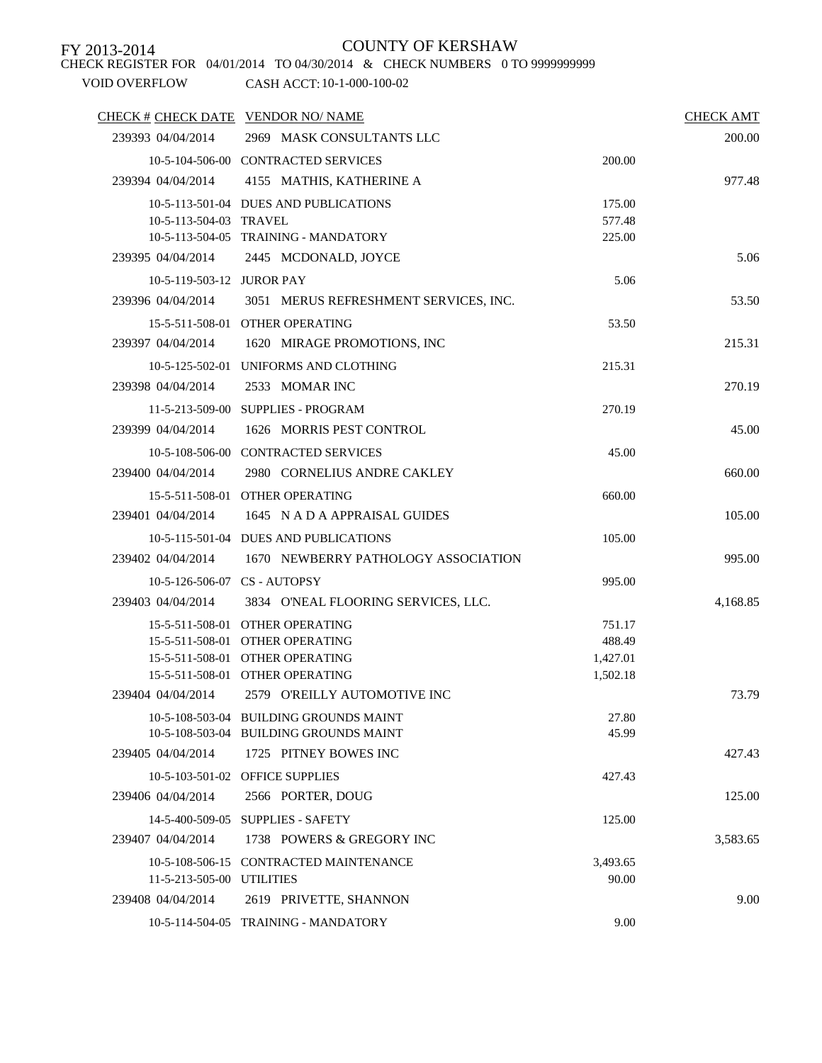# CHECK REGISTER FOR 04/01/2014 TO 04/30/2014 & CHECK NUMBERS 0 TO 9999999999

## FY 2013-2014 COUNTY OF KERSHAW

|                           | CHECK # CHECK DATE VENDOR NO/ NAME     |          | <b>CHECK AMT</b> |
|---------------------------|----------------------------------------|----------|------------------|
| 239393 04/04/2014         | 2969 MASK CONSULTANTS LLC              |          | 200.00           |
|                           | 10-5-104-506-00 CONTRACTED SERVICES    | 200.00   |                  |
| 239394 04/04/2014         | 4155 MATHIS, KATHERINE A               |          | 977.48           |
|                           | 10-5-113-501-04 DUES AND PUBLICATIONS  | 175.00   |                  |
| 10-5-113-504-03 TRAVEL    |                                        | 577.48   |                  |
|                           | 10-5-113-504-05 TRAINING - MANDATORY   | 225.00   |                  |
|                           | 239395 04/04/2014 2445 MCDONALD, JOYCE |          | 5.06             |
| 10-5-119-503-12 JUROR PAY |                                        | 5.06     |                  |
| 239396 04/04/2014         | 3051 MERUS REFRESHMENT SERVICES, INC.  |          | 53.50            |
|                           | 15-5-511-508-01 OTHER OPERATING        | 53.50    |                  |
| 239397 04/04/2014         | 1620 MIRAGE PROMOTIONS, INC            |          | 215.31           |
|                           | 10-5-125-502-01 UNIFORMS AND CLOTHING  | 215.31   |                  |
| 239398 04/04/2014         | 2533 MOMAR INC                         |          | 270.19           |
|                           | 11-5-213-509-00 SUPPLIES - PROGRAM     | 270.19   |                  |
| 239399 04/04/2014         | 1626 MORRIS PEST CONTROL               |          | 45.00            |
|                           | 10-5-108-506-00 CONTRACTED SERVICES    | 45.00    |                  |
| 239400 04/04/2014         | 2980 CORNELIUS ANDRE CAKLEY            |          | 660.00           |
|                           | 15-5-511-508-01 OTHER OPERATING        | 660.00   |                  |
| 239401 04/04/2014         | 1645 N A D A APPRAISAL GUIDES          |          | 105.00           |
|                           | 10-5-115-501-04 DUES AND PUBLICATIONS  | 105.00   |                  |
| 239402 04/04/2014         | 1670 NEWBERRY PATHOLOGY ASSOCIATION    |          | 995.00           |
|                           | 10-5-126-506-07 CS - AUTOPSY           | 995.00   |                  |
| 239403 04/04/2014         | 3834 O'NEAL FLOORING SERVICES, LLC.    |          | 4,168.85         |
|                           | 15-5-511-508-01 OTHER OPERATING        | 751.17   |                  |
|                           | 15-5-511-508-01 OTHER OPERATING        | 488.49   |                  |
|                           | 15-5-511-508-01 OTHER OPERATING        | 1,427.01 |                  |
|                           | 15-5-511-508-01 OTHER OPERATING        | 1,502.18 |                  |
| 239404 04/04/2014         | 2579 O'REILLY AUTOMOTIVE INC           |          | 73.79            |
|                           | 10-5-108-503-04 BUILDING GROUNDS MAINT | 27.80    |                  |
|                           | 10-5-108-503-04 BUILDING GROUNDS MAINT | 45.99    |                  |
| 239405 04/04/2014         | 1725 PITNEY BOWES INC                  |          | 427.43           |
|                           | 10-5-103-501-02 OFFICE SUPPLIES        | 427.43   |                  |
| 239406 04/04/2014         | 2566 PORTER, DOUG                      |          | 125.00           |
|                           | 14-5-400-509-05 SUPPLIES - SAFETY      | 125.00   |                  |
| 239407 04/04/2014         | 1738 POWERS & GREGORY INC              |          | 3,583.65         |
|                           | 10-5-108-506-15 CONTRACTED MAINTENANCE | 3,493.65 |                  |
| 11-5-213-505-00 UTILITIES |                                        | 90.00    |                  |
| 239408 04/04/2014         | 2619 PRIVETTE, SHANNON                 |          | 9.00             |
|                           | 10-5-114-504-05 TRAINING - MANDATORY   | 9.00     |                  |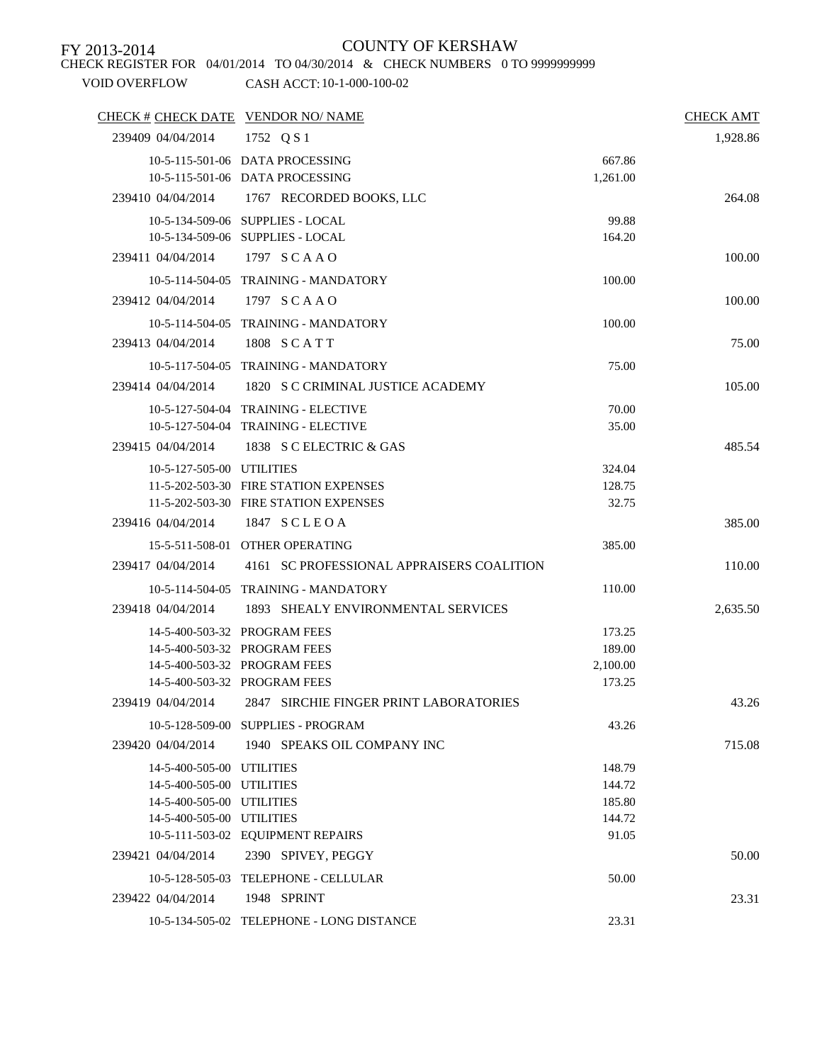CHECK REGISTER FOR 04/01/2014 TO 04/30/2014 & CHECK NUMBERS 0 TO 9999999999

|                           | CHECK # CHECK DATE VENDOR NO/ NAME                                 |                    | <b>CHECK AMT</b> |
|---------------------------|--------------------------------------------------------------------|--------------------|------------------|
| 239409 04/04/2014         | 1752 Q S 1                                                         |                    | 1,928.86         |
|                           | 10-5-115-501-06 DATA PROCESSING<br>10-5-115-501-06 DATA PROCESSING | 667.86<br>1,261.00 |                  |
| 239410 04/04/2014         | 1767 RECORDED BOOKS, LLC                                           |                    | 264.08           |
|                           | 10-5-134-509-06 SUPPLIES - LOCAL                                   | 99.88              |                  |
|                           | 10-5-134-509-06 SUPPLIES - LOCAL                                   | 164.20             |                  |
| 239411 04/04/2014         | 1797 SCAAO                                                         |                    | 100.00           |
|                           | 10-5-114-504-05 TRAINING - MANDATORY                               | 100.00             |                  |
| 239412 04/04/2014         | 1797 SCAAO                                                         |                    | 100.00           |
|                           | 10-5-114-504-05 TRAINING - MANDATORY                               | 100.00             |                  |
| 239413 04/04/2014         | 1808 SCATT                                                         |                    | 75.00            |
|                           | 10-5-117-504-05 TRAINING - MANDATORY                               | 75.00              |                  |
| 239414 04/04/2014         | 1820 S C CRIMINAL JUSTICE ACADEMY                                  |                    | 105.00           |
|                           | 10-5-127-504-04 TRAINING - ELECTIVE                                | 70.00              |                  |
|                           | 10-5-127-504-04 TRAINING - ELECTIVE                                | 35.00              |                  |
| 239415 04/04/2014         | 1838 S C ELECTRIC & GAS                                            |                    | 485.54           |
| 10-5-127-505-00 UTILITIES |                                                                    | 324.04             |                  |
|                           | 11-5-202-503-30 FIRE STATION EXPENSES                              | 128.75             |                  |
|                           | 11-5-202-503-30 FIRE STATION EXPENSES                              | 32.75              |                  |
| 239416 04/04/2014         | 1847 SCLEOA                                                        |                    | 385.00           |
|                           | 15-5-511-508-01 OTHER OPERATING                                    | 385.00             |                  |
| 239417 04/04/2014         | 4161 SC PROFESSIONAL APPRAISERS COALITION                          |                    | 110.00           |
|                           | 10-5-114-504-05 TRAINING - MANDATORY                               | 110.00             |                  |
| 239418 04/04/2014         | 1893 SHEALY ENVIRONMENTAL SERVICES                                 |                    | 2,635.50         |
|                           | 14-5-400-503-32 PROGRAM FEES                                       | 173.25             |                  |
|                           | 14-5-400-503-32 PROGRAM FEES                                       | 189.00             |                  |
|                           | 14-5-400-503-32 PROGRAM FEES                                       | 2,100.00           |                  |
|                           | 14-5-400-503-32 PROGRAM FEES                                       | 173.25             |                  |
| 239419 04/04/2014         | 2847 SIRCHIE FINGER PRINT LABORATORIES                             |                    | 43.26            |
|                           | 10-5-128-509-00 SUPPLIES - PROGRAM                                 | 43.26              |                  |
| 239420 04/04/2014         | 1940 SPEAKS OIL COMPANY INC                                        |                    | 715.08           |
| 14-5-400-505-00 UTILITIES |                                                                    | 148.79             |                  |
| 14-5-400-505-00 UTILITIES |                                                                    | 144.72             |                  |
| 14-5-400-505-00 UTILITIES |                                                                    | 185.80             |                  |
| 14-5-400-505-00 UTILITIES | 10-5-111-503-02 EQUIPMENT REPAIRS                                  | 144.72<br>91.05    |                  |
| 239421 04/04/2014         | 2390 SPIVEY, PEGGY                                                 |                    | 50.00            |
|                           | 10-5-128-505-03 TELEPHONE - CELLULAR                               | 50.00              |                  |
| 239422 04/04/2014         | 1948 SPRINT                                                        |                    | 23.31            |
|                           |                                                                    |                    |                  |
|                           | 10-5-134-505-02 TELEPHONE - LONG DISTANCE                          | 23.31              |                  |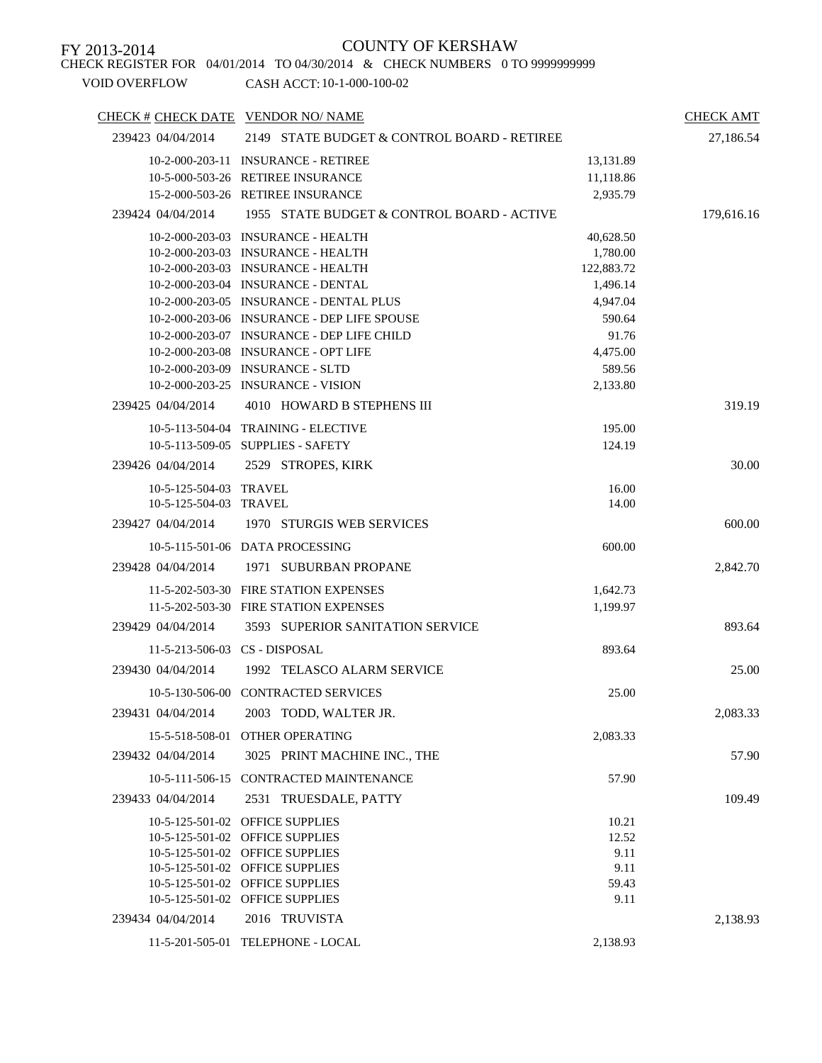CHECK REGISTER FOR 04/01/2014 TO 04/30/2014 & CHECK NUMBERS 0 TO 9999999999

| CHECK # CHECK DATE VENDOR NO/ NAME |                                             |            | <b>CHECK AMT</b> |
|------------------------------------|---------------------------------------------|------------|------------------|
| 239423 04/04/2014                  | 2149 STATE BUDGET & CONTROL BOARD - RETIREE |            | 27,186.54        |
|                                    | 10-2-000-203-11 INSURANCE - RETIREE         | 13,131.89  |                  |
|                                    | 10-5-000-503-26 RETIREE INSURANCE           | 11,118.86  |                  |
|                                    | 15-2-000-503-26 RETIREE INSURANCE           | 2,935.79   |                  |
| 239424 04/04/2014                  | 1955 STATE BUDGET & CONTROL BOARD - ACTIVE  |            | 179,616.16       |
|                                    | 10-2-000-203-03 INSURANCE - HEALTH          | 40,628.50  |                  |
|                                    | 10-2-000-203-03 INSURANCE - HEALTH          | 1,780.00   |                  |
|                                    | 10-2-000-203-03 INSURANCE - HEALTH          | 122,883.72 |                  |
|                                    | 10-2-000-203-04 INSURANCE - DENTAL          | 1,496.14   |                  |
|                                    | 10-2-000-203-05 INSURANCE - DENTAL PLUS     | 4,947.04   |                  |
|                                    | 10-2-000-203-06 INSURANCE - DEP LIFE SPOUSE | 590.64     |                  |
|                                    | 10-2-000-203-07 INSURANCE - DEP LIFE CHILD  | 91.76      |                  |
|                                    | 10-2-000-203-08 INSURANCE - OPT LIFE        | 4,475.00   |                  |
|                                    | 10-2-000-203-09 INSURANCE - SLTD            | 589.56     |                  |
|                                    | 10-2-000-203-25 INSURANCE - VISION          | 2,133.80   |                  |
| 239425 04/04/2014                  | 4010 HOWARD B STEPHENS III                  |            | 319.19           |
|                                    | 10-5-113-504-04 TRAINING - ELECTIVE         | 195.00     |                  |
| $10-5-113-509-05$                  | <b>SUPPLIES - SAFETY</b>                    | 124.19     |                  |
| 239426 04/04/2014                  | 2529 STROPES, KIRK                          |            | 30.00            |
| 10-5-125-504-03 TRAVEL             |                                             | 16.00      |                  |
| 10-5-125-504-03 TRAVEL             |                                             | 14.00      |                  |
| 239427 04/04/2014                  | 1970 STURGIS WEB SERVICES                   |            | 600.00           |
|                                    | 10-5-115-501-06 DATA PROCESSING             | 600.00     |                  |
| 239428 04/04/2014                  | 1971 SUBURBAN PROPANE                       |            | 2,842.70         |
|                                    | 11-5-202-503-30 FIRE STATION EXPENSES       | 1,642.73   |                  |
|                                    | 11-5-202-503-30 FIRE STATION EXPENSES       | 1,199.97   |                  |
| 239429 04/04/2014                  | 3593 SUPERIOR SANITATION SERVICE            |            | 893.64           |
|                                    | 11-5-213-506-03 CS - DISPOSAL               | 893.64     |                  |
| 239430 04/04/2014                  | 1992 TELASCO ALARM SERVICE                  |            | 25.00            |
|                                    | 10-5-130-506-00 CONTRACTED SERVICES         | 25.00      |                  |
| 239431 04/04/2014                  | 2003 TODD, WALTER JR.                       |            | 2,083.33         |
| 15-5-518-508-01                    | OTHER OPERATING                             | 2,083.33   |                  |
| 239432 04/04/2014                  | 3025 PRINT MACHINE INC., THE                |            | 57.90            |
|                                    | 10-5-111-506-15 CONTRACTED MAINTENANCE      | 57.90      |                  |
| 239433 04/04/2014                  | 2531 TRUESDALE, PATTY                       |            | 109.49           |
|                                    | 10-5-125-501-02 OFFICE SUPPLIES             | 10.21      |                  |
|                                    | 10-5-125-501-02 OFFICE SUPPLIES             | 12.52      |                  |
|                                    | 10-5-125-501-02 OFFICE SUPPLIES             | 9.11       |                  |
|                                    | 10-5-125-501-02 OFFICE SUPPLIES             | 9.11       |                  |
|                                    | 10-5-125-501-02 OFFICE SUPPLIES             | 59.43      |                  |
|                                    | 10-5-125-501-02 OFFICE SUPPLIES             | 9.11       |                  |
| 239434 04/04/2014                  | 2016 TRUVISTA                               |            | 2,138.93         |
|                                    | 11-5-201-505-01 TELEPHONE - LOCAL           | 2,138.93   |                  |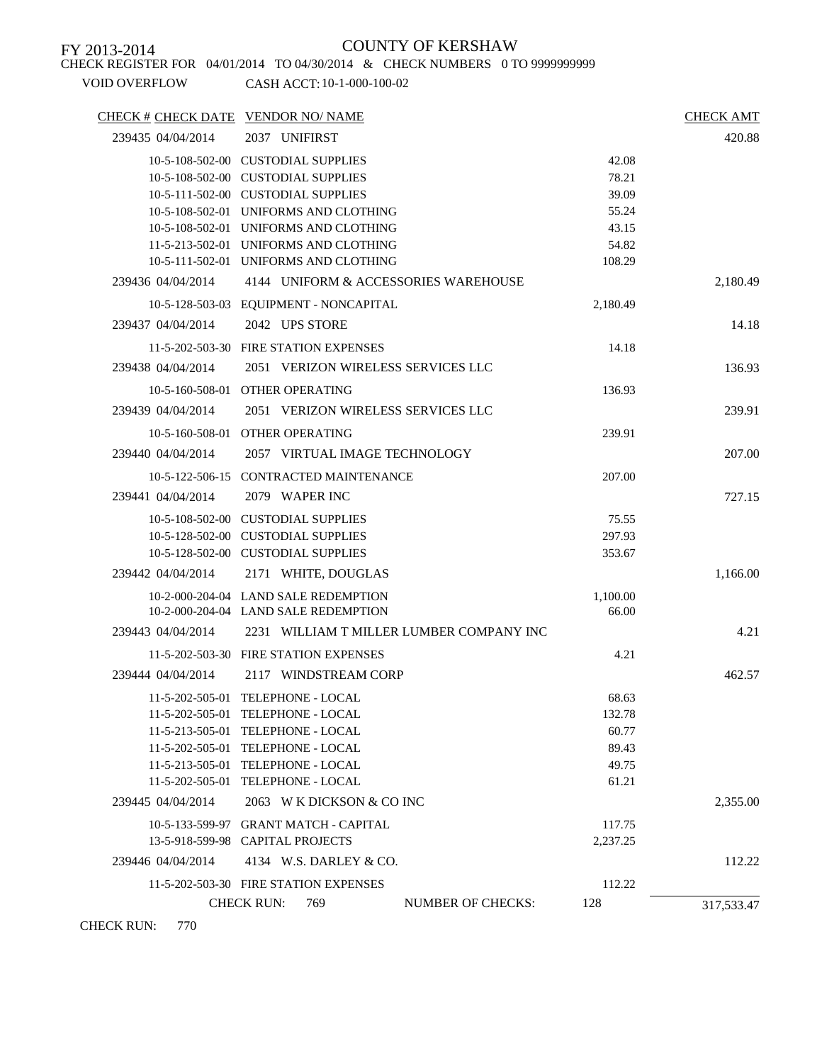CHECK REGISTER FOR 04/01/2014 TO 04/30/2014 & CHECK NUMBERS 0 TO 9999999999

VOID OVERFLOW CASH ACCT: 10-1-000-100-02

| CHECK # CHECK DATE VENDOR NO/ NAME |                                          |                          |          | <b>CHECK AMT</b> |
|------------------------------------|------------------------------------------|--------------------------|----------|------------------|
| 239435 04/04/2014                  | 2037 UNIFIRST                            |                          |          | 420.88           |
|                                    | 10-5-108-502-00 CUSTODIAL SUPPLIES       |                          | 42.08    |                  |
|                                    | 10-5-108-502-00 CUSTODIAL SUPPLIES       |                          | 78.21    |                  |
|                                    | 10-5-111-502-00 CUSTODIAL SUPPLIES       |                          | 39.09    |                  |
|                                    | 10-5-108-502-01 UNIFORMS AND CLOTHING    |                          | 55.24    |                  |
|                                    | 10-5-108-502-01 UNIFORMS AND CLOTHING    |                          | 43.15    |                  |
|                                    | 11-5-213-502-01 UNIFORMS AND CLOTHING    |                          | 54.82    |                  |
|                                    | 10-5-111-502-01 UNIFORMS AND CLOTHING    |                          | 108.29   |                  |
| 239436 04/04/2014                  | 4144 UNIFORM & ACCESSORIES WAREHOUSE     |                          |          | 2,180.49         |
|                                    | 10-5-128-503-03 EQUIPMENT - NONCAPITAL   |                          | 2,180.49 |                  |
| 239437 04/04/2014                  | 2042 UPS STORE                           |                          |          | 14.18            |
|                                    | 11-5-202-503-30 FIRE STATION EXPENSES    |                          | 14.18    |                  |
| 239438 04/04/2014                  | 2051 VERIZON WIRELESS SERVICES LLC       |                          |          | 136.93           |
|                                    | 10-5-160-508-01 OTHER OPERATING          |                          | 136.93   |                  |
| 239439 04/04/2014                  | 2051 VERIZON WIRELESS SERVICES LLC       |                          |          | 239.91           |
|                                    | 10-5-160-508-01 OTHER OPERATING          |                          | 239.91   |                  |
| 239440 04/04/2014                  | 2057 VIRTUAL IMAGE TECHNOLOGY            |                          |          | 207.00           |
|                                    | 10-5-122-506-15 CONTRACTED MAINTENANCE   |                          | 207.00   |                  |
| 239441 04/04/2014                  | 2079 WAPER INC                           |                          |          | 727.15           |
|                                    | 10-5-108-502-00 CUSTODIAL SUPPLIES       |                          | 75.55    |                  |
|                                    | 10-5-128-502-00 CUSTODIAL SUPPLIES       |                          | 297.93   |                  |
|                                    | 10-5-128-502-00 CUSTODIAL SUPPLIES       |                          | 353.67   |                  |
| 239442 04/04/2014                  | 2171 WHITE, DOUGLAS                      |                          |          | 1,166.00         |
|                                    | 10-2-000-204-04 LAND SALE REDEMPTION     |                          | 1,100.00 |                  |
|                                    | 10-2-000-204-04 LAND SALE REDEMPTION     |                          | 66.00    |                  |
| 239443 04/04/2014                  | 2231 WILLIAM T MILLER LUMBER COMPANY INC |                          |          | 4.21             |
|                                    | 11-5-202-503-30 FIRE STATION EXPENSES    |                          | 4.21     |                  |
| 239444 04/04/2014                  | 2117 WINDSTREAM CORP                     |                          |          | 462.57           |
|                                    | 11-5-202-505-01 TELEPHONE - LOCAL        |                          | 68.63    |                  |
|                                    | 11-5-202-505-01 TELEPHONE - LOCAL        |                          | 132.78   |                  |
|                                    | 11-5-213-505-01 TELEPHONE - LOCAL        |                          | 60.77    |                  |
|                                    | 11-5-202-505-01 TELEPHONE - LOCAL        |                          | 89.43    |                  |
|                                    | 11-5-213-505-01 TELEPHONE - LOCAL        |                          | 49.75    |                  |
|                                    | 11-5-202-505-01 TELEPHONE - LOCAL        |                          | 61.21    |                  |
| 239445 04/04/2014                  | 2063 W K DICKSON & CO INC                |                          |          | 2,355.00         |
|                                    | 10-5-133-599-97 GRANT MATCH - CAPITAL    |                          | 117.75   |                  |
|                                    | 13-5-918-599-98 CAPITAL PROJECTS         |                          | 2,237.25 |                  |
| 239446 04/04/2014                  | 4134 W.S. DARLEY & CO.                   |                          |          | 112.22           |
|                                    | 11-5-202-503-30 FIRE STATION EXPENSES    |                          | 112.22   |                  |
|                                    | <b>CHECK RUN:</b><br>769                 | <b>NUMBER OF CHECKS:</b> | 128      | 317,533.47       |

CHECK RUN: 770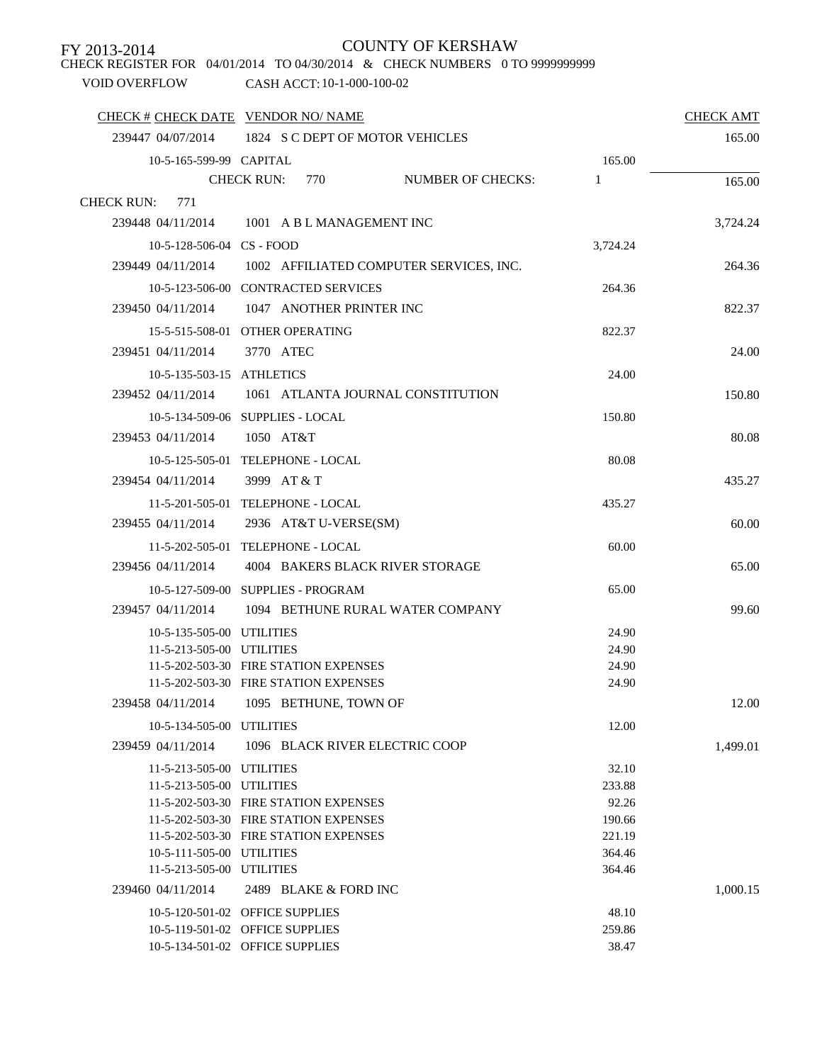CHECK REGISTER FOR 04/01/2014 TO 04/30/2014 & CHECK NUMBERS 0 TO 9999999999

|                             | CHECK # CHECK DATE VENDOR NO/ NAME                        |          | <b>CHECK AMT</b> |
|-----------------------------|-----------------------------------------------------------|----------|------------------|
|                             | 239447 04/07/2014 1824 S C DEPT OF MOTOR VEHICLES         |          | 165.00           |
| 10-5-165-599-99 CAPITAL     |                                                           | 165.00   |                  |
|                             | <b>NUMBER OF CHECKS:</b><br><b>CHECK RUN:</b><br>770      | 1        | 165.00           |
| <b>CHECK RUN:</b><br>771    |                                                           |          |                  |
|                             | 239448 04/11/2014 1001 A B L MANAGEMENT INC               |          | 3,724.24         |
| 10-5-128-506-04 CS - FOOD   |                                                           | 3,724.24 |                  |
|                             | 239449 04/11/2014 1002 AFFILIATED COMPUTER SERVICES, INC. |          | 264.36           |
|                             | 10-5-123-506-00 CONTRACTED SERVICES                       | 264.36   |                  |
|                             | 239450 04/11/2014 1047 ANOTHER PRINTER INC                |          | 822.37           |
|                             |                                                           |          |                  |
|                             | 15-5-515-508-01 OTHER OPERATING                           | 822.37   |                  |
| 239451 04/11/2014           | 3770 ATEC                                                 |          | 24.00            |
|                             | 10-5-135-503-15 ATHLETICS                                 | 24.00    |                  |
| 239452 04/11/2014           | 1061 ATLANTA JOURNAL CONSTITUTION                         |          | 150.80           |
|                             | 10-5-134-509-06 SUPPLIES - LOCAL                          | 150.80   |                  |
| 239453 04/11/2014 1050 AT&T |                                                           |          | 80.08            |
|                             | 10-5-125-505-01 TELEPHONE - LOCAL                         | 80.08    |                  |
| 239454 04/11/2014           | 3999 AT & T                                               |          | 435.27           |
|                             | 11-5-201-505-01 TELEPHONE - LOCAL                         | 435.27   |                  |
| 239455 04/11/2014           | 2936 AT&T U-VERSE(SM)                                     |          | 60.00            |
|                             | 11-5-202-505-01 TELEPHONE - LOCAL                         | 60.00    |                  |
| 239456 04/11/2014           | 4004 BAKERS BLACK RIVER STORAGE                           |          | 65.00            |
|                             | 10-5-127-509-00 SUPPLIES - PROGRAM                        | 65.00    |                  |
| 239457 04/11/2014           | 1094 BETHUNE RURAL WATER COMPANY                          |          | 99.60            |
| 10-5-135-505-00 UTILITIES   |                                                           | 24.90    |                  |
| 11-5-213-505-00 UTILITIES   |                                                           | 24.90    |                  |
|                             | 11-5-202-503-30 FIRE STATION EXPENSES                     | 24.90    |                  |
|                             | 11-5-202-503-30 FIRE STATION EXPENSES                     | 24.90    |                  |
| 239458 04/11/2014           | 1095 BETHUNE, TOWN OF                                     |          | 12.00            |
| 10-5-134-505-00 UTILITIES   |                                                           | 12.00    |                  |
| 239459 04/11/2014           | 1096 BLACK RIVER ELECTRIC COOP                            |          | 1,499.01         |
| 11-5-213-505-00 UTILITIES   |                                                           | 32.10    |                  |
| 11-5-213-505-00 UTILITIES   |                                                           | 233.88   |                  |
|                             | 11-5-202-503-30 FIRE STATION EXPENSES                     | 92.26    |                  |
|                             | 11-5-202-503-30 FIRE STATION EXPENSES                     | 190.66   |                  |
|                             | 11-5-202-503-30 FIRE STATION EXPENSES                     | 221.19   |                  |
| 10-5-111-505-00 UTILITIES   |                                                           | 364.46   |                  |
| 11-5-213-505-00 UTILITIES   |                                                           | 364.46   |                  |
| 239460 04/11/2014           | 2489 BLAKE & FORD INC                                     |          | 1,000.15         |
|                             | 10-5-120-501-02 OFFICE SUPPLIES                           | 48.10    |                  |
|                             | 10-5-119-501-02 OFFICE SUPPLIES                           | 259.86   |                  |
|                             | 10-5-134-501-02 OFFICE SUPPLIES                           | 38.47    |                  |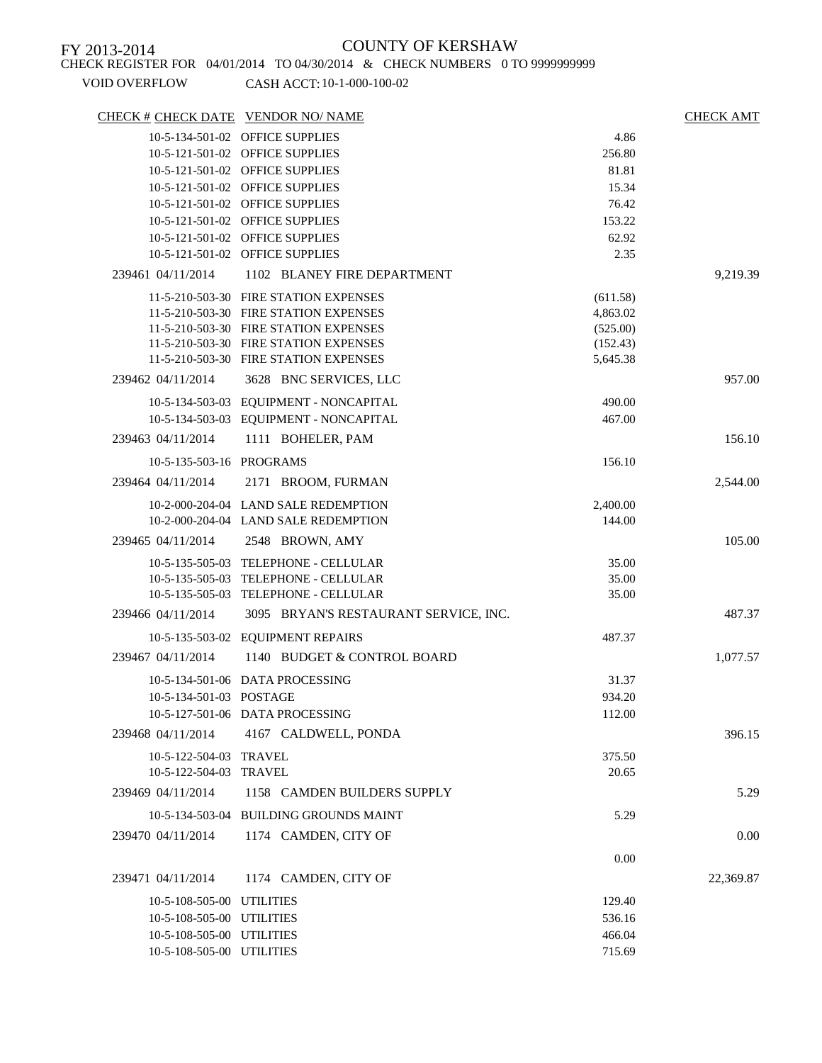| CHECK # CHECK DATE VENDOR NO/NAME |                                        |                    | <b>CHECK AMT</b> |
|-----------------------------------|----------------------------------------|--------------------|------------------|
|                                   | 10-5-134-501-02 OFFICE SUPPLIES        | 4.86               |                  |
|                                   | 10-5-121-501-02 OFFICE SUPPLIES        | 256.80             |                  |
|                                   | 10-5-121-501-02 OFFICE SUPPLIES        | 81.81              |                  |
|                                   | 10-5-121-501-02 OFFICE SUPPLIES        | 15.34              |                  |
|                                   | 10-5-121-501-02 OFFICE SUPPLIES        | 76.42              |                  |
|                                   | 10-5-121-501-02 OFFICE SUPPLIES        | 153.22             |                  |
|                                   | 10-5-121-501-02 OFFICE SUPPLIES        | 62.92              |                  |
|                                   | 10-5-121-501-02 OFFICE SUPPLIES        | 2.35               |                  |
| 239461 04/11/2014                 | 1102 BLANEY FIRE DEPARTMENT            |                    | 9,219.39         |
|                                   | 11-5-210-503-30 FIRE STATION EXPENSES  | (611.58)           |                  |
|                                   | 11-5-210-503-30 FIRE STATION EXPENSES  | 4,863.02           |                  |
|                                   | 11-5-210-503-30 FIRE STATION EXPENSES  | (525.00)           |                  |
|                                   | 11-5-210-503-30 FIRE STATION EXPENSES  | (152.43)           |                  |
|                                   | 11-5-210-503-30 FIRE STATION EXPENSES  | 5,645.38           |                  |
| 239462 04/11/2014                 | 3628 BNC SERVICES, LLC                 |                    | 957.00           |
|                                   | 10-5-134-503-03 EQUIPMENT - NONCAPITAL | 490.00             |                  |
|                                   | 10-5-134-503-03 EQUIPMENT - NONCAPITAL | 467.00             |                  |
| 239463 04/11/2014                 | 1111 BOHELER, PAM                      |                    | 156.10           |
| 10-5-135-503-16 PROGRAMS          |                                        | 156.10             |                  |
| 239464 04/11/2014                 | 2171 BROOM, FURMAN                     |                    | 2,544.00         |
|                                   | 10-2-000-204-04 LAND SALE REDEMPTION   |                    |                  |
|                                   | 10-2-000-204-04 LAND SALE REDEMPTION   | 2,400.00<br>144.00 |                  |
| 239465 04/11/2014                 | 2548 BROWN, AMY                        |                    | 105.00           |
|                                   |                                        |                    |                  |
|                                   | 10-5-135-505-03 TELEPHONE - CELLULAR   | 35.00              |                  |
|                                   | 10-5-135-505-03 TELEPHONE - CELLULAR   | 35.00              |                  |
|                                   | 10-5-135-505-03 TELEPHONE - CELLULAR   | 35.00              |                  |
| 239466 04/11/2014                 | 3095 BRYAN'S RESTAURANT SERVICE, INC.  |                    | 487.37           |
|                                   | 10-5-135-503-02 EQUIPMENT REPAIRS      | 487.37             |                  |
| 239467 04/11/2014                 | 1140 BUDGET & CONTROL BOARD            |                    | 1,077.57         |
|                                   | 10-5-134-501-06 DATA PROCESSING        | 31.37              |                  |
| 10-5-134-501-03 POSTAGE           |                                        | 934.20             |                  |
|                                   | 10-5-127-501-06 DATA PROCESSING        | 112.00             |                  |
| 239468 04/11/2014                 | 4167 CALDWELL, PONDA                   |                    | 396.15           |
| 10-5-122-504-03 TRAVEL            |                                        | 375.50             |                  |
| 10-5-122-504-03 TRAVEL            |                                        | 20.65              |                  |
| 239469 04/11/2014                 | 1158 CAMDEN BUILDERS SUPPLY            |                    | 5.29             |
|                                   | 10-5-134-503-04 BUILDING GROUNDS MAINT | 5.29               |                  |
|                                   |                                        |                    |                  |
| 239470 04/11/2014                 | 1174 CAMDEN, CITY OF                   |                    | 0.00             |
|                                   |                                        | 0.00               |                  |
| 239471 04/11/2014                 | 1174 CAMDEN, CITY OF                   |                    | 22,369.87        |
| 10-5-108-505-00 UTILITIES         |                                        | 129.40             |                  |
| 10-5-108-505-00 UTILITIES         |                                        | 536.16             |                  |
| 10-5-108-505-00 UTILITIES         |                                        | 466.04             |                  |
| 10-5-108-505-00 UTILITIES         |                                        | 715.69             |                  |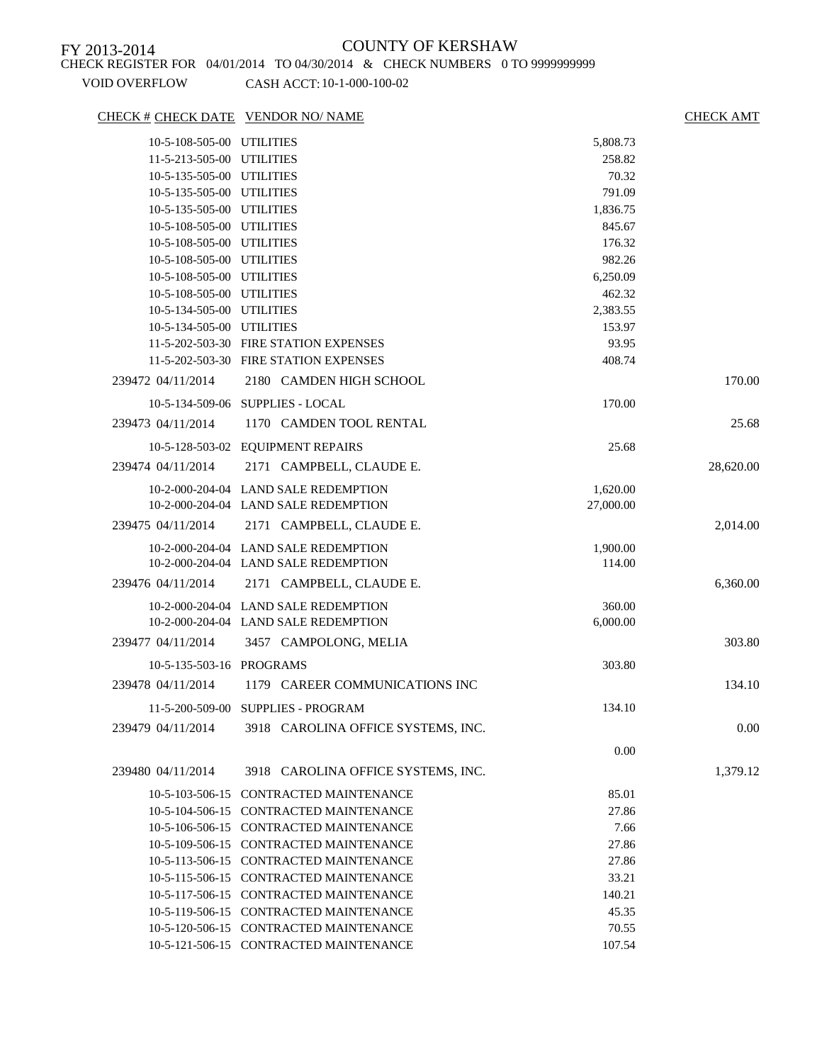### VOID OVERFLOW CASH ACCT: 10-1-000-100-02

### CHECK # CHECK DATE VENDOR NO/ NAME CHECK AMT

| 10-5-108-505-00 UTILITIES |                                                      | 5,808.73  |           |
|---------------------------|------------------------------------------------------|-----------|-----------|
| 11-5-213-505-00 UTILITIES |                                                      | 258.82    |           |
| 10-5-135-505-00 UTILITIES |                                                      | 70.32     |           |
| 10-5-135-505-00 UTILITIES |                                                      | 791.09    |           |
| 10-5-135-505-00 UTILITIES |                                                      | 1,836.75  |           |
| 10-5-108-505-00 UTILITIES |                                                      | 845.67    |           |
| 10-5-108-505-00 UTILITIES |                                                      | 176.32    |           |
| 10-5-108-505-00 UTILITIES |                                                      | 982.26    |           |
| 10-5-108-505-00 UTILITIES |                                                      | 6,250.09  |           |
| 10-5-108-505-00 UTILITIES |                                                      | 462.32    |           |
| 10-5-134-505-00 UTILITIES |                                                      | 2,383.55  |           |
| 10-5-134-505-00 UTILITIES |                                                      | 153.97    |           |
|                           | 11-5-202-503-30 FIRE STATION EXPENSES                | 93.95     |           |
|                           | 11-5-202-503-30 FIRE STATION EXPENSES                | 408.74    |           |
| 239472 04/11/2014         | 2180 CAMDEN HIGH SCHOOL                              |           | 170.00    |
|                           | 10-5-134-509-06 SUPPLIES - LOCAL                     | 170.00    |           |
| 239473 04/11/2014         | 1170 CAMDEN TOOL RENTAL                              |           | 25.68     |
|                           | 10-5-128-503-02 EQUIPMENT REPAIRS                    | 25.68     |           |
| 239474 04/11/2014         | 2171 CAMPBELL, CLAUDE E.                             |           | 28,620.00 |
|                           |                                                      |           |           |
|                           | 10-2-000-204-04 LAND SALE REDEMPTION                 | 1,620.00  |           |
|                           | 10-2-000-204-04 LAND SALE REDEMPTION                 | 27,000.00 |           |
| 239475 04/11/2014         | 2171 CAMPBELL, CLAUDE E.                             |           | 2,014.00  |
|                           | 10-2-000-204-04 LAND SALE REDEMPTION                 | 1,900.00  |           |
|                           | 10-2-000-204-04 LAND SALE REDEMPTION                 | 114.00    |           |
| 239476 04/11/2014         | 2171 CAMPBELL, CLAUDE E.                             |           | 6,360.00  |
|                           | 10-2-000-204-04 LAND SALE REDEMPTION                 | 360.00    |           |
|                           | 10-2-000-204-04 LAND SALE REDEMPTION                 | 6,000.00  |           |
| 239477 04/11/2014         | 3457 CAMPOLONG, MELIA                                |           | 303.80    |
| 10-5-135-503-16 PROGRAMS  |                                                      | 303.80    |           |
|                           |                                                      |           |           |
| 239478 04/11/2014         | 1179 CAREER COMMUNICATIONS INC                       |           | 134.10    |
|                           | 11-5-200-509-00 SUPPLIES - PROGRAM                   | 134.10    |           |
|                           | 239479 04/11/2014 3918 CAROLINA OFFICE SYSTEMS, INC. |           | 0.00      |
|                           |                                                      | 0.00      |           |
| 239480 04/11/2014         |                                                      |           |           |
|                           | 3918 CAROLINA OFFICE SYSTEMS, INC.                   |           | 1,379.12  |
|                           | 10-5-103-506-15 CONTRACTED MAINTENANCE               | 85.01     |           |
|                           | 10-5-104-506-15 CONTRACTED MAINTENANCE               | 27.86     |           |
|                           | 10-5-106-506-15 CONTRACTED MAINTENANCE               | 7.66      |           |
|                           | 10-5-109-506-15 CONTRACTED MAINTENANCE               | 27.86     |           |
|                           | 10-5-113-506-15 CONTRACTED MAINTENANCE               | 27.86     |           |
|                           | 10-5-115-506-15 CONTRACTED MAINTENANCE               | 33.21     |           |
|                           | 10-5-117-506-15 CONTRACTED MAINTENANCE               | 140.21    |           |
|                           | 10-5-119-506-15 CONTRACTED MAINTENANCE               | 45.35     |           |
|                           | 10-5-120-506-15 CONTRACTED MAINTENANCE               | 70.55     |           |
|                           | 10-5-121-506-15 CONTRACTED MAINTENANCE               | 107.54    |           |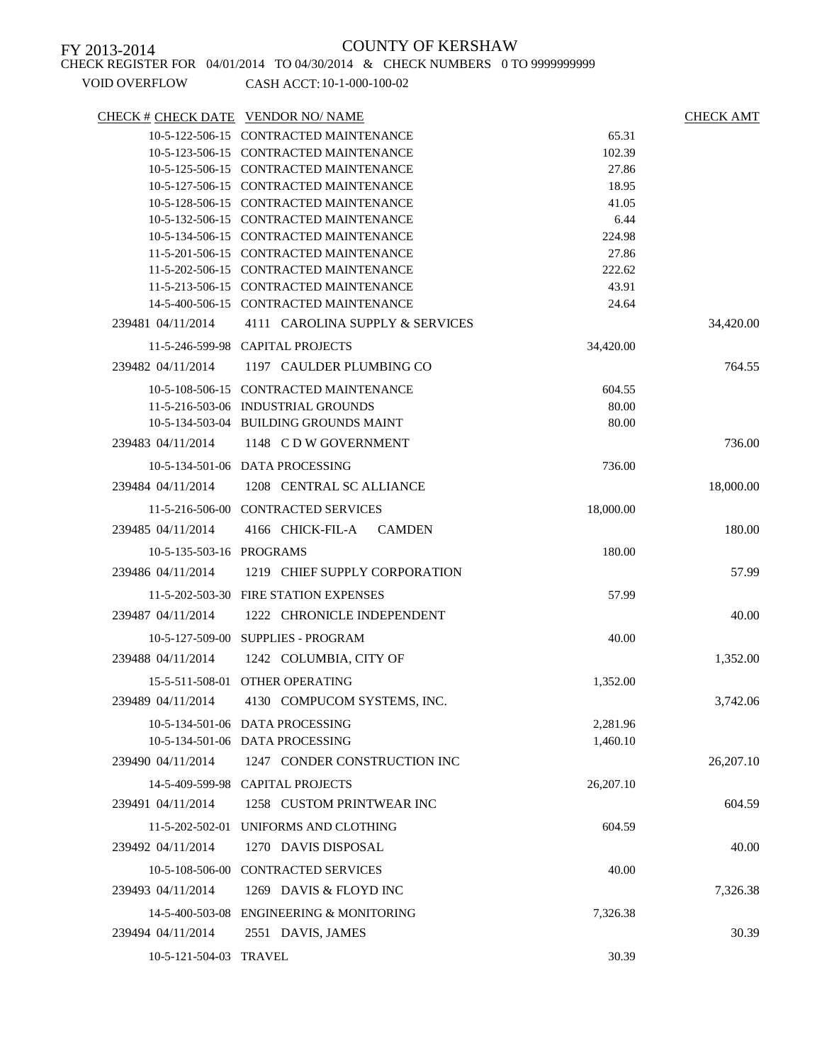CHECK REGISTER FOR 04/01/2014 TO 04/30/2014 & CHECK NUMBERS 0 TO 9999999999

| CHECK # CHECK DATE VENDOR NO/ NAME |                                          |           | <b>CHECK AMT</b> |
|------------------------------------|------------------------------------------|-----------|------------------|
|                                    | 10-5-122-506-15 CONTRACTED MAINTENANCE   | 65.31     |                  |
|                                    | 10-5-123-506-15 CONTRACTED MAINTENANCE   | 102.39    |                  |
|                                    | 10-5-125-506-15 CONTRACTED MAINTENANCE   | 27.86     |                  |
|                                    | 10-5-127-506-15 CONTRACTED MAINTENANCE   | 18.95     |                  |
|                                    | 10-5-128-506-15 CONTRACTED MAINTENANCE   | 41.05     |                  |
|                                    | 10-5-132-506-15 CONTRACTED MAINTENANCE   | 6.44      |                  |
|                                    | 10-5-134-506-15 CONTRACTED MAINTENANCE   | 224.98    |                  |
|                                    | 11-5-201-506-15 CONTRACTED MAINTENANCE   | 27.86     |                  |
|                                    | 11-5-202-506-15 CONTRACTED MAINTENANCE   | 222.62    |                  |
|                                    | 11-5-213-506-15 CONTRACTED MAINTENANCE   | 43.91     |                  |
|                                    | 14-5-400-506-15 CONTRACTED MAINTENANCE   | 24.64     |                  |
| 239481 04/11/2014                  | 4111 CAROLINA SUPPLY & SERVICES          |           | 34,420.00        |
|                                    | 11-5-246-599-98 CAPITAL PROJECTS         | 34,420.00 |                  |
| 239482 04/11/2014                  | 1197 CAULDER PLUMBING CO                 |           | 764.55           |
|                                    | 10-5-108-506-15 CONTRACTED MAINTENANCE   | 604.55    |                  |
|                                    | 11-5-216-503-06 INDUSTRIAL GROUNDS       | 80.00     |                  |
|                                    | 10-5-134-503-04 BUILDING GROUNDS MAINT   | 80.00     |                  |
| 239483 04/11/2014                  | 1148 CDW GOVERNMENT                      |           | 736.00           |
|                                    | 10-5-134-501-06 DATA PROCESSING          | 736.00    |                  |
| 239484 04/11/2014                  | 1208 CENTRAL SC ALLIANCE                 |           | 18,000.00        |
|                                    | 11-5-216-506-00 CONTRACTED SERVICES      | 18,000.00 |                  |
| 239485 04/11/2014                  | 4166 CHICK-FIL-A CAMDEN                  |           | 180.00           |
| 10-5-135-503-16 PROGRAMS           |                                          | 180.00    |                  |
|                                    |                                          |           | 57.99            |
| 239486 04/11/2014                  | 1219 CHIEF SUPPLY CORPORATION            |           |                  |
|                                    | 11-5-202-503-30 FIRE STATION EXPENSES    | 57.99     |                  |
| 239487 04/11/2014                  | 1222 CHRONICLE INDEPENDENT               |           | 40.00            |
|                                    | 10-5-127-509-00 SUPPLIES - PROGRAM       | 40.00     |                  |
| 239488 04/11/2014                  | 1242 COLUMBIA, CITY OF                   |           | 1,352.00         |
|                                    | 15-5-511-508-01 OTHER OPERATING          | 1,352.00  |                  |
| 239489 04/11/2014                  | 4130 COMPUCOM SYSTEMS, INC.              |           | 3,742.06         |
|                                    |                                          |           |                  |
|                                    | 10-5-134-501-06 DATA PROCESSING          | 2,281.96  |                  |
|                                    | 10-5-134-501-06 DATA PROCESSING          | 1,460.10  |                  |
| 239490 04/11/2014                  | 1247 CONDER CONSTRUCTION INC             |           | 26,207.10        |
|                                    | 14-5-409-599-98 CAPITAL PROJECTS         | 26,207.10 |                  |
| 239491 04/11/2014                  | 1258 CUSTOM PRINTWEAR INC                |           | 604.59           |
|                                    | 11-5-202-502-01 UNIFORMS AND CLOTHING    | 604.59    |                  |
| 239492 04/11/2014                  | 1270 DAVIS DISPOSAL                      |           | 40.00            |
|                                    | 10-5-108-506-00 CONTRACTED SERVICES      | 40.00     |                  |
| 239493 04/11/2014                  | 1269 DAVIS & FLOYD INC                   |           | 7,326.38         |
|                                    | 14-5-400-503-08 ENGINEERING & MONITORING | 7,326.38  |                  |
| 239494 04/11/2014                  | 2551 DAVIS, JAMES                        |           | 30.39            |
|                                    |                                          |           |                  |
| 10-5-121-504-03 TRAVEL             |                                          | 30.39     |                  |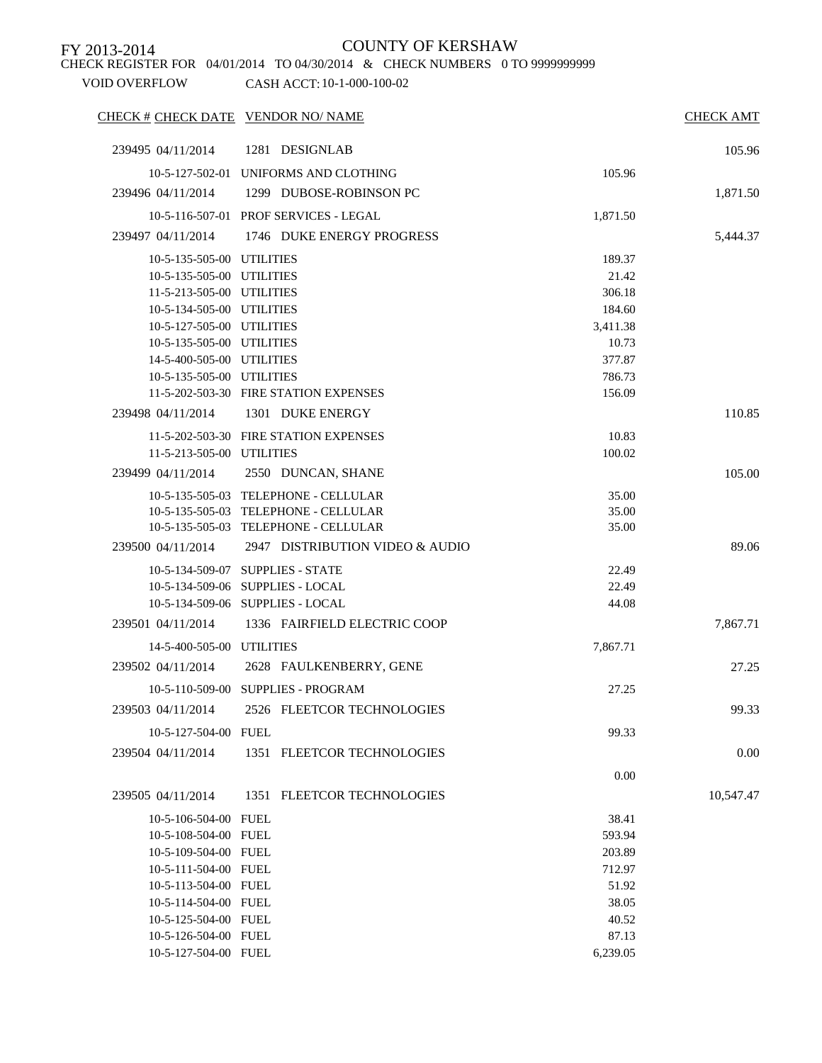CHECK REGISTER FOR 04/01/2014 TO 04/30/2014 & CHECK NUMBERS 0 TO 9999999999

| CHECK # CHECK DATE VENDOR NO/ NAME |                                       |          | <b>CHECK AMT</b> |
|------------------------------------|---------------------------------------|----------|------------------|
| 239495 04/11/2014                  | 1281 DESIGNLAB                        |          | 105.96           |
|                                    | 10-5-127-502-01 UNIFORMS AND CLOTHING | 105.96   |                  |
| 239496 04/11/2014                  | 1299 DUBOSE-ROBINSON PC               |          | 1,871.50         |
|                                    | 10-5-116-507-01 PROF SERVICES - LEGAL | 1,871.50 |                  |
|                                    | 1746 DUKE ENERGY PROGRESS             |          |                  |
| 239497 04/11/2014                  |                                       |          | 5,444.37         |
| 10-5-135-505-00 UTILITIES          |                                       | 189.37   |                  |
| 10-5-135-505-00 UTILITIES          |                                       | 21.42    |                  |
| 11-5-213-505-00 UTILITIES          |                                       | 306.18   |                  |
| 10-5-134-505-00 UTILITIES          |                                       | 184.60   |                  |
| 10-5-127-505-00 UTILITIES          |                                       | 3,411.38 |                  |
| 10-5-135-505-00 UTILITIES          |                                       | 10.73    |                  |
| 14-5-400-505-00 UTILITIES          |                                       | 377.87   |                  |
| 10-5-135-505-00 UTILITIES          |                                       | 786.73   |                  |
|                                    | 11-5-202-503-30 FIRE STATION EXPENSES | 156.09   |                  |
| 239498 04/11/2014                  | 1301 DUKE ENERGY                      |          | 110.85           |
|                                    | 11-5-202-503-30 FIRE STATION EXPENSES | 10.83    |                  |
| 11-5-213-505-00 UTILITIES          |                                       | 100.02   |                  |
| 239499 04/11/2014                  | 2550 DUNCAN, SHANE                    |          | 105.00           |
|                                    | 10-5-135-505-03 TELEPHONE - CELLULAR  | 35.00    |                  |
|                                    | 10-5-135-505-03 TELEPHONE - CELLULAR  | 35.00    |                  |
|                                    | 10-5-135-505-03 TELEPHONE - CELLULAR  | 35.00    |                  |
| 239500 04/11/2014                  | 2947 DISTRIBUTION VIDEO & AUDIO       |          | 89.06            |
|                                    | 10-5-134-509-07 SUPPLIES - STATE      | 22.49    |                  |
|                                    | 10-5-134-509-06 SUPPLIES - LOCAL      | 22.49    |                  |
|                                    | 10-5-134-509-06 SUPPLIES - LOCAL      | 44.08    |                  |
| 239501 04/11/2014                  | 1336 FAIRFIELD ELECTRIC COOP          |          | 7,867.71         |
| 14-5-400-505-00 UTILITIES          |                                       | 7,867.71 |                  |
| 239502 04/11/2014                  | 2628 FAULKENBERRY, GENE               |          | 27.25            |
|                                    | 10-5-110-509-00 SUPPLIES - PROGRAM    | 27.25    |                  |
| 239503 04/11/2014                  | 2526 FLEETCOR TECHNOLOGIES            |          | 99.33            |
|                                    |                                       |          |                  |
| 10-5-127-504-00 FUEL               |                                       | 99.33    |                  |
| 239504 04/11/2014                  | 1351 FLEETCOR TECHNOLOGIES            |          | 0.00             |
|                                    |                                       | 0.00     |                  |
| 239505 04/11/2014                  | 1351 FLEETCOR TECHNOLOGIES            |          | 10,547.47        |
| 10-5-106-504-00 FUEL               |                                       | 38.41    |                  |
| 10-5-108-504-00 FUEL               |                                       | 593.94   |                  |
| 10-5-109-504-00 FUEL               |                                       | 203.89   |                  |
| 10-5-111-504-00 FUEL               |                                       | 712.97   |                  |
| 10-5-113-504-00 FUEL               |                                       | 51.92    |                  |
| 10-5-114-504-00 FUEL               |                                       | 38.05    |                  |
| 10-5-125-504-00 FUEL               |                                       | 40.52    |                  |
| 10-5-126-504-00 FUEL               |                                       | 87.13    |                  |
| 10-5-127-504-00 FUEL               |                                       | 6,239.05 |                  |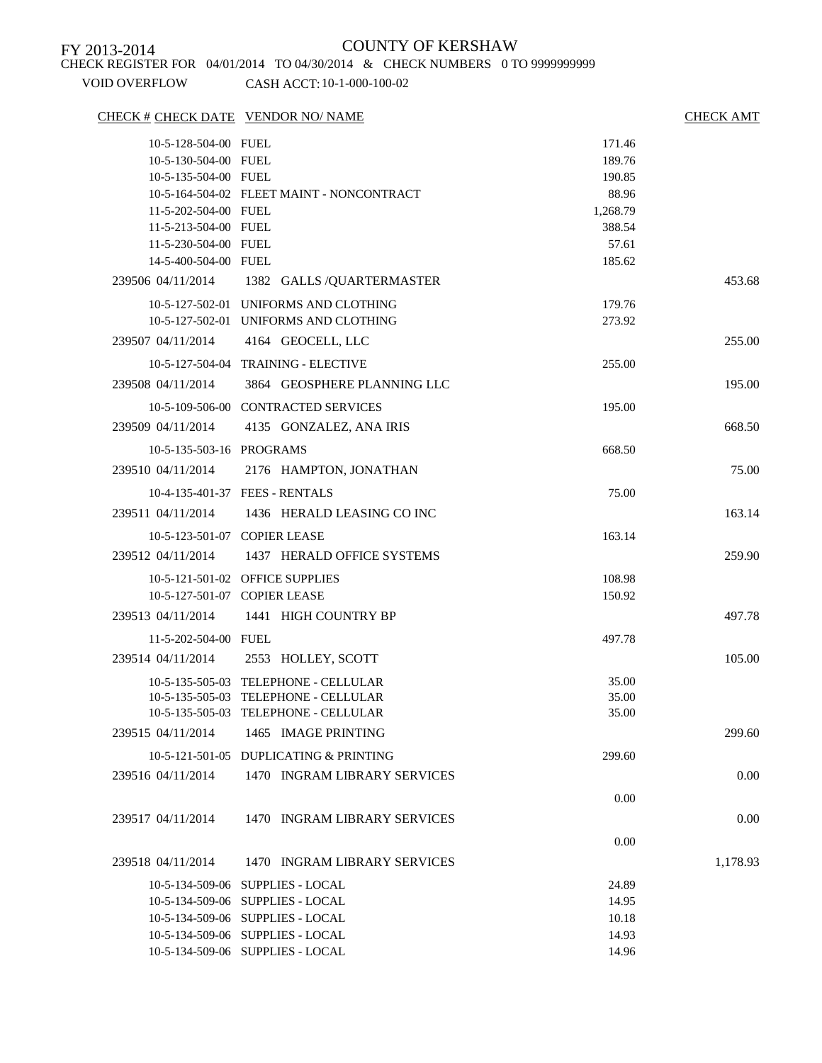CHECK REGISTER FOR 04/01/2014 TO 04/30/2014 & CHECK NUMBERS 0 TO 9999999999

| VOID OVERFLOW |  |
|---------------|--|
|               |  |

| CHECK # CHECK DATE VENDOR NO/ NAME |                                              |          | <b>CHECK AMT</b> |
|------------------------------------|----------------------------------------------|----------|------------------|
| 10-5-128-504-00 FUEL               |                                              | 171.46   |                  |
| 10-5-130-504-00 FUEL               |                                              | 189.76   |                  |
| 10-5-135-504-00 FUEL               |                                              | 190.85   |                  |
|                                    | 10-5-164-504-02 FLEET MAINT - NONCONTRACT    | 88.96    |                  |
| 11-5-202-504-00 FUEL               |                                              | 1,268.79 |                  |
| 11-5-213-504-00 FUEL               |                                              | 388.54   |                  |
| 11-5-230-504-00 FUEL               |                                              | 57.61    |                  |
| 14-5-400-504-00 FUEL               |                                              | 185.62   |                  |
|                                    | 239506 04/11/2014 1382 GALLS / QUARTERMASTER |          | 453.68           |
|                                    | 10-5-127-502-01 UNIFORMS AND CLOTHING        | 179.76   |                  |
|                                    | 10-5-127-502-01 UNIFORMS AND CLOTHING        | 273.92   |                  |
| 239507 04/11/2014                  | 4164 GEOCELL, LLC                            |          | 255.00           |
|                                    | 10-5-127-504-04 TRAINING - ELECTIVE          | 255.00   |                  |
| 239508 04/11/2014                  | 3864 GEOSPHERE PLANNING LLC                  |          | 195.00           |
|                                    | 10-5-109-506-00 CONTRACTED SERVICES          | 195.00   |                  |
| 239509 04/11/2014                  | 4135 GONZALEZ, ANA IRIS                      |          | 668.50           |
| 10-5-135-503-16 PROGRAMS           |                                              | 668.50   |                  |
| 239510 04/11/2014                  | 2176 HAMPTON, JONATHAN                       |          | 75.00            |
|                                    | 10-4-135-401-37 FEES - RENTALS               | 75.00    |                  |
|                                    | 239511 04/11/2014 1436 HERALD LEASING CO INC |          | 163.14           |
| 10-5-123-501-07 COPIER LEASE       |                                              | 163.14   |                  |
| 239512 04/11/2014                  | 1437 HERALD OFFICE SYSTEMS                   |          | 259.90           |
|                                    | 10-5-121-501-02 OFFICE SUPPLIES              | 108.98   |                  |
| 10-5-127-501-07 COPIER LEASE       |                                              | 150.92   |                  |
|                                    | 239513 04/11/2014 1441 HIGH COUNTRY BP       |          | 497.78           |
| 11-5-202-504-00 FUEL               |                                              | 497.78   |                  |
|                                    | 239514 04/11/2014 2553 HOLLEY, SCOTT         |          | 105.00           |
|                                    | 10-5-135-505-03 TELEPHONE - CELLULAR         | 35.00    |                  |
|                                    | 10-5-135-505-03 TELEPHONE - CELLULAR         | 35.00    |                  |
|                                    | 10-5-135-505-03 TELEPHONE - CELLULAR         | 35.00    |                  |
| 239515 04/11/2014                  | 1465 IMAGE PRINTING                          |          | 299.60           |
|                                    | 10-5-121-501-05 DUPLICATING & PRINTING       | 299.60   |                  |
| 239516 04/11/2014                  | 1470 INGRAM LIBRARY SERVICES                 |          | 0.00             |
|                                    |                                              | 0.00     |                  |
| 239517 04/11/2014                  | 1470 INGRAM LIBRARY SERVICES                 |          | 0.00             |
|                                    |                                              | 0.00     |                  |
| 239518 04/11/2014                  | 1470 INGRAM LIBRARY SERVICES                 |          | 1,178.93         |
|                                    | 10-5-134-509-06 SUPPLIES - LOCAL             | 24.89    |                  |
|                                    | 10-5-134-509-06 SUPPLIES - LOCAL             | 14.95    |                  |
|                                    | 10-5-134-509-06 SUPPLIES - LOCAL             | 10.18    |                  |
|                                    | 10-5-134-509-06 SUPPLIES - LOCAL             | 14.93    |                  |
|                                    | 10-5-134-509-06 SUPPLIES - LOCAL             | 14.96    |                  |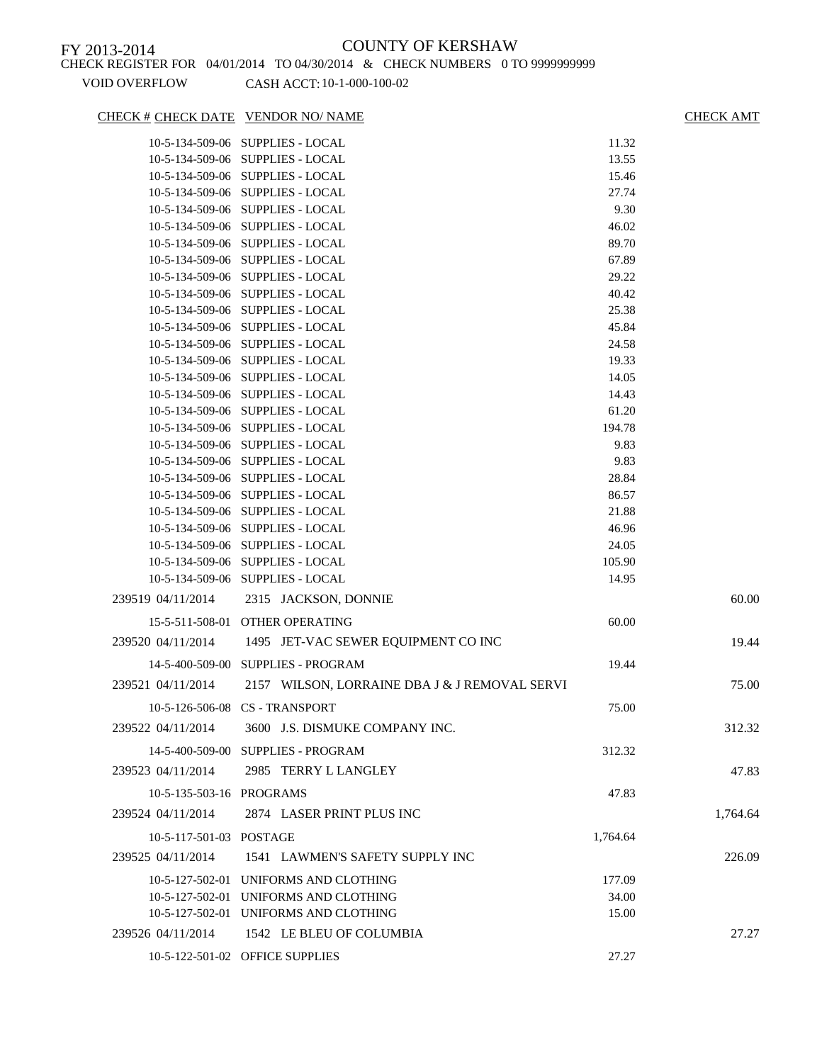### CHECK # CHECK DATE VENDOR NO/ NAME CHECK AMT

|                          | 10-5-134-509-06 SUPPLIES - LOCAL                                     | 11.32        |          |
|--------------------------|----------------------------------------------------------------------|--------------|----------|
|                          | 10-5-134-509-06 SUPPLIES - LOCAL                                     | 13.55        |          |
|                          | 10-5-134-509-06 SUPPLIES - LOCAL                                     | 15.46        |          |
|                          | 10-5-134-509-06 SUPPLIES - LOCAL                                     | 27.74        |          |
|                          | 10-5-134-509-06 SUPPLIES - LOCAL                                     | 9.30         |          |
|                          | 10-5-134-509-06 SUPPLIES - LOCAL                                     | 46.02        |          |
|                          | 10-5-134-509-06 SUPPLIES - LOCAL                                     | 89.70        |          |
|                          | 10-5-134-509-06 SUPPLIES - LOCAL                                     | 67.89        |          |
|                          | 10-5-134-509-06 SUPPLIES - LOCAL                                     | 29.22        |          |
|                          | 10-5-134-509-06 SUPPLIES - LOCAL                                     | 40.42        |          |
|                          | 10-5-134-509-06 SUPPLIES - LOCAL                                     | 25.38        |          |
|                          | 10-5-134-509-06 SUPPLIES - LOCAL                                     | 45.84        |          |
|                          | 10-5-134-509-06 SUPPLIES - LOCAL                                     | 24.58        |          |
|                          | 10-5-134-509-06 SUPPLIES - LOCAL                                     | 19.33        |          |
|                          | 10-5-134-509-06 SUPPLIES - LOCAL                                     | 14.05        |          |
|                          | 10-5-134-509-06 SUPPLIES - LOCAL                                     | 14.43        |          |
|                          | 10-5-134-509-06 SUPPLIES - LOCAL                                     | 61.20        |          |
|                          | 10-5-134-509-06 SUPPLIES - LOCAL                                     | 194.78       |          |
|                          | 10-5-134-509-06 SUPPLIES - LOCAL                                     | 9.83<br>9.83 |          |
|                          | 10-5-134-509-06 SUPPLIES - LOCAL<br>10-5-134-509-06 SUPPLIES - LOCAL | 28.84        |          |
|                          | 10-5-134-509-06 SUPPLIES - LOCAL                                     | 86.57        |          |
|                          | 10-5-134-509-06 SUPPLIES - LOCAL                                     | 21.88        |          |
|                          | 10-5-134-509-06 SUPPLIES - LOCAL                                     | 46.96        |          |
|                          | 10-5-134-509-06 SUPPLIES - LOCAL                                     | 24.05        |          |
|                          | 10-5-134-509-06 SUPPLIES - LOCAL                                     | 105.90       |          |
|                          | 10-5-134-509-06 SUPPLIES - LOCAL                                     | 14.95        |          |
| 239519 04/11/2014        | 2315 JACKSON, DONNIE                                                 |              | 60.00    |
|                          | 15-5-511-508-01 OTHER OPERATING                                      | 60.00        |          |
|                          |                                                                      |              |          |
| 239520 04/11/2014        | 1495 JET-VAC SEWER EQUIPMENT CO INC                                  |              | 19.44    |
|                          | 14-5-400-509-00 SUPPLIES - PROGRAM                                   | 19.44        |          |
| 239521 04/11/2014        | 2157 WILSON, LORRAINE DBA J & J REMOVAL SERVI                        |              | 75.00    |
|                          | 10-5-126-506-08 CS - TRANSPORT                                       | 75.00        |          |
| 239522 04/11/2014        | 3600 J.S. DISMUKE COMPANY INC.                                       |              | 312.32   |
|                          | 14-5-400-509-00 SUPPLIES - PROGRAM                                   | 312.32       |          |
| 239523 04/11/2014        | 2985 TERRY L LANGLEY                                                 |              | 47.83    |
| 10-5-135-503-16 PROGRAMS |                                                                      | 47.83        |          |
| 239524 04/11/2014        | 2874 LASER PRINT PLUS INC                                            |              | 1,764.64 |
| 10-5-117-501-03 POSTAGE  |                                                                      | 1,764.64     |          |
| 239525 04/11/2014        | 1541 LAWMEN'S SAFETY SUPPLY INC                                      |              | 226.09   |
|                          | 10-5-127-502-01 UNIFORMS AND CLOTHING                                | 177.09       |          |
|                          | 10-5-127-502-01 UNIFORMS AND CLOTHING                                | 34.00        |          |
|                          | 10-5-127-502-01 UNIFORMS AND CLOTHING                                | 15.00        |          |
| 239526 04/11/2014        | 1542 LE BLEU OF COLUMBIA                                             |              | 27.27    |
|                          | 10-5-122-501-02 OFFICE SUPPLIES                                      | 27.27        |          |
|                          |                                                                      |              |          |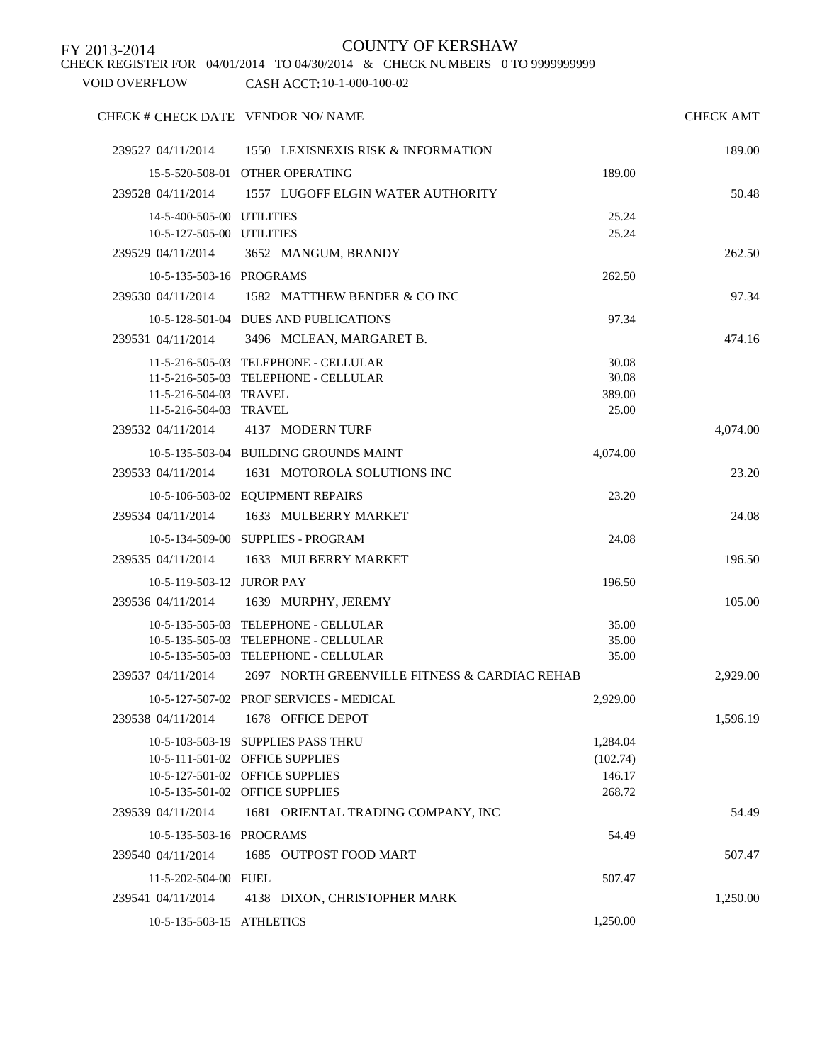CHECK REGISTER FOR 04/01/2014 TO 04/30/2014 & CHECK NUMBERS 0 TO 9999999999

| CHECK # CHECK DATE VENDOR NO/ NAME |                                               |          | <b>CHECK AMT</b> |
|------------------------------------|-----------------------------------------------|----------|------------------|
| 239527 04/11/2014                  | 1550 LEXISNEXIS RISK & INFORMATION            |          | 189.00           |
|                                    | 15-5-520-508-01 OTHER OPERATING               | 189.00   |                  |
| 239528 04/11/2014                  | 1557 LUGOFF ELGIN WATER AUTHORITY             |          | 50.48            |
| 14-5-400-505-00 UTILITIES          |                                               | 25.24    |                  |
| 10-5-127-505-00 UTILITIES          |                                               | 25.24    |                  |
| 239529 04/11/2014                  | 3652 MANGUM, BRANDY                           |          | 262.50           |
| 10-5-135-503-16 PROGRAMS           |                                               | 262.50   |                  |
| 239530 04/11/2014                  | 1582 MATTHEW BENDER & CO INC                  |          | 97.34            |
|                                    | 10-5-128-501-04 DUES AND PUBLICATIONS         | 97.34    |                  |
| 239531 04/11/2014                  | 3496 MCLEAN, MARGARET B.                      |          | 474.16           |
|                                    | 11-5-216-505-03 TELEPHONE - CELLULAR          | 30.08    |                  |
|                                    | 11-5-216-505-03 TELEPHONE - CELLULAR          | 30.08    |                  |
| 11-5-216-504-03 TRAVEL             |                                               | 389.00   |                  |
| 11-5-216-504-03 TRAVEL             |                                               | 25.00    |                  |
| 239532 04/11/2014                  | 4137 MODERN TURF                              |          | 4,074.00         |
|                                    | 10-5-135-503-04 BUILDING GROUNDS MAINT        | 4,074.00 |                  |
| 239533 04/11/2014                  | 1631 MOTOROLA SOLUTIONS INC                   |          | 23.20            |
|                                    | 10-5-106-503-02 EQUIPMENT REPAIRS             | 23.20    |                  |
| 239534 04/11/2014                  | 1633 MULBERRY MARKET                          |          | 24.08            |
|                                    | 10-5-134-509-00 SUPPLIES - PROGRAM            | 24.08    |                  |
| 239535 04/11/2014                  | 1633 MULBERRY MARKET                          |          | 196.50           |
| 10-5-119-503-12 JUROR PAY          |                                               | 196.50   |                  |
| 239536 04/11/2014                  | 1639 MURPHY, JEREMY                           |          | 105.00           |
|                                    | 10-5-135-505-03 TELEPHONE - CELLULAR          | 35.00    |                  |
|                                    | 10-5-135-505-03 TELEPHONE - CELLULAR          | 35.00    |                  |
|                                    | 10-5-135-505-03 TELEPHONE - CELLULAR          | 35.00    |                  |
| 239537 04/11/2014                  | 2697 NORTH GREENVILLE FITNESS & CARDIAC REHAB |          | 2,929.00         |
|                                    | 10-5-127-507-02 PROF SERVICES - MEDICAL       | 2,929.00 |                  |
| 239538 04/11/2014                  | 1678 OFFICE DEPOT                             |          | 1,596.19         |
|                                    | 10-5-103-503-19 SUPPLIES PASS THRU            | 1,284.04 |                  |
|                                    | 10-5-111-501-02 OFFICE SUPPLIES               | (102.74) |                  |
|                                    | 10-5-127-501-02 OFFICE SUPPLIES               | 146.17   |                  |
|                                    | 10-5-135-501-02 OFFICE SUPPLIES               | 268.72   |                  |
| 239539 04/11/2014                  | 1681 ORIENTAL TRADING COMPANY, INC            |          | 54.49            |
| 10-5-135-503-16 PROGRAMS           |                                               | 54.49    |                  |
| 239540 04/11/2014                  | 1685 OUTPOST FOOD MART                        |          | 507.47           |
| 11-5-202-504-00 FUEL               |                                               | 507.47   |                  |
| 239541 04/11/2014                  | 4138 DIXON, CHRISTOPHER MARK                  |          | 1,250.00         |
| 10-5-135-503-15 ATHLETICS          |                                               | 1,250.00 |                  |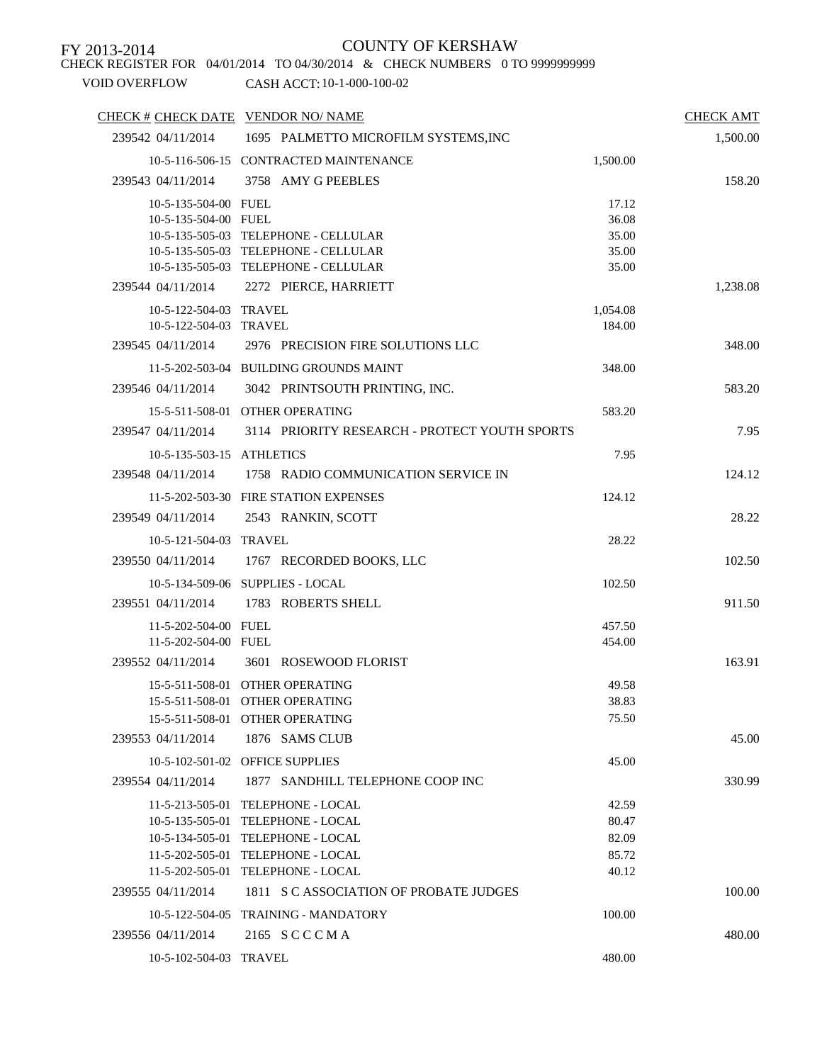CHECK REGISTER FOR 04/01/2014 TO 04/30/2014 & CHECK NUMBERS 0 TO 9999999999

| CHECK # CHECK DATE VENDOR NO/NAME |                                               |          | <b>CHECK AMT</b> |
|-----------------------------------|-----------------------------------------------|----------|------------------|
| 239542 04/11/2014                 | 1695 PALMETTO MICROFILM SYSTEMS, INC          |          | 1,500.00         |
|                                   | 10-5-116-506-15 CONTRACTED MAINTENANCE        | 1,500.00 |                  |
| 239543 04/11/2014                 | 3758 AMY G PEEBLES                            |          | 158.20           |
| 10-5-135-504-00 FUEL              |                                               | 17.12    |                  |
| 10-5-135-504-00 FUEL              |                                               | 36.08    |                  |
|                                   | 10-5-135-505-03 TELEPHONE - CELLULAR          | 35.00    |                  |
|                                   | 10-5-135-505-03 TELEPHONE - CELLULAR          | 35.00    |                  |
|                                   | 10-5-135-505-03 TELEPHONE - CELLULAR          | 35.00    |                  |
| 239544 04/11/2014                 | 2272 PIERCE, HARRIETT                         |          | 1,238.08         |
| 10-5-122-504-03 TRAVEL            |                                               | 1,054.08 |                  |
| 10-5-122-504-03 TRAVEL            |                                               | 184.00   |                  |
| 239545 04/11/2014                 | 2976 PRECISION FIRE SOLUTIONS LLC             |          | 348.00           |
|                                   | 11-5-202-503-04 BUILDING GROUNDS MAINT        | 348.00   |                  |
| 239546 04/11/2014                 | 3042 PRINTSOUTH PRINTING, INC.                |          | 583.20           |
|                                   | 15-5-511-508-01 OTHER OPERATING               | 583.20   |                  |
| 239547 04/11/2014                 | 3114 PRIORITY RESEARCH - PROTECT YOUTH SPORTS |          | 7.95             |
| 10-5-135-503-15 ATHLETICS         |                                               | 7.95     |                  |
| 239548 04/11/2014                 | 1758 RADIO COMMUNICATION SERVICE IN           |          | 124.12           |
|                                   | 11-5-202-503-30 FIRE STATION EXPENSES         | 124.12   |                  |
| 239549 04/11/2014                 | 2543 RANKIN, SCOTT                            |          | 28.22            |
| 10-5-121-504-03 TRAVEL            |                                               | 28.22    |                  |
| 239550 04/11/2014                 | 1767 RECORDED BOOKS, LLC                      |          | 102.50           |
|                                   | 10-5-134-509-06 SUPPLIES - LOCAL              | 102.50   |                  |
| 239551 04/11/2014                 | 1783 ROBERTS SHELL                            |          | 911.50           |
| 11-5-202-504-00 FUEL              |                                               | 457.50   |                  |
| 11-5-202-504-00 FUEL              |                                               | 454.00   |                  |
| 239552 04/11/2014                 | 3601 ROSEWOOD FLORIST                         |          | 163.91           |
|                                   | 15-5-511-508-01 OTHER OPERATING               | 49.58    |                  |
|                                   | 15-5-511-508-01 OTHER OPERATING               | 38.83    |                  |
|                                   | 15-5-511-508-01 OTHER OPERATING               | 75.50    |                  |
| 239553 04/11/2014                 | 1876 SAMS CLUB                                |          | 45.00            |
|                                   | 10-5-102-501-02 OFFICE SUPPLIES               | 45.00    |                  |
| 239554 04/11/2014                 | 1877 SANDHILL TELEPHONE COOP INC              |          | 330.99           |
|                                   | 11-5-213-505-01 TELEPHONE - LOCAL             | 42.59    |                  |
|                                   | 10-5-135-505-01 TELEPHONE - LOCAL             | 80.47    |                  |
|                                   | 10-5-134-505-01 TELEPHONE - LOCAL             | 82.09    |                  |
|                                   | 11-5-202-505-01 TELEPHONE - LOCAL             | 85.72    |                  |
|                                   | 11-5-202-505-01 TELEPHONE - LOCAL             | 40.12    |                  |
| 239555 04/11/2014                 | 1811 S C ASSOCIATION OF PROBATE JUDGES        |          | 100.00           |
|                                   | 10-5-122-504-05 TRAINING - MANDATORY          | 100.00   |                  |
| 239556 04/11/2014                 | 2165 SCCCMA                                   |          | 480.00           |
| 10-5-102-504-03 TRAVEL            |                                               | 480.00   |                  |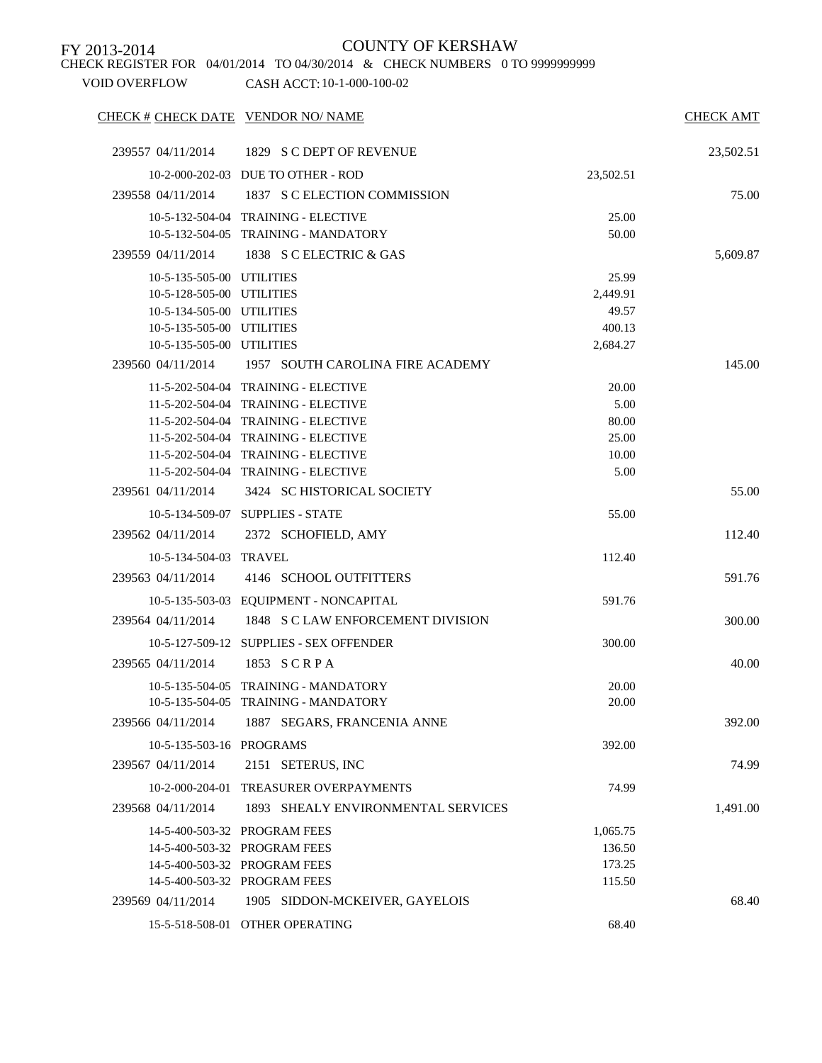CHECK REGISTER FOR 04/01/2014 TO 04/30/2014 & CHECK NUMBERS 0 TO 9999999999

| CHECK # CHECK DATE VENDOR NO/ NAME |                                                    |                | <b>CHECK AMT</b> |
|------------------------------------|----------------------------------------------------|----------------|------------------|
| 239557 04/11/2014                  | 1829 S C DEPT OF REVENUE                           |                | 23,502.51        |
|                                    | 10-2-000-202-03 DUE TO OTHER - ROD                 | 23,502.51      |                  |
| 239558 04/11/2014                  | 1837 S C ELECTION COMMISSION                       |                | 75.00            |
|                                    | 10-5-132-504-04 TRAINING - ELECTIVE                | 25.00          |                  |
|                                    | 10-5-132-504-05 TRAINING - MANDATORY               | 50.00          |                  |
|                                    | 239559 04/11/2014 1838 S C ELECTRIC & GAS          |                | 5,609.87         |
| 10-5-135-505-00 UTILITIES          |                                                    | 25.99          |                  |
| 10-5-128-505-00 UTILITIES          |                                                    | 2,449.91       |                  |
| 10-5-134-505-00 UTILITIES          |                                                    | 49.57          |                  |
| 10-5-135-505-00 UTILITIES          |                                                    | 400.13         |                  |
| 10-5-135-505-00 UTILITIES          |                                                    | 2,684.27       |                  |
|                                    | 239560 04/11/2014 1957 SOUTH CAROLINA FIRE ACADEMY |                | 145.00           |
|                                    | 11-5-202-504-04 TRAINING - ELECTIVE                | 20.00          |                  |
|                                    | 11-5-202-504-04 TRAINING - ELECTIVE                | 5.00           |                  |
|                                    | 11-5-202-504-04 TRAINING - ELECTIVE                | 80.00          |                  |
|                                    | 11-5-202-504-04 TRAINING - ELECTIVE                | 25.00          |                  |
|                                    | 11-5-202-504-04 TRAINING - ELECTIVE                | 10.00          |                  |
|                                    | 11-5-202-504-04 TRAINING - ELECTIVE                | 5.00           |                  |
| 239561 04/11/2014                  | 3424 SC HISTORICAL SOCIETY                         |                | 55.00            |
|                                    | 10-5-134-509-07 SUPPLIES - STATE                   | 55.00          |                  |
| 239562 04/11/2014                  | 2372 SCHOFIELD, AMY                                |                | 112.40           |
| 10-5-134-504-03 TRAVEL             |                                                    | 112.40         |                  |
| 239563 04/11/2014                  | 4146 SCHOOL OUTFITTERS                             |                | 591.76           |
|                                    | 10-5-135-503-03 EQUIPMENT - NONCAPITAL             | 591.76         |                  |
| 239564 04/11/2014                  | 1848 S C LAW ENFORCEMENT DIVISION                  |                | 300.00           |
|                                    | 10-5-127-509-12 SUPPLIES - SEX OFFENDER            | 300.00         |                  |
| 239565 04/11/2014                  | 1853 SCRPA                                         |                | 40.00            |
|                                    | 10-5-135-504-05 TRAINING - MANDATORY               |                |                  |
|                                    | 10-5-135-504-05 TRAINING - MANDATORY               | 20.00<br>20.00 |                  |
|                                    |                                                    |                |                  |
| 239566 04/11/2014                  | 1887 SEGARS, FRANCENIA ANNE                        |                | 392.00           |
| 10-5-135-503-16 PROGRAMS           |                                                    | 392.00         |                  |
| 239567 04/11/2014                  | 2151 SETERUS, INC                                  |                | 74.99            |
|                                    | 10-2-000-204-01 TREASURER OVERPAYMENTS             | 74.99          |                  |
| 239568 04/11/2014                  | 1893 SHEALY ENVIRONMENTAL SERVICES                 |                | 1,491.00         |
|                                    | 14-5-400-503-32 PROGRAM FEES                       | 1,065.75       |                  |
|                                    | 14-5-400-503-32 PROGRAM FEES                       | 136.50         |                  |
|                                    | 14-5-400-503-32 PROGRAM FEES                       | 173.25         |                  |
|                                    | 14-5-400-503-32 PROGRAM FEES                       | 115.50         |                  |
| 239569 04/11/2014                  | 1905 SIDDON-MCKEIVER, GAYELOIS                     |                | 68.40            |
|                                    | 15-5-518-508-01 OTHER OPERATING                    | 68.40          |                  |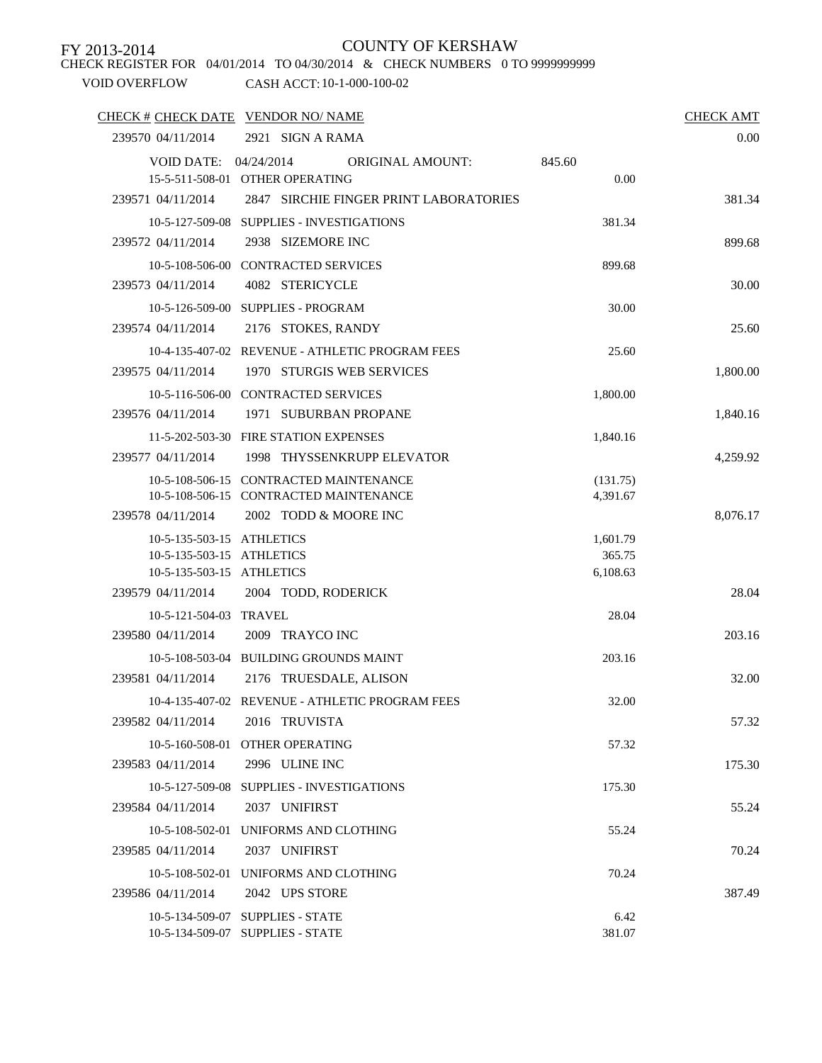CHECK REGISTER FOR 04/01/2014 TO 04/30/2014 & CHECK NUMBERS 0 TO 9999999999

| CHECK # CHECK DATE VENDOR NO/ NAME |                                                                              |                      | <b>CHECK AMT</b> |
|------------------------------------|------------------------------------------------------------------------------|----------------------|------------------|
| 239570 04/11/2014                  | 2921 SIGN A RAMA                                                             |                      | 0.00             |
| VOID DATE: $04/24/2014$            | <b>ORIGINAL AMOUNT:</b>                                                      | 845.60               |                  |
| 239571 04/11/2014                  | 15-5-511-508-01 OTHER OPERATING<br>2847 SIRCHIE FINGER PRINT LABORATORIES    | 0.00                 |                  |
|                                    |                                                                              |                      | 381.34           |
| 239572 04/11/2014                  | 10-5-127-509-08 SUPPLIES - INVESTIGATIONS<br>2938 SIZEMORE INC               | 381.34               | 899.68           |
|                                    |                                                                              |                      |                  |
| 239573 04/11/2014                  | 10-5-108-506-00 CONTRACTED SERVICES<br>4082 STERICYCLE                       | 899.68               | 30.00            |
|                                    | 10-5-126-509-00 SUPPLIES - PROGRAM                                           | 30.00                |                  |
| 239574 04/11/2014                  | 2176 STOKES, RANDY                                                           |                      | 25.60            |
|                                    |                                                                              |                      |                  |
| 239575 04/11/2014                  | 10-4-135-407-02 REVENUE - ATHLETIC PROGRAM FEES<br>1970 STURGIS WEB SERVICES | 25.60                | 1,800.00         |
|                                    | 10-5-116-506-00 CONTRACTED SERVICES                                          | 1,800.00             |                  |
| 239576 04/11/2014                  | 1971 SUBURBAN PROPANE                                                        |                      | 1,840.16         |
|                                    | 11-5-202-503-30 FIRE STATION EXPENSES                                        |                      |                  |
| 239577 04/11/2014                  | 1998 THYSSENKRUPP ELEVATOR                                                   | 1,840.16             | 4.259.92         |
|                                    | 10-5-108-506-15 CONTRACTED MAINTENANCE                                       |                      |                  |
|                                    | 10-5-108-506-15 CONTRACTED MAINTENANCE                                       | (131.75)<br>4,391.67 |                  |
| 239578 04/11/2014                  | 2002 TODD & MOORE INC                                                        |                      | 8,076.17         |
| 10-5-135-503-15 ATHLETICS          |                                                                              | 1,601.79             |                  |
| 10-5-135-503-15 ATHLETICS          |                                                                              | 365.75               |                  |
| 10-5-135-503-15 ATHLETICS          |                                                                              | 6,108.63             |                  |
| 239579 04/11/2014                  | 2004 TODD, RODERICK                                                          |                      | 28.04            |
| 10-5-121-504-03 TRAVEL             |                                                                              | 28.04                |                  |
| 239580 04/11/2014                  | 2009 TRAYCO INC                                                              |                      | 203.16           |
|                                    | 10-5-108-503-04 BUILDING GROUNDS MAINT                                       | 203.16               |                  |
| 239581 04/11/2014                  | 2176 TRUESDALE, ALISON                                                       |                      | 32.00            |
|                                    | 10-4-135-407-02 REVENUE - ATHLETIC PROGRAM FEES                              | 32.00                |                  |
| 239582 04/11/2014                  | 2016 TRUVISTA                                                                |                      | 57.32            |
|                                    | 10-5-160-508-01 OTHER OPERATING                                              | 57.32                |                  |
| 239583 04/11/2014                  | 2996 ULINE INC                                                               |                      | 175.30           |
|                                    | 10-5-127-509-08 SUPPLIES - INVESTIGATIONS                                    | 175.30               |                  |
| 239584 04/11/2014                  | 2037 UNIFIRST                                                                |                      | 55.24            |
|                                    | 10-5-108-502-01 UNIFORMS AND CLOTHING                                        | 55.24                |                  |
| 239585 04/11/2014                  | 2037 UNIFIRST                                                                |                      | 70.24            |
|                                    | 10-5-108-502-01 UNIFORMS AND CLOTHING                                        | 70.24                |                  |
| 239586 04/11/2014                  | 2042 UPS STORE                                                               |                      | 387.49           |
|                                    | 10-5-134-509-07 SUPPLIES - STATE                                             | 6.42                 |                  |
|                                    | 10-5-134-509-07 SUPPLIES - STATE                                             | 381.07               |                  |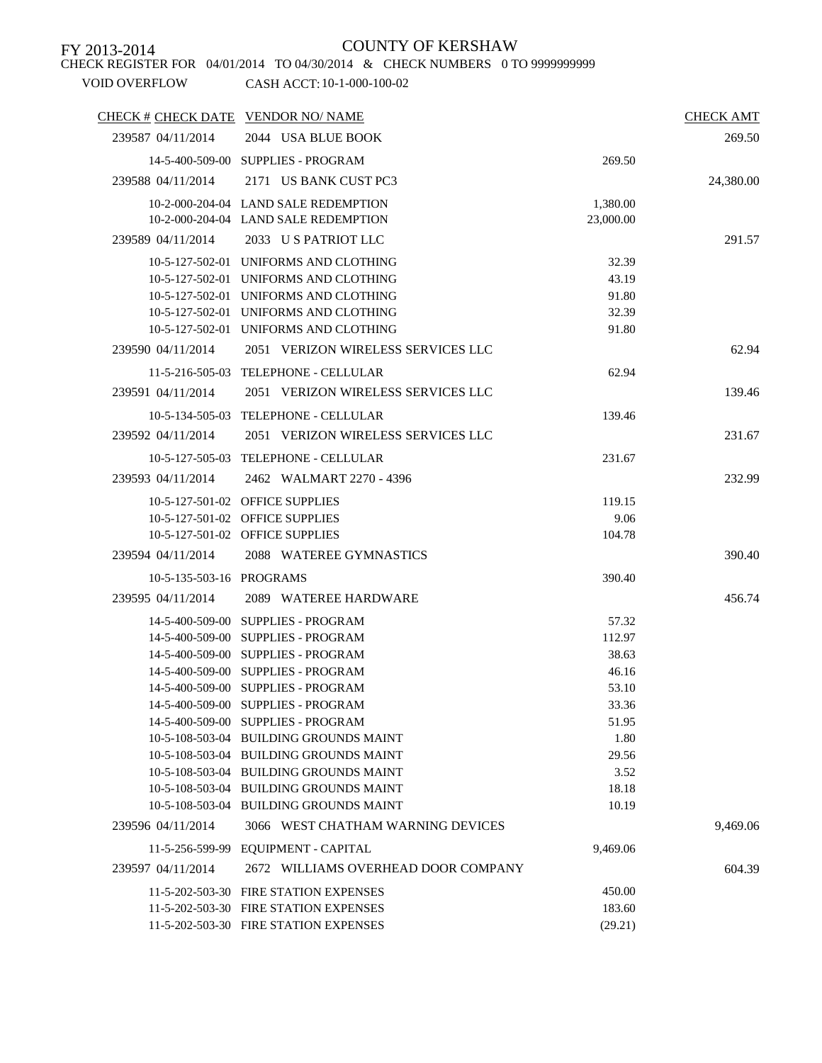### CHECK REGISTER FOR 04/01/2014 TO 04/30/2014 & CHECK NUMBERS 0 TO 9999999999

| CHECK # CHECK DATE VENDOR NO/ NAME |                                        |           | <b>CHECK AMT</b> |
|------------------------------------|----------------------------------------|-----------|------------------|
| 239587 04/11/2014                  | 2044 USA BLUE BOOK                     |           | 269.50           |
|                                    | 14-5-400-509-00 SUPPLIES - PROGRAM     | 269.50    |                  |
| 239588 04/11/2014                  | 2171 US BANK CUST PC3                  |           | 24,380.00        |
|                                    | 10-2-000-204-04 LAND SALE REDEMPTION   | 1,380.00  |                  |
|                                    | 10-2-000-204-04 LAND SALE REDEMPTION   | 23,000.00 |                  |
| 239589 04/11/2014                  | 2033 US PATRIOT LLC                    |           | 291.57           |
|                                    | 10-5-127-502-01 UNIFORMS AND CLOTHING  | 32.39     |                  |
|                                    | 10-5-127-502-01 UNIFORMS AND CLOTHING  | 43.19     |                  |
|                                    | 10-5-127-502-01 UNIFORMS AND CLOTHING  | 91.80     |                  |
|                                    | 10-5-127-502-01 UNIFORMS AND CLOTHING  | 32.39     |                  |
|                                    | 10-5-127-502-01 UNIFORMS AND CLOTHING  | 91.80     |                  |
| 239590 04/11/2014                  | 2051 VERIZON WIRELESS SERVICES LLC     |           | 62.94            |
|                                    | 11-5-216-505-03 TELEPHONE - CELLULAR   | 62.94     |                  |
| 239591 04/11/2014                  | 2051 VERIZON WIRELESS SERVICES LLC     |           | 139.46           |
|                                    | 10-5-134-505-03 TELEPHONE - CELLULAR   | 139.46    |                  |
| 239592 04/11/2014                  | 2051 VERIZON WIRELESS SERVICES LLC     |           | 231.67           |
|                                    | 10-5-127-505-03 TELEPHONE - CELLULAR   | 231.67    |                  |
| 239593 04/11/2014                  | 2462 WALMART 2270 - 4396               |           | 232.99           |
|                                    | 10-5-127-501-02 OFFICE SUPPLIES        | 119.15    |                  |
|                                    | 10-5-127-501-02 OFFICE SUPPLIES        | 9.06      |                  |
|                                    | 10-5-127-501-02 OFFICE SUPPLIES        | 104.78    |                  |
| 239594 04/11/2014                  | 2088 WATEREE GYMNASTICS                |           | 390.40           |
|                                    |                                        |           |                  |
| 10-5-135-503-16 PROGRAMS           |                                        | 390.40    |                  |
| 239595 04/11/2014                  | 2089 WATEREE HARDWARE                  |           | 456.74           |
|                                    | 14-5-400-509-00 SUPPLIES - PROGRAM     | 57.32     |                  |
|                                    | 14-5-400-509-00 SUPPLIES - PROGRAM     | 112.97    |                  |
|                                    | 14-5-400-509-00 SUPPLIES - PROGRAM     | 38.63     |                  |
|                                    | 14-5-400-509-00 SUPPLIES - PROGRAM     | 46.16     |                  |
|                                    | 14-5-400-509-00 SUPPLIES - PROGRAM     | 53.10     |                  |
|                                    | 14-5-400-509-00 SUPPLIES - PROGRAM     | 33.36     |                  |
|                                    | 14-5-400-509-00 SUPPLIES - PROGRAM     | 51.95     |                  |
|                                    | 10-5-108-503-04 BUILDING GROUNDS MAINT | 1.80      |                  |
|                                    | 10-5-108-503-04 BUILDING GROUNDS MAINT | 29.56     |                  |
|                                    | 10-5-108-503-04 BUILDING GROUNDS MAINT | 3.52      |                  |
|                                    | 10-5-108-503-04 BUILDING GROUNDS MAINT | 18.18     |                  |
|                                    | 10-5-108-503-04 BUILDING GROUNDS MAINT | 10.19     |                  |
| 239596 04/11/2014                  | 3066 WEST CHATHAM WARNING DEVICES      |           | 9,469.06         |
|                                    | 11-5-256-599-99 EQUIPMENT - CAPITAL    | 9,469.06  |                  |
| 239597 04/11/2014                  | 2672 WILLIAMS OVERHEAD DOOR COMPANY    |           | 604.39           |
|                                    | 11-5-202-503-30 FIRE STATION EXPENSES  | 450.00    |                  |
|                                    | 11-5-202-503-30 FIRE STATION EXPENSES  | 183.60    |                  |
|                                    | 11-5-202-503-30 FIRE STATION EXPENSES  | (29.21)   |                  |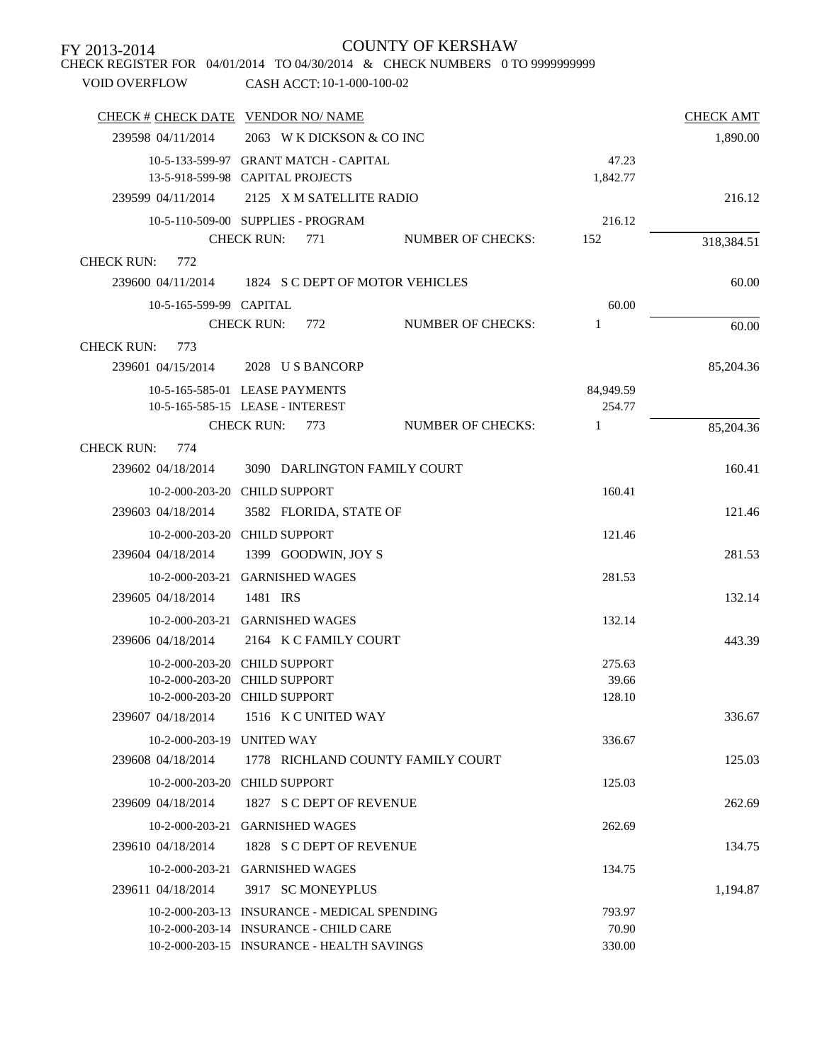| CHECK REGISTER FOR 04/01/2014 TO 04/30/2014 & CHECK NUMBERS 0 TO 99999999999<br><b>VOID OVERFLOW</b> | CASH ACCT: 10-1-000-100-02                   |                          |           |                  |
|------------------------------------------------------------------------------------------------------|----------------------------------------------|--------------------------|-----------|------------------|
| CHECK # CHECK DATE VENDOR NO/ NAME                                                                   |                                              |                          |           | <b>CHECK AMT</b> |
| 239598 04/11/2014                                                                                    | 2063 W K DICKSON & CO INC                    |                          |           | 1,890.00         |
|                                                                                                      | 10-5-133-599-97 GRANT MATCH - CAPITAL        |                          | 47.23     |                  |
|                                                                                                      | 13-5-918-599-98 CAPITAL PROJECTS             |                          | 1,842.77  |                  |
| 239599 04/11/2014                                                                                    | 2125 X M SATELLITE RADIO                     |                          |           | 216.12           |
|                                                                                                      | 10-5-110-509-00 SUPPLIES - PROGRAM           |                          | 216.12    |                  |
|                                                                                                      | <b>CHECK RUN:</b><br>771                     | <b>NUMBER OF CHECKS:</b> | 152       | 318,384.51       |
| <b>CHECK RUN:</b><br>772                                                                             |                                              |                          |           |                  |
| 239600 04/11/2014                                                                                    | 1824 S C DEPT OF MOTOR VEHICLES              |                          |           | 60.00            |
| 10-5-165-599-99 CAPITAL                                                                              |                                              |                          | 60.00     |                  |
|                                                                                                      | CHECK RUN: 772                               | <b>NUMBER OF CHECKS:</b> | 1         | 60.00            |
| <b>CHECK RUN:</b><br>773                                                                             |                                              |                          |           |                  |
| 239601 04/15/2014                                                                                    | 2028 U S BANCORP                             |                          |           | 85,204.36        |
|                                                                                                      | 10-5-165-585-01 LEASE PAYMENTS               |                          | 84,949.59 |                  |
|                                                                                                      | 10-5-165-585-15 LEASE - INTEREST             |                          | 254.77    |                  |
|                                                                                                      | <b>CHECK RUN:</b><br>773                     | <b>NUMBER OF CHECKS:</b> | 1         | 85,204.36        |
| <b>CHECK RUN:</b><br>774                                                                             |                                              |                          |           |                  |
| 239602 04/18/2014                                                                                    | 3090 DARLINGTON FAMILY COURT                 |                          |           | 160.41           |
| 10-2-000-203-20 CHILD SUPPORT                                                                        |                                              |                          | 160.41    |                  |
| 239603 04/18/2014                                                                                    | 3582 FLORIDA, STATE OF                       |                          |           | 121.46           |
| 10-2-000-203-20 CHILD SUPPORT                                                                        |                                              |                          | 121.46    |                  |
| 239604 04/18/2014                                                                                    | 1399 GOODWIN, JOY S                          |                          |           | 281.53           |
|                                                                                                      | 10-2-000-203-21 GARNISHED WAGES              |                          | 281.53    |                  |
| 239605 04/18/2014                                                                                    | 1481 IRS                                     |                          |           | 132.14           |
|                                                                                                      | 10-2-000-203-21 GARNISHED WAGES              |                          | 132.14    |                  |
| 239606 04/18/2014                                                                                    | 2164 K C FAMILY COURT                        |                          |           | 443.39           |
| 10-2-000-203-20 CHILD SUPPORT                                                                        |                                              |                          | 275.63    |                  |
| 10-2-000-203-20 CHILD SUPPORT                                                                        |                                              |                          | 39.66     |                  |
| 10-2-000-203-20 CHILD SUPPORT                                                                        |                                              |                          | 128.10    |                  |
| 239607 04/18/2014                                                                                    | 1516 K C UNITED WAY                          |                          |           | 336.67           |
| 10-2-000-203-19 UNITED WAY                                                                           |                                              |                          | 336.67    |                  |
| 239608 04/18/2014                                                                                    | 1778 RICHLAND COUNTY FAMILY COURT            |                          |           | 125.03           |
| 10-2-000-203-20 CHILD SUPPORT                                                                        |                                              |                          | 125.03    |                  |
| 239609 04/18/2014                                                                                    | 1827 S C DEPT OF REVENUE                     |                          |           | 262.69           |
|                                                                                                      | 10-2-000-203-21 GARNISHED WAGES              |                          | 262.69    |                  |
| 239610 04/18/2014                                                                                    | 1828 S C DEPT OF REVENUE                     |                          |           | 134.75           |
|                                                                                                      | 10-2-000-203-21 GARNISHED WAGES              |                          | 134.75    |                  |
| 239611 04/18/2014                                                                                    | 3917 SC MONEYPLUS                            |                          |           | 1,194.87         |
|                                                                                                      | 10-2-000-203-13 INSURANCE - MEDICAL SPENDING |                          | 793.97    |                  |
|                                                                                                      | 10-2-000-203-14 INSURANCE - CHILD CARE       |                          | 70.90     |                  |
|                                                                                                      | 10-2-000-203-15 INSURANCE - HEALTH SAVINGS   |                          | 330.00    |                  |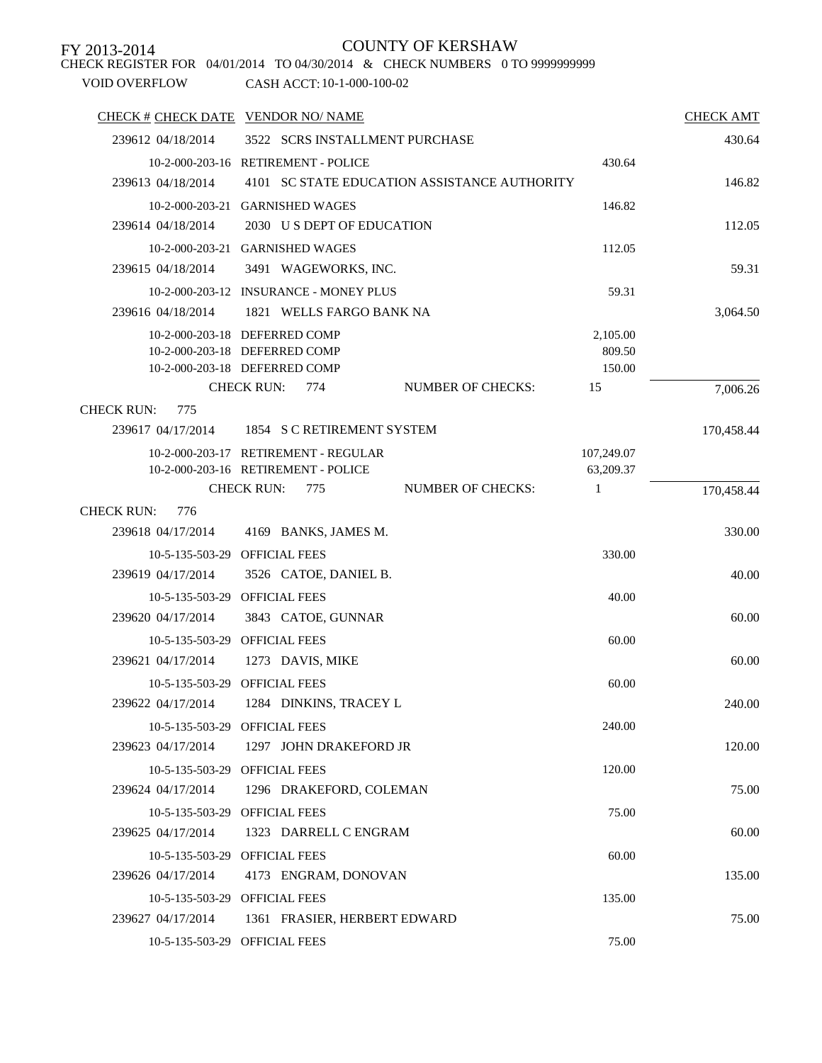CHECK REGISTER FOR 04/01/2014 TO 04/30/2014 & CHECK NUMBERS 0 TO 9999999999

| CHECK # CHECK DATE VENDOR NO/ NAME                                          |            | <b>CHECK AMT</b> |
|-----------------------------------------------------------------------------|------------|------------------|
| 3522 SCRS INSTALLMENT PURCHASE<br>239612 04/18/2014                         |            | 430.64           |
| 10-2-000-203-16 RETIREMENT - POLICE                                         | 430.64     |                  |
| 239613 04/18/2014<br>4101 SC STATE EDUCATION ASSISTANCE AUTHORITY           |            | 146.82           |
| 10-2-000-203-21 GARNISHED WAGES                                             | 146.82     |                  |
| 239614 04/18/2014<br>2030 U S DEPT OF EDUCATION                             |            | 112.05           |
| 10-2-000-203-21 GARNISHED WAGES                                             | 112.05     |                  |
| 239615 04/18/2014<br>3491 WAGEWORKS, INC.                                   |            | 59.31            |
| 10-2-000-203-12 INSURANCE - MONEY PLUS                                      | 59.31      |                  |
| 239616 04/18/2014<br>1821 WELLS FARGO BANK NA                               |            | 3,064.50         |
| 10-2-000-203-18 DEFERRED COMP                                               | 2,105.00   |                  |
| 10-2-000-203-18 DEFERRED COMP                                               | 809.50     |                  |
| 10-2-000-203-18 DEFERRED COMP                                               | 150.00     |                  |
| <b>CHECK RUN:</b><br>774<br><b>NUMBER OF CHECKS:</b>                        | 15         | 7,006.26         |
| <b>CHECK RUN:</b><br>775<br>1854 S C RETIREMENT SYSTEM<br>239617 04/17/2014 |            | 170,458.44       |
| 10-2-000-203-17 RETIREMENT - REGULAR                                        | 107,249.07 |                  |
| 10-2-000-203-16 RETIREMENT - POLICE                                         | 63,209.37  |                  |
| <b>CHECK RUN:</b><br><b>NUMBER OF CHECKS:</b><br>775                        | 1          | 170,458.44       |
| <b>CHECK RUN:</b><br>776                                                    |            |                  |
| 239618 04/17/2014<br>4169 BANKS, JAMES M.                                   |            | 330.00           |
| 10-5-135-503-29 OFFICIAL FEES                                               | 330.00     |                  |
| 239619 04/17/2014<br>3526 CATOE, DANIEL B.                                  |            | 40.00            |
| 10-5-135-503-29<br><b>OFFICIAL FEES</b>                                     | 40.00      |                  |
| 239620 04/17/2014<br>3843 CATOE, GUNNAR                                     |            | 60.00            |
| <b>OFFICIAL FEES</b><br>10-5-135-503-29                                     | 60.00      |                  |
| 239621 04/17/2014<br>1273 DAVIS, MIKE                                       |            | 60.00            |
| 10-5-135-503-29 OFFICIAL FEES                                               | 60.00      |                  |
| 239622 04/17/2014<br>1284 DINKINS, TRACEY L                                 |            | 240.00           |
| <b>OFFICIAL FEES</b><br>10-5-135-503-29                                     | 240.00     |                  |
| 1297 JOHN DRAKEFORD JR<br>239623 04/17/2014                                 |            | 120.00           |
| <b>OFFICIAL FEES</b><br>10-5-135-503-29                                     | 120.00     |                  |
| 239624 04/17/2014<br>1296 DRAKEFORD, COLEMAN                                |            | 75.00            |
| <b>OFFICIAL FEES</b><br>$10 - 5 - 135 - 503 - 29$                           | 75.00      |                  |
| 239625 04/17/2014<br>1323 DARRELL C ENGRAM                                  |            | 60.00            |
| <b>OFFICIAL FEES</b><br>10-5-135-503-29                                     | 60.00      |                  |
| 239626 04/17/2014<br>4173 ENGRAM, DONOVAN                                   |            | 135.00           |
| <b>OFFICIAL FEES</b><br>10-5-135-503-29                                     | 135.00     |                  |
| 239627 04/17/2014<br>1361 FRASIER, HERBERT EDWARD                           |            | 75.00            |
| 10-5-135-503-29 OFFICIAL FEES                                               | 75.00      |                  |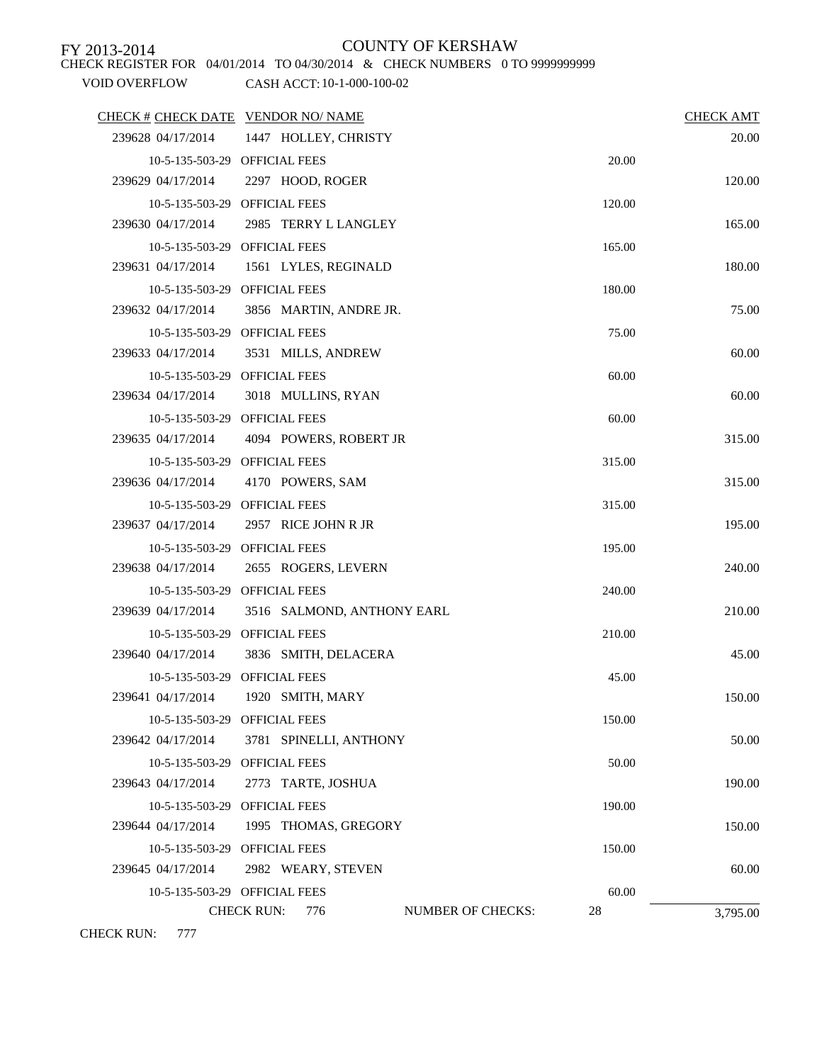CHECK REGISTER FOR 04/01/2014 TO 04/30/2014 & CHECK NUMBERS 0 TO 9999999999

### VOID OVERFLOW CASH ACCT: 10-1-000-100-02

| CHECK # CHECK DATE VENDOR NO/ NAME |                                                      |        | <b>CHECK AMT</b> |
|------------------------------------|------------------------------------------------------|--------|------------------|
|                                    | 239628 04/17/2014 1447 HOLLEY, CHRISTY               |        | 20.00            |
|                                    | 10-5-135-503-29 OFFICIAL FEES                        | 20.00  |                  |
| 239629 04/17/2014                  | 2297 HOOD, ROGER                                     |        | 120.00           |
|                                    | 10-5-135-503-29 OFFICIAL FEES                        | 120.00 |                  |
| 239630 04/17/2014                  | 2985 TERRY L LANGLEY                                 |        | 165.00           |
|                                    | 10-5-135-503-29 OFFICIAL FEES                        | 165.00 |                  |
|                                    | 239631 04/17/2014 1561 LYLES, REGINALD               |        | 180.00           |
|                                    | 10-5-135-503-29 OFFICIAL FEES                        | 180.00 |                  |
| 239632 04/17/2014                  | 3856 MARTIN, ANDRE JR.                               |        | 75.00            |
|                                    | 10-5-135-503-29 OFFICIAL FEES                        | 75.00  |                  |
|                                    | 239633 04/17/2014 3531 MILLS, ANDREW                 |        | 60.00            |
|                                    | 10-5-135-503-29 OFFICIAL FEES                        | 60.00  |                  |
|                                    | 239634 04/17/2014 3018 MULLINS, RYAN                 |        | 60.00            |
|                                    | 10-5-135-503-29 OFFICIAL FEES                        | 60.00  |                  |
|                                    | 239635 04/17/2014 4094 POWERS, ROBERT JR             |        | 315.00           |
|                                    | 10-5-135-503-29 OFFICIAL FEES                        | 315.00 |                  |
|                                    | 239636 04/17/2014 4170 POWERS, SAM                   |        | 315.00           |
|                                    | 10-5-135-503-29 OFFICIAL FEES                        | 315.00 |                  |
| 239637 04/17/2014                  | 2957 RICE JOHN R JR                                  |        | 195.00           |
|                                    | 10-5-135-503-29 OFFICIAL FEES                        | 195.00 |                  |
| 239638 04/17/2014                  | 2655 ROGERS, LEVERN                                  |        | 240.00           |
|                                    | 10-5-135-503-29 OFFICIAL FEES                        | 240.00 |                  |
|                                    | 239639 04/17/2014 3516 SALMOND, ANTHONY EARL         |        | 210.00           |
|                                    | 10-5-135-503-29 OFFICIAL FEES                        | 210.00 |                  |
| 239640 04/17/2014                  | 3836 SMITH, DELACERA                                 |        | 45.00            |
|                                    | 10-5-135-503-29 OFFICIAL FEES                        | 45.00  |                  |
| 239641 04/17/2014                  | 1920 SMITH, MARY                                     |        | 150.00           |
|                                    | 10-5-135-503-29 OFFICIAL FEES                        | 150.00 |                  |
| 239642 04/17/2014                  | 3781 SPINELLI, ANTHONY                               |        | 50.00            |
|                                    | 10-5-135-503-29 OFFICIAL FEES                        | 50.00  |                  |
| 239643 04/17/2014                  | 2773 TARTE, JOSHUA                                   |        | 190.00           |
|                                    | 10-5-135-503-29 OFFICIAL FEES                        | 190.00 |                  |
| 239644 04/17/2014                  | 1995 THOMAS, GREGORY                                 |        | 150.00           |
|                                    | 10-5-135-503-29 OFFICIAL FEES                        | 150.00 |                  |
| 239645 04/17/2014                  | 2982 WEARY, STEVEN                                   |        | 60.00            |
|                                    | 10-5-135-503-29 OFFICIAL FEES                        | 60.00  |                  |
|                                    | <b>CHECK RUN:</b><br><b>NUMBER OF CHECKS:</b><br>776 | 28     | 3,795.00         |

CHECK RUN: 777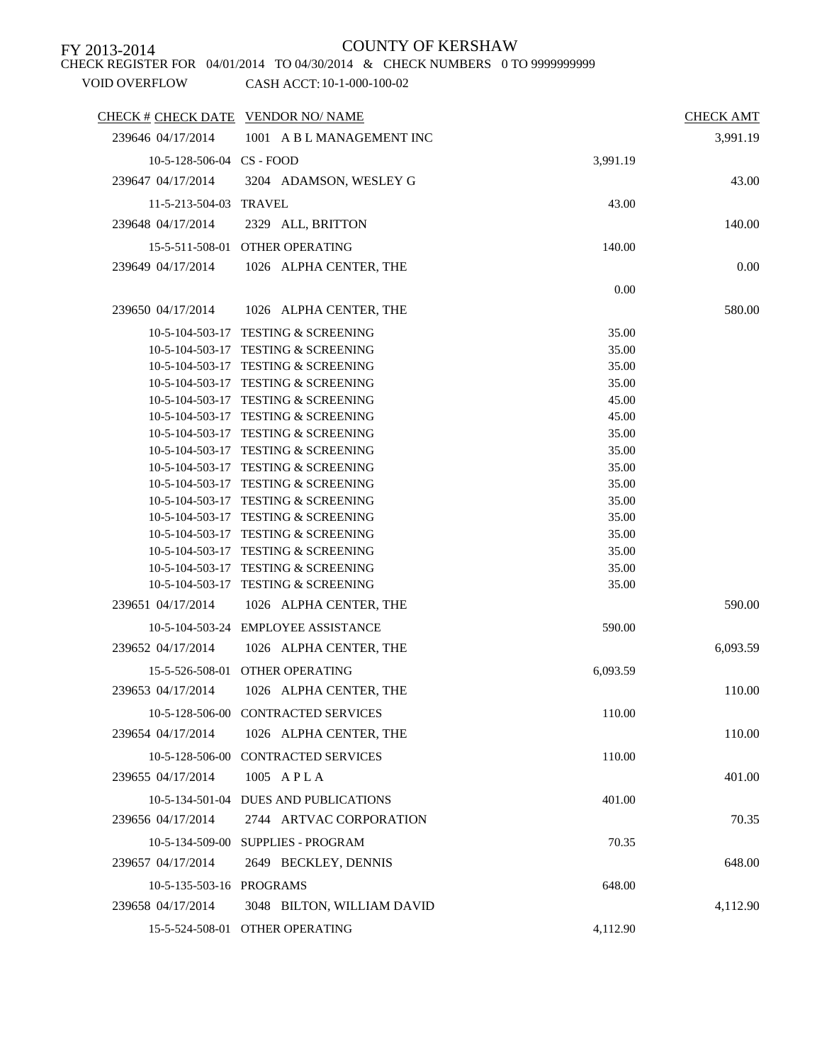CHECK REGISTER FOR 04/01/2014 TO 04/30/2014 & CHECK NUMBERS 0 TO 9999999999

| CHECK # CHECK DATE VENDOR NO/ NAME              | <b>CHECK AMT</b> |
|-------------------------------------------------|------------------|
| 239646 04/17/2014<br>1001 A B L MANAGEMENT INC  | 3,991.19         |
| 10-5-128-506-04 CS - FOOD<br>3,991.19           |                  |
| 239647 04/17/2014<br>3204 ADAMSON, WESLEY G     | 43.00            |
| 11-5-213-504-03 TRAVEL<br>43.00                 |                  |
| 2329 ALL, BRITTON<br>239648 04/17/2014          | 140.00           |
|                                                 |                  |
| 15-5-511-508-01 OTHER OPERATING<br>140.00       |                  |
| 239649 04/17/2014<br>1026 ALPHA CENTER, THE     | 0.00             |
| 0.00                                            |                  |
| 1026 ALPHA CENTER, THE<br>239650 04/17/2014     | 580.00           |
| 10-5-104-503-17 TESTING & SCREENING<br>35.00    |                  |
| 10-5-104-503-17 TESTING & SCREENING<br>35.00    |                  |
| 10-5-104-503-17 TESTING & SCREENING<br>35.00    |                  |
| 10-5-104-503-17 TESTING & SCREENING<br>35.00    |                  |
| 10-5-104-503-17 TESTING & SCREENING<br>45.00    |                  |
| 10-5-104-503-17 TESTING & SCREENING<br>45.00    |                  |
| 10-5-104-503-17 TESTING & SCREENING<br>35.00    |                  |
| 10-5-104-503-17 TESTING & SCREENING<br>35.00    |                  |
| 10-5-104-503-17 TESTING & SCREENING<br>35.00    |                  |
| 10-5-104-503-17 TESTING & SCREENING<br>35.00    |                  |
| 10-5-104-503-17 TESTING & SCREENING<br>35.00    |                  |
| 10-5-104-503-17 TESTING & SCREENING<br>35.00    |                  |
| 10-5-104-503-17 TESTING & SCREENING<br>35.00    |                  |
| 10-5-104-503-17 TESTING & SCREENING<br>35.00    |                  |
| 10-5-104-503-17 TESTING & SCREENING<br>35.00    |                  |
| 10-5-104-503-17 TESTING & SCREENING<br>35.00    |                  |
| 239651 04/17/2014<br>1026 ALPHA CENTER, THE     | 590.00           |
| 10-5-104-503-24 EMPLOYEE ASSISTANCE<br>590.00   |                  |
| 239652 04/17/2014<br>1026 ALPHA CENTER, THE     | 6,093.59         |
| 15-5-526-508-01 OTHER OPERATING<br>6,093.59     |                  |
| 239653 04/17/2014<br>1026 ALPHA CENTER, THE     | 110.00           |
| 10-5-128-506-00 CONTRACTED SERVICES             |                  |
| 110.00                                          |                  |
| 1026 ALPHA CENTER, THE<br>239654 04/17/2014     | 110.00           |
| 10-5-128-506-00 CONTRACTED SERVICES<br>110.00   |                  |
| 239655 04/17/2014<br>1005 APLA                  | 401.00           |
| 10-5-134-501-04 DUES AND PUBLICATIONS<br>401.00 |                  |
| 2744 ARTVAC CORPORATION<br>239656 04/17/2014    | 70.35            |
| 10-5-134-509-00 SUPPLIES - PROGRAM<br>70.35     |                  |
| 239657 04/17/2014<br>2649 BECKLEY, DENNIS       | 648.00           |
| 10-5-135-503-16 PROGRAMS<br>648.00              |                  |
| 239658 04/17/2014<br>3048 BILTON, WILLIAM DAVID | 4,112.90         |
| 15-5-524-508-01 OTHER OPERATING<br>4,112.90     |                  |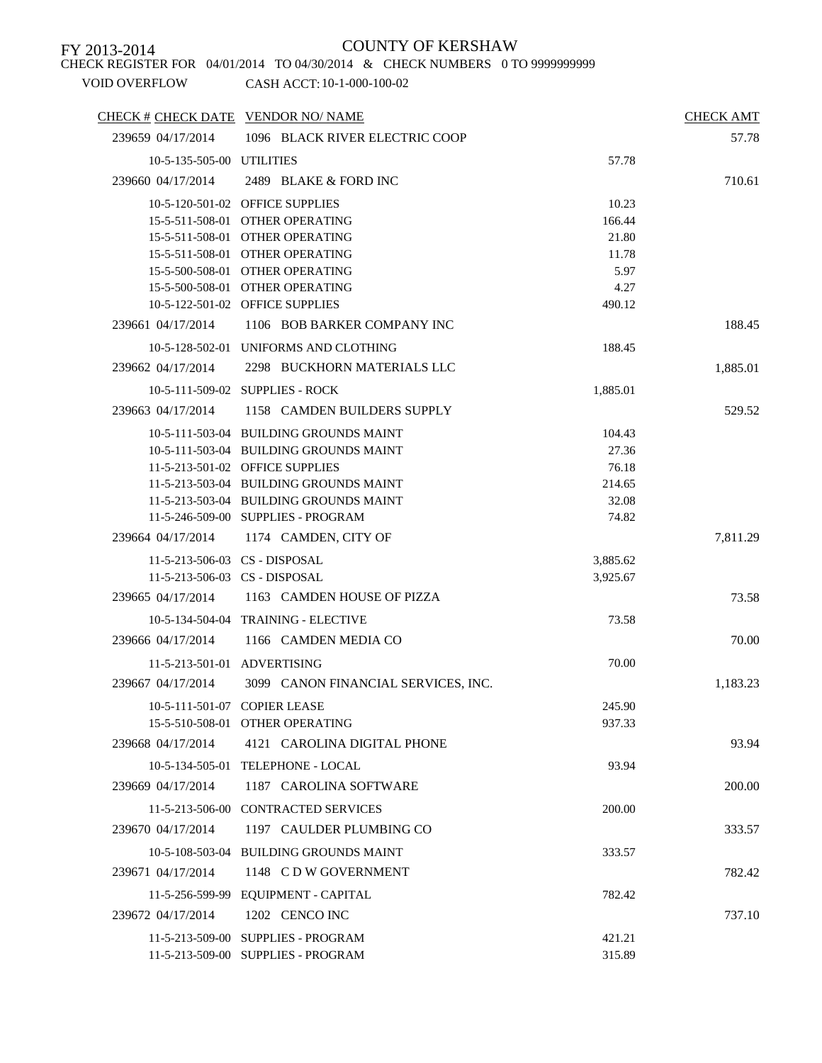CHECK REGISTER FOR 04/01/2014 TO 04/30/2014 & CHECK NUMBERS 0 TO 9999999999

| CHECK # CHECK DATE VENDOR NO/ NAME |                                                                 |                  | <b>CHECK AMT</b> |
|------------------------------------|-----------------------------------------------------------------|------------------|------------------|
| 239659 04/17/2014                  | 1096 BLACK RIVER ELECTRIC COOP                                  |                  | 57.78            |
| 10-5-135-505-00 UTILITIES          |                                                                 | 57.78            |                  |
| 239660 04/17/2014                  | 2489 BLAKE & FORD INC                                           |                  | 710.61           |
|                                    | 10-5-120-501-02 OFFICE SUPPLIES                                 | 10.23            |                  |
|                                    | 15-5-511-508-01 OTHER OPERATING                                 | 166.44           |                  |
|                                    | 15-5-511-508-01 OTHER OPERATING                                 | 21.80            |                  |
|                                    | 15-5-511-508-01 OTHER OPERATING                                 | 11.78            |                  |
|                                    | 15-5-500-508-01 OTHER OPERATING                                 | 5.97             |                  |
|                                    | 15-5-500-508-01 OTHER OPERATING                                 | 4.27             |                  |
|                                    | 10-5-122-501-02 OFFICE SUPPLIES                                 | 490.12           |                  |
| 239661 04/17/2014                  | 1106 BOB BARKER COMPANY INC                                     |                  | 188.45           |
|                                    | 10-5-128-502-01 UNIFORMS AND CLOTHING                           | 188.45           |                  |
| 239662 04/17/2014                  | 2298 BUCKHORN MATERIALS LLC                                     |                  | 1,885.01         |
|                                    | 10-5-111-509-02 SUPPLIES - ROCK                                 | 1,885.01         |                  |
| 239663 04/17/2014                  | 1158 CAMDEN BUILDERS SUPPLY                                     |                  | 529.52           |
|                                    | 10-5-111-503-04 BUILDING GROUNDS MAINT                          | 104.43           |                  |
|                                    | 10-5-111-503-04 BUILDING GROUNDS MAINT                          | 27.36            |                  |
|                                    | 11-5-213-501-02 OFFICE SUPPLIES                                 | 76.18            |                  |
|                                    | 11-5-213-503-04 BUILDING GROUNDS MAINT                          | 214.65           |                  |
|                                    | 11-5-213-503-04 BUILDING GROUNDS MAINT                          | 32.08            |                  |
|                                    | 11-5-246-509-00 SUPPLIES - PROGRAM                              | 74.82            |                  |
| 239664 04/17/2014                  | 1174 CAMDEN, CITY OF                                            |                  | 7,811.29         |
|                                    | 11-5-213-506-03 CS - DISPOSAL                                   | 3,885.62         |                  |
|                                    | 11-5-213-506-03 CS - DISPOSAL                                   | 3,925.67         |                  |
| 239665 04/17/2014                  | 1163 CAMDEN HOUSE OF PIZZA                                      |                  | 73.58            |
|                                    | 10-5-134-504-04 TRAINING - ELECTIVE                             | 73.58            |                  |
| 239666 04/17/2014                  | 1166 CAMDEN MEDIA CO                                            |                  | 70.00            |
|                                    | 11-5-213-501-01 ADVERTISING                                     | 70.00            |                  |
| 239667 04/17/2014                  | 3099 CANON FINANCIAL SERVICES, INC.                             |                  | 1,183.23         |
|                                    |                                                                 |                  |                  |
|                                    | 10-5-111-501-07 COPIER LEASE<br>15-5-510-508-01 OTHER OPERATING | 245.90<br>937.33 |                  |
|                                    |                                                                 |                  |                  |
| 239668 04/17/2014                  | 4121 CAROLINA DIGITAL PHONE                                     |                  | 93.94            |
|                                    | 10-5-134-505-01 TELEPHONE - LOCAL                               | 93.94            |                  |
| 239669 04/17/2014                  | 1187 CAROLINA SOFTWARE                                          |                  | 200.00           |
|                                    | 11-5-213-506-00 CONTRACTED SERVICES                             | 200.00           |                  |
| 239670 04/17/2014                  | 1197 CAULDER PLUMBING CO                                        |                  | 333.57           |
|                                    | 10-5-108-503-04 BUILDING GROUNDS MAINT                          | 333.57           |                  |
| 239671 04/17/2014                  | 1148 CDW GOVERNMENT                                             |                  | 782.42           |
|                                    | 11-5-256-599-99 EQUIPMENT - CAPITAL                             | 782.42           |                  |
| 239672 04/17/2014                  | 1202 CENCO INC                                                  |                  | 737.10           |
|                                    | 11-5-213-509-00 SUPPLIES - PROGRAM                              | 421.21           |                  |
|                                    | 11-5-213-509-00 SUPPLIES - PROGRAM                              | 315.89           |                  |
|                                    |                                                                 |                  |                  |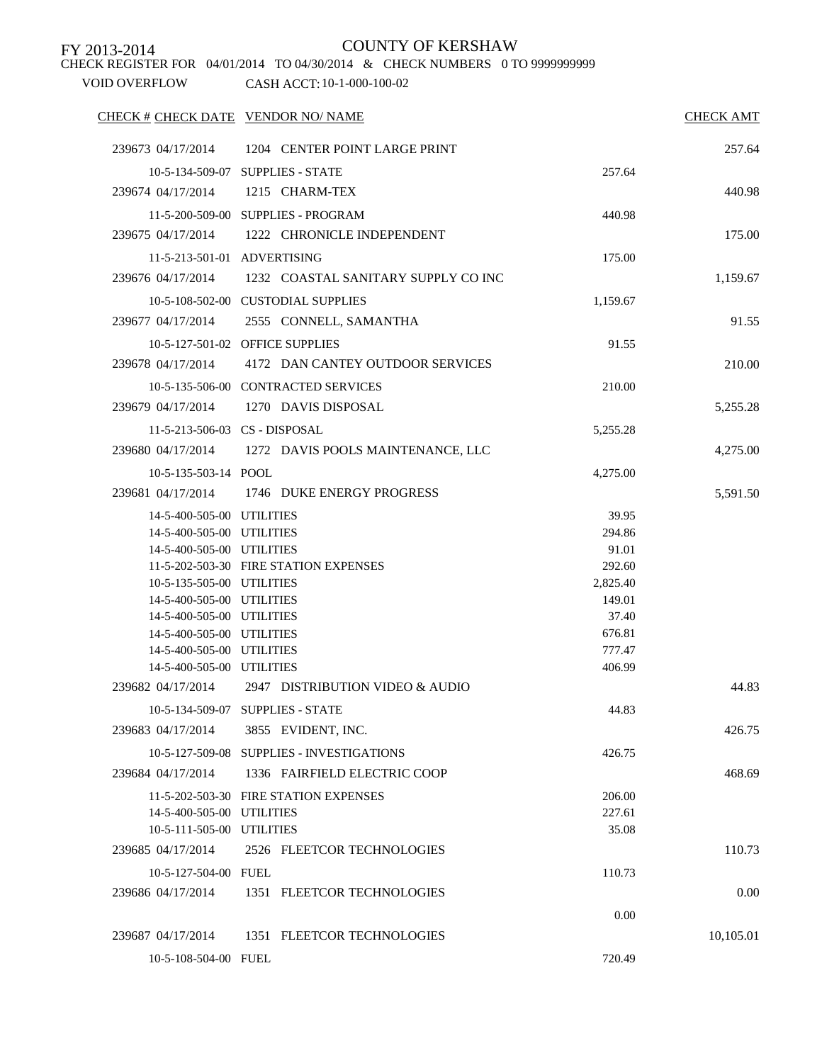CHECK REGISTER FOR 04/01/2014 TO 04/30/2014 & CHECK NUMBERS 0 TO 9999999999

| CHECK # CHECK DATE VENDOR NO/ NAME                     |                                                     |                  | <b>CHECK AMT</b> |
|--------------------------------------------------------|-----------------------------------------------------|------------------|------------------|
| 239673 04/17/2014                                      | 1204 CENTER POINT LARGE PRINT                       |                  | 257.64           |
|                                                        | 10-5-134-509-07 SUPPLIES - STATE                    | 257.64           |                  |
| 239674 04/17/2014                                      | 1215 CHARM-TEX                                      |                  | 440.98           |
|                                                        | 11-5-200-509-00 SUPPLIES - PROGRAM                  | 440.98           |                  |
| 239675 04/17/2014                                      | 1222 CHRONICLE INDEPENDENT                          |                  | 175.00           |
|                                                        |                                                     |                  |                  |
|                                                        | 11-5-213-501-01 ADVERTISING                         | 175.00           |                  |
| 239676 04/17/2014                                      | 1232 COASTAL SANITARY SUPPLY CO INC                 |                  | 1,159.67         |
|                                                        | 10-5-108-502-00 CUSTODIAL SUPPLIES                  | 1,159.67         |                  |
| 239677 04/17/2014                                      | 2555 CONNELL, SAMANTHA                              |                  | 91.55            |
|                                                        | 10-5-127-501-02 OFFICE SUPPLIES                     | 91.55            |                  |
| 239678 04/17/2014                                      | 4172 DAN CANTEY OUTDOOR SERVICES                    |                  | 210.00           |
|                                                        | 10-5-135-506-00 CONTRACTED SERVICES                 | 210.00           |                  |
| 239679 04/17/2014                                      | 1270 DAVIS DISPOSAL                                 |                  | 5,255.28         |
|                                                        |                                                     |                  |                  |
|                                                        | 11-5-213-506-03 CS - DISPOSAL                       | 5,255.28         |                  |
|                                                        | 239680 04/17/2014 1272 DAVIS POOLS MAINTENANCE, LLC |                  | 4,275.00         |
| 10-5-135-503-14 POOL                                   |                                                     | 4,275.00         |                  |
|                                                        | 239681 04/17/2014 1746 DUKE ENERGY PROGRESS         |                  | 5,591.50         |
| 14-5-400-505-00 UTILITIES                              |                                                     | 39.95            |                  |
| 14-5-400-505-00 UTILITIES                              |                                                     | 294.86           |                  |
| 14-5-400-505-00 UTILITIES                              |                                                     | 91.01            |                  |
|                                                        | 11-5-202-503-30 FIRE STATION EXPENSES               | 292.60           |                  |
| 10-5-135-505-00 UTILITIES                              |                                                     | 2,825.40         |                  |
| 14-5-400-505-00 UTILITIES                              |                                                     | 149.01           |                  |
| 14-5-400-505-00 UTILITIES                              |                                                     | 37.40            |                  |
| 14-5-400-505-00 UTILITIES                              |                                                     | 676.81           |                  |
| 14-5-400-505-00 UTILITIES<br>14-5-400-505-00 UTILITIES |                                                     | 777.47<br>406.99 |                  |
| 239682 04/17/2014                                      | 2947 DISTRIBUTION VIDEO & AUDIO                     |                  |                  |
|                                                        |                                                     |                  | 44.83            |
|                                                        | 10-5-134-509-07 SUPPLIES - STATE                    | 44.83            |                  |
| 239683 04/17/2014                                      | 3855 EVIDENT, INC.                                  |                  | 426.75           |
|                                                        | 10-5-127-509-08 SUPPLIES - INVESTIGATIONS           | 426.75           |                  |
| 239684 04/17/2014                                      | 1336 FAIRFIELD ELECTRIC COOP                        |                  | 468.69           |
|                                                        | 11-5-202-503-30 FIRE STATION EXPENSES               | 206.00           |                  |
| 14-5-400-505-00 UTILITIES                              |                                                     | 227.61           |                  |
| 10-5-111-505-00 UTILITIES                              |                                                     | 35.08            |                  |
| 239685 04/17/2014                                      | 2526 FLEETCOR TECHNOLOGIES                          |                  | 110.73           |
| 10-5-127-504-00 FUEL                                   |                                                     | 110.73           |                  |
| 239686 04/17/2014                                      | 1351 FLEETCOR TECHNOLOGIES                          |                  | 0.00             |
|                                                        |                                                     | 0.00             |                  |
| 239687 04/17/2014                                      | 1351 FLEETCOR TECHNOLOGIES                          |                  | 10,105.01        |
|                                                        |                                                     |                  |                  |
| 10-5-108-504-00 FUEL                                   |                                                     | 720.49           |                  |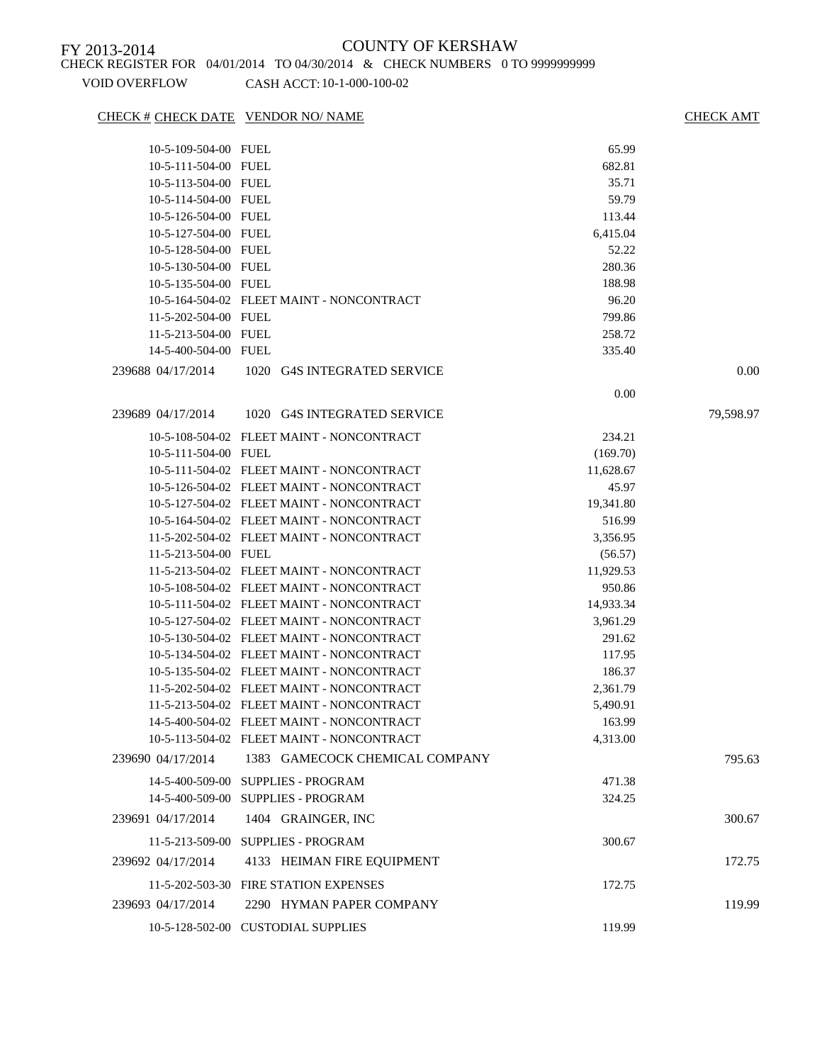CHECK # CHECK DATE VENDOR NO/ NAME CHECK AMT

| 10-5-109-504-00 FUEL |                                                        | 65.99     |           |
|----------------------|--------------------------------------------------------|-----------|-----------|
| 10-5-111-504-00 FUEL |                                                        | 682.81    |           |
| 10-5-113-504-00 FUEL |                                                        | 35.71     |           |
| 10-5-114-504-00 FUEL |                                                        | 59.79     |           |
| 10-5-126-504-00 FUEL |                                                        | 113.44    |           |
| 10-5-127-504-00 FUEL |                                                        | 6,415.04  |           |
| 10-5-128-504-00 FUEL |                                                        | 52.22     |           |
| 10-5-130-504-00 FUEL |                                                        | 280.36    |           |
| 10-5-135-504-00 FUEL |                                                        | 188.98    |           |
|                      | 10-5-164-504-02 FLEET MAINT - NONCONTRACT              | 96.20     |           |
| 11-5-202-504-00 FUEL |                                                        | 799.86    |           |
| 11-5-213-504-00 FUEL |                                                        | 258.72    |           |
| 14-5-400-504-00 FUEL |                                                        | 335.40    |           |
| 239688 04/17/2014    | 1020 G4S INTEGRATED SERVICE                            |           | 0.00      |
|                      |                                                        |           |           |
|                      |                                                        | 0.00      |           |
| 239689 04/17/2014    | 1020 G4S INTEGRATED SERVICE                            |           | 79,598.97 |
|                      | 10-5-108-504-02 FLEET MAINT - NONCONTRACT              | 234.21    |           |
| 10-5-111-504-00 FUEL |                                                        | (169.70)  |           |
|                      | 10-5-111-504-02 FLEET MAINT - NONCONTRACT              | 11,628.67 |           |
|                      | 10-5-126-504-02 FLEET MAINT - NONCONTRACT              | 45.97     |           |
|                      | 10-5-127-504-02 FLEET MAINT - NONCONTRACT              | 19,341.80 |           |
|                      | 10-5-164-504-02 FLEET MAINT - NONCONTRACT              | 516.99    |           |
|                      | 11-5-202-504-02 FLEET MAINT - NONCONTRACT              | 3,356.95  |           |
| 11-5-213-504-00 FUEL |                                                        | (56.57)   |           |
|                      | 11-5-213-504-02 FLEET MAINT - NONCONTRACT              | 11,929.53 |           |
|                      | 10-5-108-504-02 FLEET MAINT - NONCONTRACT              | 950.86    |           |
|                      | 10-5-111-504-02 FLEET MAINT - NONCONTRACT              | 14,933.34 |           |
|                      | 10-5-127-504-02 FLEET MAINT - NONCONTRACT              | 3,961.29  |           |
|                      | 10-5-130-504-02 FLEET MAINT - NONCONTRACT              | 291.62    |           |
|                      | 10-5-134-504-02 FLEET MAINT - NONCONTRACT              | 117.95    |           |
|                      | 10-5-135-504-02 FLEET MAINT - NONCONTRACT              | 186.37    |           |
|                      | 11-5-202-504-02 FLEET MAINT - NONCONTRACT              | 2,361.79  |           |
|                      | 11-5-213-504-02 FLEET MAINT - NONCONTRACT              | 5,490.91  |           |
|                      | 14-5-400-504-02 FLEET MAINT - NONCONTRACT              | 163.99    |           |
|                      | 10-5-113-504-02 FLEET MAINT - NONCONTRACT              | 4,313.00  |           |
| 239690 04/17/2014    | 1383 GAMECOCK CHEMICAL COMPANY                         |           | 795.63    |
|                      |                                                        |           |           |
| 14-5-400-509-00      | <b>SUPPLIES - PROGRAM</b><br><b>SUPPLIES - PROGRAM</b> | 471.38    |           |
| 14-5-400-509-00      |                                                        | 324.25    |           |
| 239691 04/17/2014    | 1404 GRAINGER, INC                                     |           | 300.67    |
| 11-5-213-509-00      | <b>SUPPLIES - PROGRAM</b>                              | 300.67    |           |
| 239692 04/17/2014    | 4133 HEIMAN FIRE EQUIPMENT                             |           | 172.75    |
|                      | 11-5-202-503-30 FIRE STATION EXPENSES                  | 172.75    |           |
|                      |                                                        |           |           |
| 239693 04/17/2014    | 2290 HYMAN PAPER COMPANY                               |           | 119.99    |
|                      | 10-5-128-502-00 CUSTODIAL SUPPLIES                     | 119.99    |           |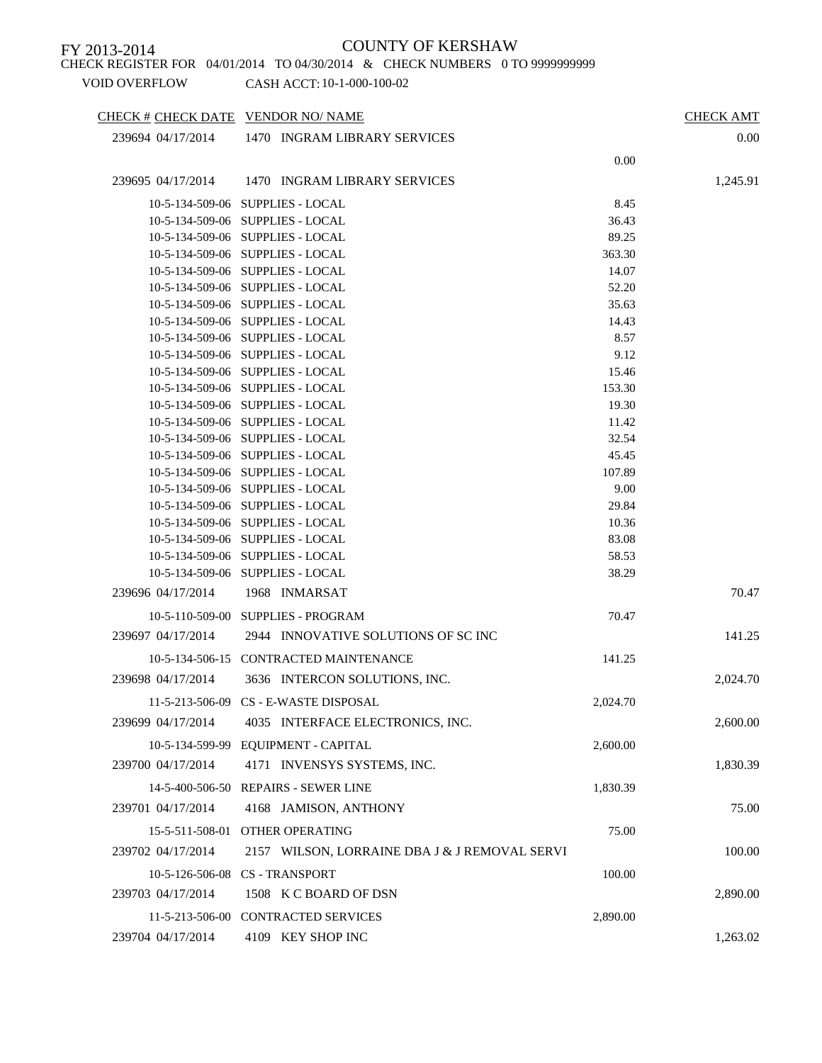CHECK REGISTER FOR 04/01/2014 TO 04/30/2014 & CHECK NUMBERS 0 TO 9999999999

VOID OVERFLOW CASH ACCT: 10-1-000-100-02

CHECK # CHECK DATE VENDOR NO/ NAME CHECK AMT 239694 04/17/2014 1470 INGRAM LIBRARY SERVICES 0.00 0.00 239695 04/17/2014 1470 INGRAM LIBRARY SERVICES 1,245.91 10-5-134-509-06 SUPPLIES - LOCAL 8.45 10-5-134-509-06 SUPPLIES - LOCAL 36.43 10-5-134-509-06 SUPPLIES - LOCAL 89.25 10-5-134-509-06 SUPPLIES - LOCAL 363.30 10-5-134-509-06 SUPPLIES - LOCAL 14.07 10-5-134-509-06 SUPPLIES - LOCAL 52.20 10-5-134-509-06 SUPPLIES - LOCAL 35.63 10-5-134-509-06 SUPPLIES - LOCAL 14.43 10-5-134-509-06 SUPPLIES - LOCAL 8.57 10-5-134-509-06 SUPPLIES - LOCAL 9.12 10-5-134-509-06 SUPPLIES - LOCAL 15.46 10-5-134-509-06 SUPPLIES - LOCAL 153.30 10-5-134-509-06 SUPPLIES - LOCAL 19.30 10-5-134-509-06 SUPPLIES - LOCAL 11.42 10-5-134-509-06 SUPPLIES - LOCAL 32.54 10-5-134-509-06 SUPPLIES - LOCAL 45.45 10-5-134-509-06 SUPPLIES - LOCAL 107.89 10-5-134-509-06 SUPPLIES - LOCAL 9.00 10-5-134-509-06 SUPPLIES - LOCAL 29.84 10-5-134-509-06 SUPPLIES - LOCAL 10.36 10-5-134-509-06 SUPPLIES - LOCAL 83.08 10-5-134-509-06 SUPPLIES - LOCAL 58.53 10-5-134-509-06 SUPPLIES - LOCAL 38.29 239696 04/17/2014 1968 INMARSAT 70.47 10-5-110-509-00 SUPPLIES - PROGRAM 70.47 239697 04/17/2014 2944 INNOVATIVE SOLUTIONS OF SC INC 141.25 10-5-134-506-15 CONTRACTED MAINTENANCE 141.25 239698 04/17/2014 3636 INTERCON SOLUTIONS, INC. 2,024.70 11-5-213-506-09 CS - E-WASTE DISPOSAL 2,024.70 239699 04/17/2014 4035 INTERFACE ELECTRONICS, INC. 2,600.00 10-5-134-599-99 EQUIPMENT - CAPITAL 2,600.00 239700 04/17/2014 4171 INVENSYS SYSTEMS, INC. 1,830.39 14-5-400-506-50 REPAIRS - SEWER LINE 1,830.39 239701 04/17/2014 4168 JAMISON, ANTHONY 75.00 15-5-511-508-01 OTHER OPERATING 75.00 239702 04/17/2014 2157 WILSON, LORRAINE DBA J & J REMOVAL SERVI 100.00 10-5-126-506-08 CS - TRANSPORT 100.00 239703 04/17/2014 1508 K C BOARD OF DSN 2,890.00 11-5-213-506-00 CONTRACTED SERVICES 2,890.00 239704 04/17/2014 4109 KEY SHOP INC 1,263.02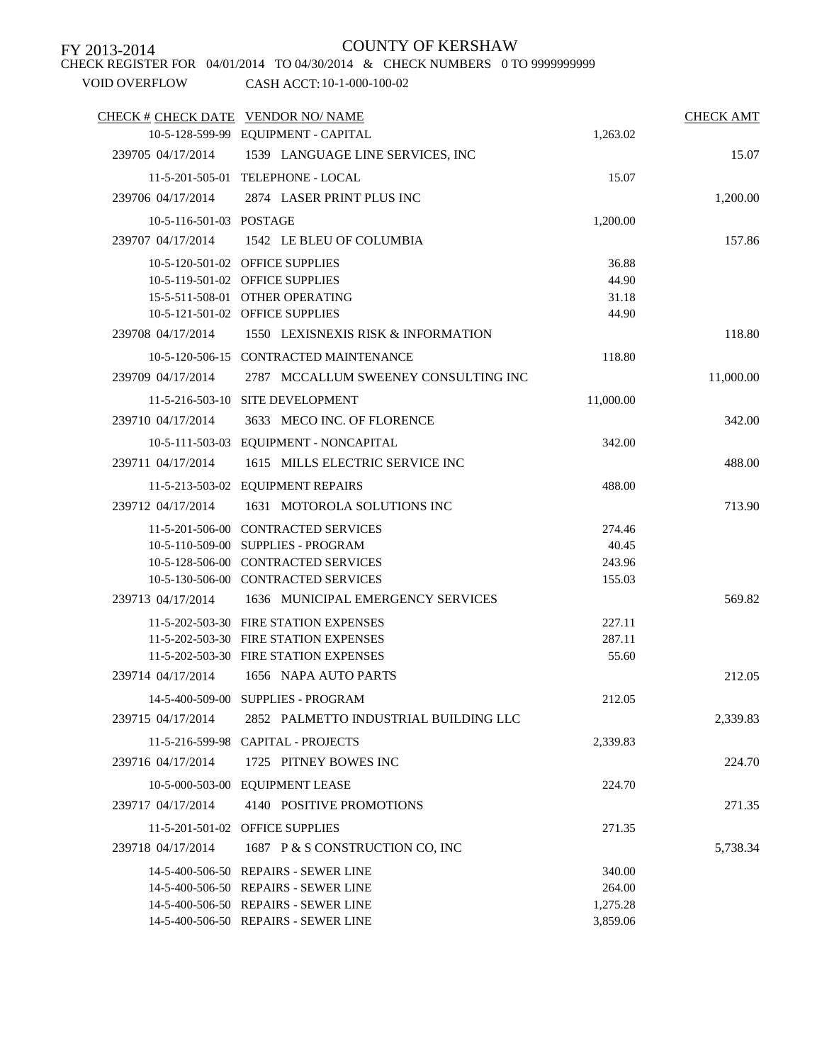CHECK REGISTER FOR 04/01/2014 TO 04/30/2014 & CHECK NUMBERS 0 TO 9999999999

| CHECK # CHECK DATE VENDOR NO/ NAME |                                        |           | <b>CHECK AMT</b> |
|------------------------------------|----------------------------------------|-----------|------------------|
|                                    | 10-5-128-599-99 EQUIPMENT - CAPITAL    | 1,263.02  |                  |
| 239705 04/17/2014                  | 1539 LANGUAGE LINE SERVICES, INC       |           | 15.07            |
|                                    | 11-5-201-505-01 TELEPHONE - LOCAL      | 15.07     |                  |
| 239706 04/17/2014                  | 2874 LASER PRINT PLUS INC              |           | 1,200.00         |
| 10-5-116-501-03 POSTAGE            |                                        | 1,200.00  |                  |
| 239707 04/17/2014                  | 1542 LE BLEU OF COLUMBIA               |           | 157.86           |
|                                    | 10-5-120-501-02 OFFICE SUPPLIES        | 36.88     |                  |
|                                    | 10-5-119-501-02 OFFICE SUPPLIES        | 44.90     |                  |
|                                    | 15-5-511-508-01 OTHER OPERATING        | 31.18     |                  |
|                                    | 10-5-121-501-02 OFFICE SUPPLIES        | 44.90     |                  |
| 239708 04/17/2014                  | 1550 LEXISNEXIS RISK & INFORMATION     |           | 118.80           |
|                                    | 10-5-120-506-15 CONTRACTED MAINTENANCE | 118.80    |                  |
| 239709 04/17/2014                  | 2787 MCCALLUM SWEENEY CONSULTING INC   |           | 11,000.00        |
|                                    | 11-5-216-503-10 SITE DEVELOPMENT       | 11,000.00 |                  |
| 239710 04/17/2014                  | 3633 MECO INC. OF FLORENCE             |           | 342.00           |
|                                    | 10-5-111-503-03 EQUIPMENT - NONCAPITAL | 342.00    |                  |
| 239711 04/17/2014                  | 1615 MILLS ELECTRIC SERVICE INC        |           | 488.00           |
|                                    | 11-5-213-503-02 EQUIPMENT REPAIRS      | 488.00    |                  |
| 239712 04/17/2014                  | 1631 MOTOROLA SOLUTIONS INC            |           | 713.90           |
|                                    | 11-5-201-506-00 CONTRACTED SERVICES    | 274.46    |                  |
|                                    | 10-5-110-509-00 SUPPLIES - PROGRAM     | 40.45     |                  |
|                                    | 10-5-128-506-00 CONTRACTED SERVICES    | 243.96    |                  |
|                                    | 10-5-130-506-00 CONTRACTED SERVICES    | 155.03    |                  |
| 239713 04/17/2014                  | 1636 MUNICIPAL EMERGENCY SERVICES      |           | 569.82           |
|                                    | 11-5-202-503-30 FIRE STATION EXPENSES  | 227.11    |                  |
|                                    | 11-5-202-503-30 FIRE STATION EXPENSES  | 287.11    |                  |
|                                    | 11-5-202-503-30 FIRE STATION EXPENSES  | 55.60     |                  |
| 239714 04/17/2014                  | 1656 NAPA AUTO PARTS                   |           | 212.05           |
|                                    | 14-5-400-509-00 SUPPLIES - PROGRAM     | 212.05    |                  |
| 239715 04/17/2014                  | 2852 PALMETTO INDUSTRIAL BUILDING LLC  |           | 2,339.83         |
|                                    | 11-5-216-599-98 CAPITAL - PROJECTS     | 2,339.83  |                  |
| 239716 04/17/2014                  | 1725 PITNEY BOWES INC                  |           | 224.70           |
|                                    | 10-5-000-503-00 EQUIPMENT LEASE        | 224.70    |                  |
| 239717 04/17/2014                  | 4140 POSITIVE PROMOTIONS               |           | 271.35           |
|                                    | 11-5-201-501-02 OFFICE SUPPLIES        | 271.35    |                  |
| 239718 04/17/2014                  | 1687 P & S CONSTRUCTION CO, INC        |           | 5,738.34         |
|                                    | 14-5-400-506-50 REPAIRS - SEWER LINE   | 340.00    |                  |
|                                    | 14-5-400-506-50 REPAIRS - SEWER LINE   | 264.00    |                  |
|                                    | 14-5-400-506-50 REPAIRS - SEWER LINE   | 1,275.28  |                  |
|                                    | 14-5-400-506-50 REPAIRS - SEWER LINE   | 3,859.06  |                  |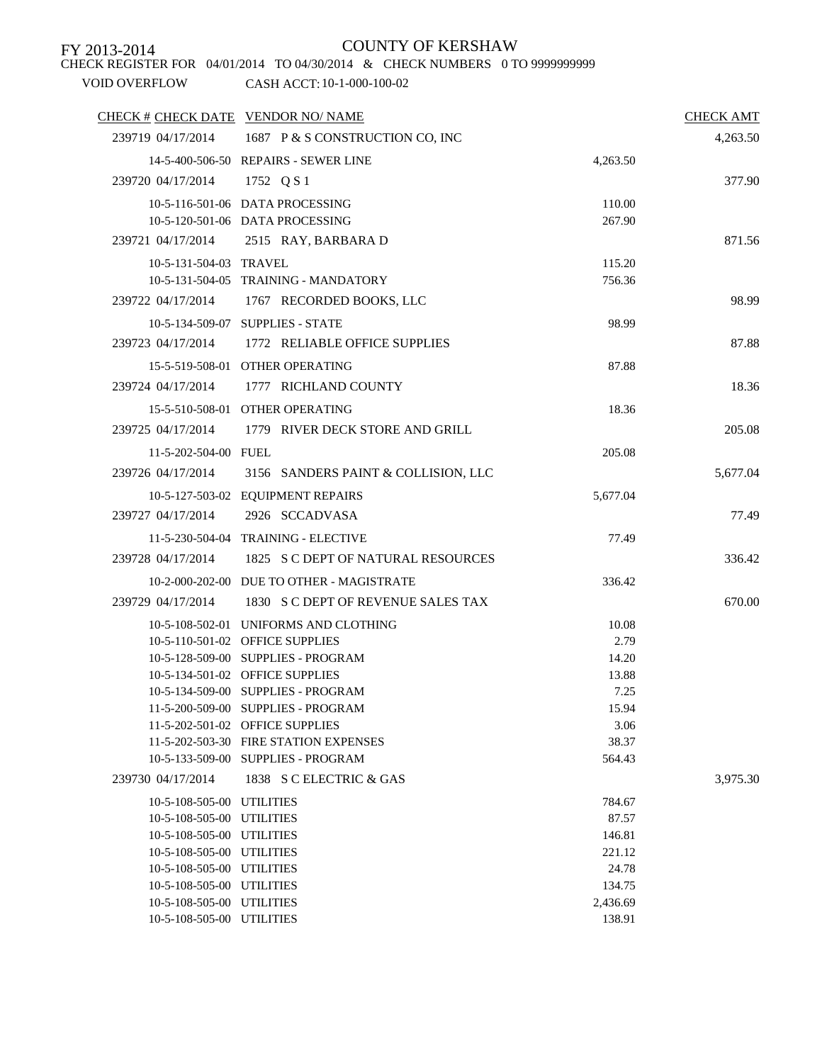CHECK REGISTER FOR 04/01/2014 TO 04/30/2014 & CHECK NUMBERS 0 TO 9999999999

| CHECK # CHECK DATE VENDOR NO/NAME                      |                                                                          |                 | <b>CHECK AMT</b> |
|--------------------------------------------------------|--------------------------------------------------------------------------|-----------------|------------------|
|                                                        | 239719 04/17/2014 1687 P & S CONSTRUCTION CO, INC                        |                 | 4,263.50         |
|                                                        | 14-5-400-506-50 REPAIRS - SEWER LINE                                     | 4,263.50        |                  |
| 239720 04/17/2014                                      | 1752 Q S 1                                                               |                 | 377.90           |
|                                                        | 10-5-116-501-06 DATA PROCESSING                                          | 110.00          |                  |
|                                                        | 10-5-120-501-06 DATA PROCESSING                                          | 267.90          |                  |
|                                                        | 239721 04/17/2014 2515 RAY, BARBARA D                                    |                 | 871.56           |
| 10-5-131-504-03 TRAVEL                                 |                                                                          | 115.20          |                  |
|                                                        | 10-5-131-504-05 TRAINING - MANDATORY                                     | 756.36          |                  |
| 239722 04/17/2014                                      | 1767 RECORDED BOOKS, LLC                                                 |                 | 98.99            |
|                                                        | 10-5-134-509-07 SUPPLIES - STATE                                         | 98.99           |                  |
|                                                        | 239723 04/17/2014 1772 RELIABLE OFFICE SUPPLIES                          |                 | 87.88            |
|                                                        | 15-5-519-508-01 OTHER OPERATING                                          | 87.88           |                  |
| 239724 04/17/2014                                      | 1777 RICHLAND COUNTY                                                     |                 | 18.36            |
|                                                        | 15-5-510-508-01 OTHER OPERATING                                          | 18.36           |                  |
|                                                        | 239725 04/17/2014 1779 RIVER DECK STORE AND GRILL                        |                 |                  |
|                                                        |                                                                          |                 | 205.08           |
| 11-5-202-504-00 FUEL                                   |                                                                          | 205.08          |                  |
| 239726 04/17/2014                                      | 3156 SANDERS PAINT & COLLISION, LLC                                      |                 | 5,677.04         |
|                                                        | 10-5-127-503-02 EQUIPMENT REPAIRS                                        | 5,677.04        |                  |
| 239727 04/17/2014                                      | 2926 SCCADVASA                                                           |                 | 77.49            |
|                                                        | 11-5-230-504-04 TRAINING - ELECTIVE                                      | 77.49           |                  |
|                                                        | 239728 04/17/2014 1825 S C DEPT OF NATURAL RESOURCES                     |                 | 336.42           |
|                                                        | 10-2-000-202-00 DUE TO OTHER - MAGISTRATE                                | 336.42          |                  |
| 239729 04/17/2014                                      | 1830 S C DEPT OF REVENUE SALES TAX                                       |                 | 670.00           |
|                                                        | 10-5-108-502-01 UNIFORMS AND CLOTHING                                    | 10.08           |                  |
|                                                        | 10-5-110-501-02 OFFICE SUPPLIES                                          | 2.79            |                  |
|                                                        | 10-5-128-509-00 SUPPLIES - PROGRAM                                       | 14.20           |                  |
|                                                        | 10-5-134-501-02 OFFICE SUPPLIES                                          | 13.88           |                  |
|                                                        | 10-5-134-509-00 SUPPLIES - PROGRAM                                       | 7.25            |                  |
|                                                        | 11-5-200-509-00 SUPPLIES - PROGRAM                                       | 15.94           |                  |
|                                                        | 11-5-202-501-02 OFFICE SUPPLIES<br>11-5-202-503-30 FIRE STATION EXPENSES | 3.06            |                  |
|                                                        | 10-5-133-509-00 SUPPLIES - PROGRAM                                       | 38.37<br>564.43 |                  |
| 239730 04/17/2014                                      | 1838 S C ELECTRIC & GAS                                                  |                 | 3,975.30         |
|                                                        |                                                                          |                 |                  |
| 10-5-108-505-00 UTILITIES<br>10-5-108-505-00 UTILITIES |                                                                          | 784.67<br>87.57 |                  |
| 10-5-108-505-00 UTILITIES                              |                                                                          | 146.81          |                  |
| 10-5-108-505-00 UTILITIES                              |                                                                          | 221.12          |                  |
| 10-5-108-505-00 UTILITIES                              |                                                                          | 24.78           |                  |
| 10-5-108-505-00 UTILITIES                              |                                                                          | 134.75          |                  |
| 10-5-108-505-00 UTILITIES                              |                                                                          | 2,436.69        |                  |
| 10-5-108-505-00 UTILITIES                              |                                                                          | 138.91          |                  |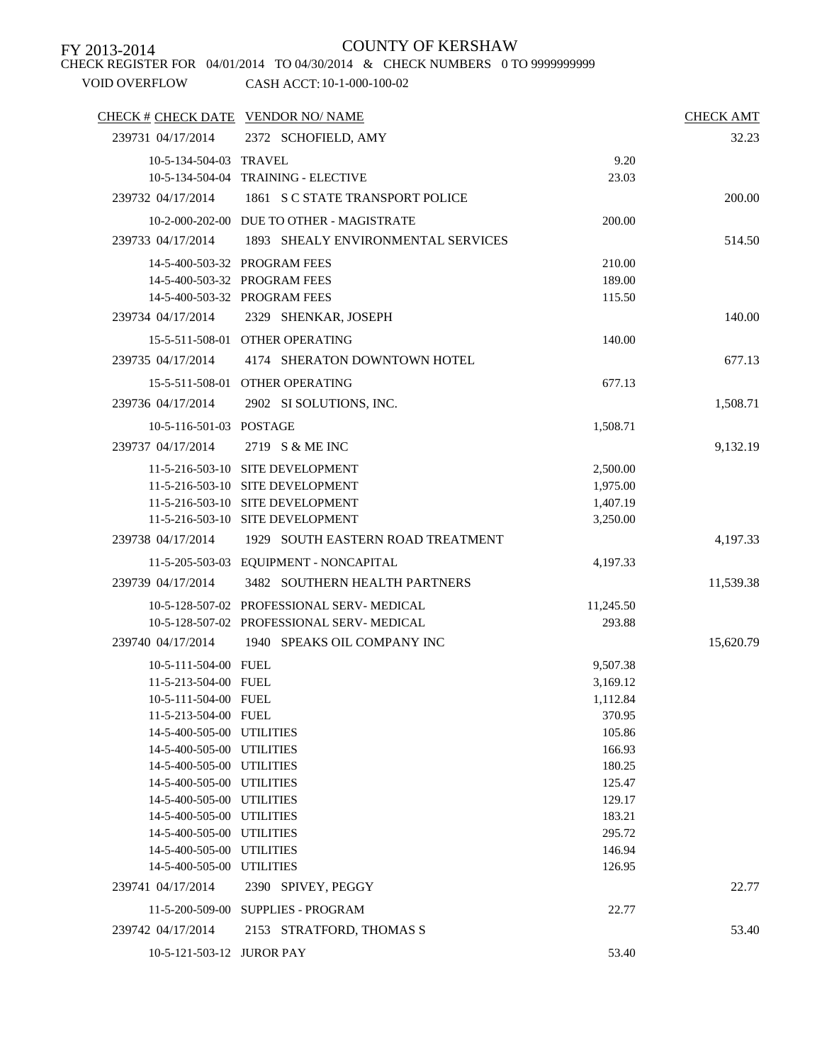CHECK REGISTER FOR 04/01/2014 TO 04/30/2014 & CHECK NUMBERS 0 TO 9999999999

| CHECK # CHECK DATE VENDOR NO/ NAME |                                           |           | <b>CHECK AMT</b> |
|------------------------------------|-------------------------------------------|-----------|------------------|
| 239731 04/17/2014                  | 2372 SCHOFIELD, AMY                       |           | 32.23            |
| 10-5-134-504-03 TRAVEL             |                                           | 9.20      |                  |
| 10-5-134-504-04                    | <b>TRAINING - ELECTIVE</b>                | 23.03     |                  |
| 239732 04/17/2014                  | 1861 S C STATE TRANSPORT POLICE           |           | 200.00           |
|                                    | 10-2-000-202-00 DUE TO OTHER - MAGISTRATE | 200.00    |                  |
| 239733 04/17/2014                  | 1893 SHEALY ENVIRONMENTAL SERVICES        |           | 514.50           |
|                                    | 14-5-400-503-32 PROGRAM FEES              | 210.00    |                  |
|                                    | 14-5-400-503-32 PROGRAM FEES              | 189.00    |                  |
|                                    | 14-5-400-503-32 PROGRAM FEES              | 115.50    |                  |
| 239734 04/17/2014                  | 2329 SHENKAR, JOSEPH                      |           | 140.00           |
|                                    | 15-5-511-508-01 OTHER OPERATING           | 140.00    |                  |
| 239735 04/17/2014                  | 4174 SHERATON DOWNTOWN HOTEL              |           | 677.13           |
|                                    | 15-5-511-508-01 OTHER OPERATING           | 677.13    |                  |
| 239736 04/17/2014                  | 2902 SI SOLUTIONS, INC.                   |           |                  |
|                                    |                                           |           | 1,508.71         |
| 10-5-116-501-03 POSTAGE            |                                           | 1,508.71  |                  |
| 239737 04/17/2014                  | 2719 S & ME INC                           |           | 9,132.19         |
|                                    | 11-5-216-503-10 SITE DEVELOPMENT          | 2,500.00  |                  |
|                                    | 11-5-216-503-10 SITE DEVELOPMENT          | 1,975.00  |                  |
|                                    | 11-5-216-503-10 SITE DEVELOPMENT          | 1,407.19  |                  |
|                                    | 11-5-216-503-10 SITE DEVELOPMENT          | 3,250.00  |                  |
| 239738 04/17/2014                  | 1929 SOUTH EASTERN ROAD TREATMENT         |           | 4,197.33         |
|                                    | 11-5-205-503-03 EQUIPMENT - NONCAPITAL    | 4,197.33  |                  |
| 239739 04/17/2014                  | 3482 SOUTHERN HEALTH PARTNERS             |           | 11,539.38        |
|                                    | 10-5-128-507-02 PROFESSIONAL SERV-MEDICAL | 11,245.50 |                  |
|                                    | 10-5-128-507-02 PROFESSIONAL SERV-MEDICAL | 293.88    |                  |
| 239740 04/17/2014                  | 1940 SPEAKS OIL COMPANY INC               |           | 15,620.79        |
| 10-5-111-504-00 FUEL               |                                           | 9,507.38  |                  |
| 11-5-213-504-00 FUEL               |                                           | 3,169.12  |                  |
| 10-5-111-504-00 FUEL               |                                           | 1,112.84  |                  |
| 11-5-213-504-00 FUEL               |                                           | 370.95    |                  |
| 14-5-400-505-00 UTILITIES          |                                           | 105.86    |                  |
| 14-5-400-505-00 UTILITIES          |                                           | 166.93    |                  |
| 14-5-400-505-00 UTILITIES          |                                           | 180.25    |                  |
| 14-5-400-505-00 UTILITIES          |                                           | 125.47    |                  |
| 14-5-400-505-00 UTILITIES          |                                           | 129.17    |                  |
| 14-5-400-505-00 UTILITIES          |                                           | 183.21    |                  |
| 14-5-400-505-00 UTILITIES          |                                           | 295.72    |                  |
| 14-5-400-505-00 UTILITIES          |                                           | 146.94    |                  |
| 14-5-400-505-00 UTILITIES          |                                           | 126.95    |                  |
| 239741 04/17/2014                  | 2390 SPIVEY, PEGGY                        |           | 22.77            |
|                                    | 11-5-200-509-00 SUPPLIES - PROGRAM        | 22.77     |                  |
| 239742 04/17/2014                  | 2153 STRATFORD, THOMAS S                  |           | 53.40            |
| 10-5-121-503-12 JUROR PAY          |                                           | 53.40     |                  |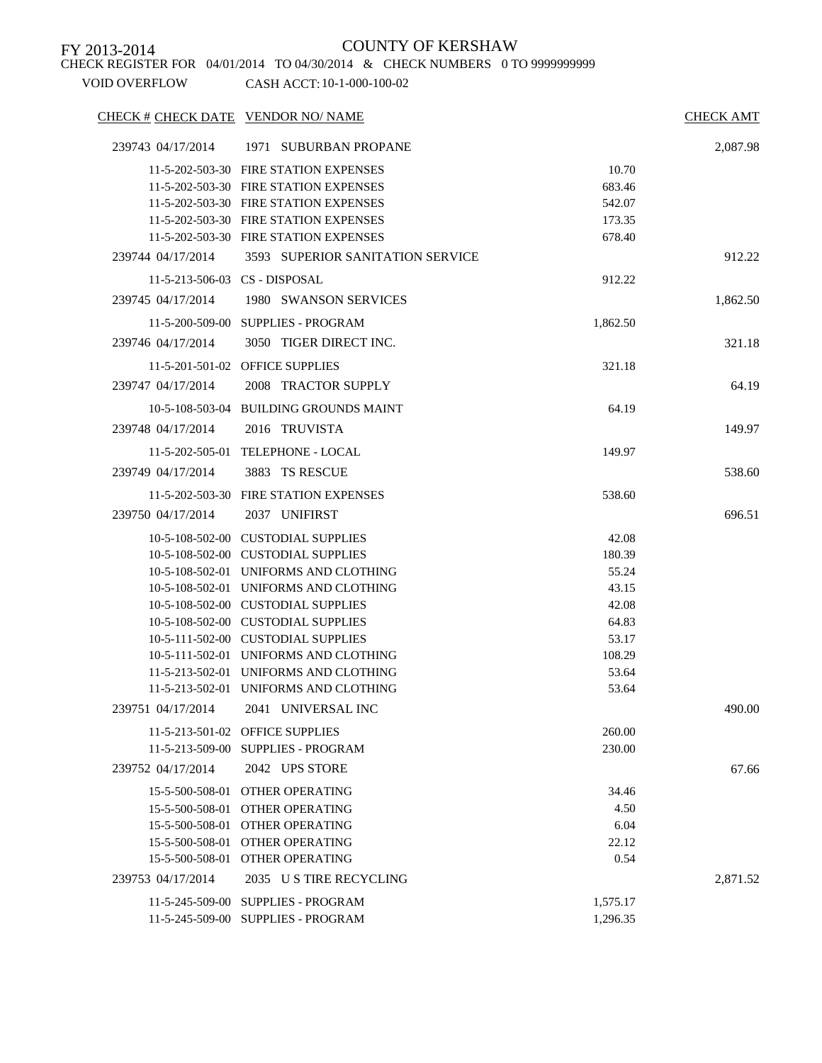CHECK REGISTER FOR 04/01/2014 TO 04/30/2014 & CHECK NUMBERS 0 TO 9999999999

| 239743 04/17/2014<br>1971 SUBURBAN PROPANE<br>11-5-202-503-30 FIRE STATION EXPENSES<br>10.70<br>11-5-202-503-30 FIRE STATION EXPENSES<br>683.46<br>11-5-202-503-30 FIRE STATION EXPENSES<br>542.07<br>11-5-202-503-30 FIRE STATION EXPENSES<br>173.35<br>11-5-202-503-30 FIRE STATION EXPENSES<br>678.40<br>239744 04/17/2014<br>3593 SUPERIOR SANITATION SERVICE<br>11-5-213-506-03 CS - DISPOSAL<br>912.22<br>1980 SWANSON SERVICES<br>239745 04/17/2014<br>11-5-200-509-00 SUPPLIES - PROGRAM<br>1,862.50<br>3050 TIGER DIRECT INC.<br>239746 04/17/2014<br>11-5-201-501-02 OFFICE SUPPLIES<br>321.18<br>239747 04/17/2014<br>2008 TRACTOR SUPPLY<br>10-5-108-503-04 BUILDING GROUNDS MAINT<br>64.19<br>239748 04/17/2014<br>2016 TRUVISTA<br>11-5-202-505-01 TELEPHONE - LOCAL<br>149.97<br>3883 TS RESCUE<br>239749 04/17/2014<br>11-5-202-503-30 FIRE STATION EXPENSES<br>538.60<br>239750 04/17/2014<br>2037 UNIFIRST<br>10-5-108-502-00 CUSTODIAL SUPPLIES<br>42.08<br>10-5-108-502-00 CUSTODIAL SUPPLIES<br>180.39<br>10-5-108-502-01 UNIFORMS AND CLOTHING<br>55.24<br>10-5-108-502-01 UNIFORMS AND CLOTHING<br>43.15<br>10-5-108-502-00 CUSTODIAL SUPPLIES<br>42.08<br>10-5-108-502-00 CUSTODIAL SUPPLIES<br>64.83<br>10-5-111-502-00 CUSTODIAL SUPPLIES<br>53.17<br>10-5-111-502-01 UNIFORMS AND CLOTHING<br>108.29<br>11-5-213-502-01 UNIFORMS AND CLOTHING<br>53.64<br>11-5-213-502-01 UNIFORMS AND CLOTHING<br>53.64 | CHECK # CHECK DATE VENDOR NO/ NAME |  | <b>CHECK AMT</b> |
|-------------------------------------------------------------------------------------------------------------------------------------------------------------------------------------------------------------------------------------------------------------------------------------------------------------------------------------------------------------------------------------------------------------------------------------------------------------------------------------------------------------------------------------------------------------------------------------------------------------------------------------------------------------------------------------------------------------------------------------------------------------------------------------------------------------------------------------------------------------------------------------------------------------------------------------------------------------------------------------------------------------------------------------------------------------------------------------------------------------------------------------------------------------------------------------------------------------------------------------------------------------------------------------------------------------------------------------------------------------------------------------------------------------------------------------|------------------------------------|--|------------------|
|                                                                                                                                                                                                                                                                                                                                                                                                                                                                                                                                                                                                                                                                                                                                                                                                                                                                                                                                                                                                                                                                                                                                                                                                                                                                                                                                                                                                                                     |                                    |  | 2,087.98         |
|                                                                                                                                                                                                                                                                                                                                                                                                                                                                                                                                                                                                                                                                                                                                                                                                                                                                                                                                                                                                                                                                                                                                                                                                                                                                                                                                                                                                                                     |                                    |  |                  |
|                                                                                                                                                                                                                                                                                                                                                                                                                                                                                                                                                                                                                                                                                                                                                                                                                                                                                                                                                                                                                                                                                                                                                                                                                                                                                                                                                                                                                                     |                                    |  |                  |
|                                                                                                                                                                                                                                                                                                                                                                                                                                                                                                                                                                                                                                                                                                                                                                                                                                                                                                                                                                                                                                                                                                                                                                                                                                                                                                                                                                                                                                     |                                    |  |                  |
|                                                                                                                                                                                                                                                                                                                                                                                                                                                                                                                                                                                                                                                                                                                                                                                                                                                                                                                                                                                                                                                                                                                                                                                                                                                                                                                                                                                                                                     |                                    |  |                  |
|                                                                                                                                                                                                                                                                                                                                                                                                                                                                                                                                                                                                                                                                                                                                                                                                                                                                                                                                                                                                                                                                                                                                                                                                                                                                                                                                                                                                                                     |                                    |  |                  |
|                                                                                                                                                                                                                                                                                                                                                                                                                                                                                                                                                                                                                                                                                                                                                                                                                                                                                                                                                                                                                                                                                                                                                                                                                                                                                                                                                                                                                                     |                                    |  | 912.22           |
|                                                                                                                                                                                                                                                                                                                                                                                                                                                                                                                                                                                                                                                                                                                                                                                                                                                                                                                                                                                                                                                                                                                                                                                                                                                                                                                                                                                                                                     |                                    |  |                  |
|                                                                                                                                                                                                                                                                                                                                                                                                                                                                                                                                                                                                                                                                                                                                                                                                                                                                                                                                                                                                                                                                                                                                                                                                                                                                                                                                                                                                                                     |                                    |  | 1,862.50         |
|                                                                                                                                                                                                                                                                                                                                                                                                                                                                                                                                                                                                                                                                                                                                                                                                                                                                                                                                                                                                                                                                                                                                                                                                                                                                                                                                                                                                                                     |                                    |  |                  |
|                                                                                                                                                                                                                                                                                                                                                                                                                                                                                                                                                                                                                                                                                                                                                                                                                                                                                                                                                                                                                                                                                                                                                                                                                                                                                                                                                                                                                                     |                                    |  | 321.18           |
|                                                                                                                                                                                                                                                                                                                                                                                                                                                                                                                                                                                                                                                                                                                                                                                                                                                                                                                                                                                                                                                                                                                                                                                                                                                                                                                                                                                                                                     |                                    |  |                  |
|                                                                                                                                                                                                                                                                                                                                                                                                                                                                                                                                                                                                                                                                                                                                                                                                                                                                                                                                                                                                                                                                                                                                                                                                                                                                                                                                                                                                                                     |                                    |  | 64.19            |
|                                                                                                                                                                                                                                                                                                                                                                                                                                                                                                                                                                                                                                                                                                                                                                                                                                                                                                                                                                                                                                                                                                                                                                                                                                                                                                                                                                                                                                     |                                    |  |                  |
|                                                                                                                                                                                                                                                                                                                                                                                                                                                                                                                                                                                                                                                                                                                                                                                                                                                                                                                                                                                                                                                                                                                                                                                                                                                                                                                                                                                                                                     |                                    |  | 149.97           |
|                                                                                                                                                                                                                                                                                                                                                                                                                                                                                                                                                                                                                                                                                                                                                                                                                                                                                                                                                                                                                                                                                                                                                                                                                                                                                                                                                                                                                                     |                                    |  |                  |
|                                                                                                                                                                                                                                                                                                                                                                                                                                                                                                                                                                                                                                                                                                                                                                                                                                                                                                                                                                                                                                                                                                                                                                                                                                                                                                                                                                                                                                     |                                    |  | 538.60           |
|                                                                                                                                                                                                                                                                                                                                                                                                                                                                                                                                                                                                                                                                                                                                                                                                                                                                                                                                                                                                                                                                                                                                                                                                                                                                                                                                                                                                                                     |                                    |  |                  |
|                                                                                                                                                                                                                                                                                                                                                                                                                                                                                                                                                                                                                                                                                                                                                                                                                                                                                                                                                                                                                                                                                                                                                                                                                                                                                                                                                                                                                                     |                                    |  | 696.51           |
|                                                                                                                                                                                                                                                                                                                                                                                                                                                                                                                                                                                                                                                                                                                                                                                                                                                                                                                                                                                                                                                                                                                                                                                                                                                                                                                                                                                                                                     |                                    |  |                  |
|                                                                                                                                                                                                                                                                                                                                                                                                                                                                                                                                                                                                                                                                                                                                                                                                                                                                                                                                                                                                                                                                                                                                                                                                                                                                                                                                                                                                                                     |                                    |  |                  |
|                                                                                                                                                                                                                                                                                                                                                                                                                                                                                                                                                                                                                                                                                                                                                                                                                                                                                                                                                                                                                                                                                                                                                                                                                                                                                                                                                                                                                                     |                                    |  |                  |
|                                                                                                                                                                                                                                                                                                                                                                                                                                                                                                                                                                                                                                                                                                                                                                                                                                                                                                                                                                                                                                                                                                                                                                                                                                                                                                                                                                                                                                     |                                    |  |                  |
|                                                                                                                                                                                                                                                                                                                                                                                                                                                                                                                                                                                                                                                                                                                                                                                                                                                                                                                                                                                                                                                                                                                                                                                                                                                                                                                                                                                                                                     |                                    |  |                  |
|                                                                                                                                                                                                                                                                                                                                                                                                                                                                                                                                                                                                                                                                                                                                                                                                                                                                                                                                                                                                                                                                                                                                                                                                                                                                                                                                                                                                                                     |                                    |  |                  |
|                                                                                                                                                                                                                                                                                                                                                                                                                                                                                                                                                                                                                                                                                                                                                                                                                                                                                                                                                                                                                                                                                                                                                                                                                                                                                                                                                                                                                                     |                                    |  |                  |
|                                                                                                                                                                                                                                                                                                                                                                                                                                                                                                                                                                                                                                                                                                                                                                                                                                                                                                                                                                                                                                                                                                                                                                                                                                                                                                                                                                                                                                     |                                    |  |                  |
|                                                                                                                                                                                                                                                                                                                                                                                                                                                                                                                                                                                                                                                                                                                                                                                                                                                                                                                                                                                                                                                                                                                                                                                                                                                                                                                                                                                                                                     |                                    |  |                  |
|                                                                                                                                                                                                                                                                                                                                                                                                                                                                                                                                                                                                                                                                                                                                                                                                                                                                                                                                                                                                                                                                                                                                                                                                                                                                                                                                                                                                                                     |                                    |  |                  |
| 239751 04/17/2014<br>2041 UNIVERSAL INC                                                                                                                                                                                                                                                                                                                                                                                                                                                                                                                                                                                                                                                                                                                                                                                                                                                                                                                                                                                                                                                                                                                                                                                                                                                                                                                                                                                             |                                    |  | 490.00           |
| 11-5-213-501-02 OFFICE SUPPLIES<br>260.00                                                                                                                                                                                                                                                                                                                                                                                                                                                                                                                                                                                                                                                                                                                                                                                                                                                                                                                                                                                                                                                                                                                                                                                                                                                                                                                                                                                           |                                    |  |                  |
| 11-5-213-509-00 SUPPLIES - PROGRAM<br>230.00                                                                                                                                                                                                                                                                                                                                                                                                                                                                                                                                                                                                                                                                                                                                                                                                                                                                                                                                                                                                                                                                                                                                                                                                                                                                                                                                                                                        |                                    |  |                  |
| 2042 UPS STORE<br>239752 04/17/2014                                                                                                                                                                                                                                                                                                                                                                                                                                                                                                                                                                                                                                                                                                                                                                                                                                                                                                                                                                                                                                                                                                                                                                                                                                                                                                                                                                                                 |                                    |  | 67.66            |
| 15-5-500-508-01 OTHER OPERATING<br>34.46                                                                                                                                                                                                                                                                                                                                                                                                                                                                                                                                                                                                                                                                                                                                                                                                                                                                                                                                                                                                                                                                                                                                                                                                                                                                                                                                                                                            |                                    |  |                  |
| 15-5-500-508-01 OTHER OPERATING<br>4.50                                                                                                                                                                                                                                                                                                                                                                                                                                                                                                                                                                                                                                                                                                                                                                                                                                                                                                                                                                                                                                                                                                                                                                                                                                                                                                                                                                                             |                                    |  |                  |
| 15-5-500-508-01 OTHER OPERATING<br>6.04                                                                                                                                                                                                                                                                                                                                                                                                                                                                                                                                                                                                                                                                                                                                                                                                                                                                                                                                                                                                                                                                                                                                                                                                                                                                                                                                                                                             |                                    |  |                  |
| 15-5-500-508-01 OTHER OPERATING<br>22.12                                                                                                                                                                                                                                                                                                                                                                                                                                                                                                                                                                                                                                                                                                                                                                                                                                                                                                                                                                                                                                                                                                                                                                                                                                                                                                                                                                                            |                                    |  |                  |
| 15-5-500-508-01 OTHER OPERATING<br>0.54                                                                                                                                                                                                                                                                                                                                                                                                                                                                                                                                                                                                                                                                                                                                                                                                                                                                                                                                                                                                                                                                                                                                                                                                                                                                                                                                                                                             |                                    |  |                  |
| 2035 U S TIRE RECYCLING<br>239753 04/17/2014                                                                                                                                                                                                                                                                                                                                                                                                                                                                                                                                                                                                                                                                                                                                                                                                                                                                                                                                                                                                                                                                                                                                                                                                                                                                                                                                                                                        |                                    |  | 2,871.52         |
| 11-5-245-509-00 SUPPLIES - PROGRAM<br>1,575.17                                                                                                                                                                                                                                                                                                                                                                                                                                                                                                                                                                                                                                                                                                                                                                                                                                                                                                                                                                                                                                                                                                                                                                                                                                                                                                                                                                                      |                                    |  |                  |
| 11-5-245-509-00 SUPPLIES - PROGRAM<br>1,296.35                                                                                                                                                                                                                                                                                                                                                                                                                                                                                                                                                                                                                                                                                                                                                                                                                                                                                                                                                                                                                                                                                                                                                                                                                                                                                                                                                                                      |                                    |  |                  |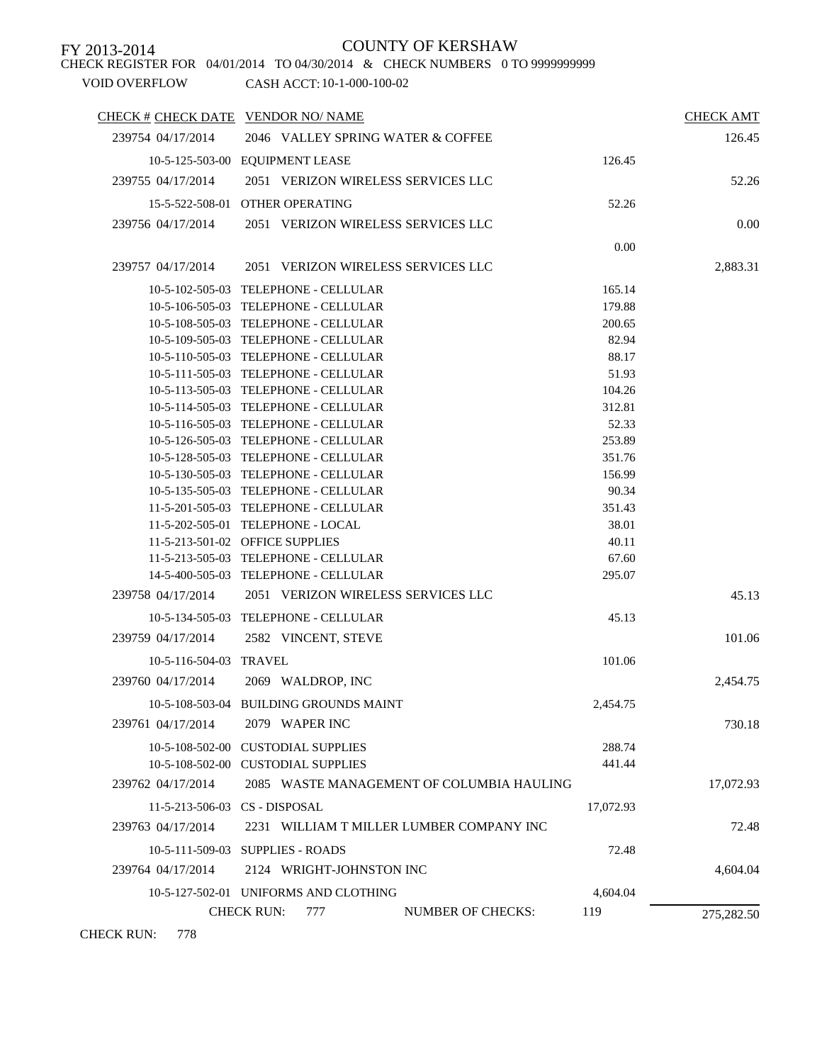VOID OVERFLOW CASH ACCT: 10-1-000-100-02 CHECK REGISTER FOR 04/01/2014 TO 04/30/2014 & CHECK NUMBERS 0 TO 9999999999

| CHECK # CHECK DATE VENDOR NO/ NAME |                                                      |           | <b>CHECK AMT</b> |
|------------------------------------|------------------------------------------------------|-----------|------------------|
| 239754 04/17/2014                  | 2046 VALLEY SPRING WATER & COFFEE                    |           | 126.45           |
|                                    | 10-5-125-503-00 EQUIPMENT LEASE                      | 126.45    |                  |
| 239755 04/17/2014                  | 2051 VERIZON WIRELESS SERVICES LLC                   |           | 52.26            |
|                                    | 15-5-522-508-01 OTHER OPERATING                      | 52.26     |                  |
| 239756 04/17/2014                  | 2051 VERIZON WIRELESS SERVICES LLC                   |           |                  |
|                                    |                                                      |           | 0.00             |
|                                    |                                                      | 0.00      |                  |
| 239757 04/17/2014                  | 2051 VERIZON WIRELESS SERVICES LLC                   |           | 2,883.31         |
|                                    | 10-5-102-505-03 TELEPHONE - CELLULAR                 | 165.14    |                  |
|                                    | 10-5-106-505-03 TELEPHONE - CELLULAR                 | 179.88    |                  |
|                                    | 10-5-108-505-03 TELEPHONE - CELLULAR                 | 200.65    |                  |
|                                    | 10-5-109-505-03 TELEPHONE - CELLULAR                 | 82.94     |                  |
|                                    | 10-5-110-505-03 TELEPHONE - CELLULAR                 | 88.17     |                  |
|                                    | 10-5-111-505-03 TELEPHONE - CELLULAR                 | 51.93     |                  |
|                                    | 10-5-113-505-03 TELEPHONE - CELLULAR                 | 104.26    |                  |
|                                    | 10-5-114-505-03 TELEPHONE - CELLULAR                 | 312.81    |                  |
|                                    | 10-5-116-505-03 TELEPHONE - CELLULAR                 | 52.33     |                  |
|                                    | 10-5-126-505-03 TELEPHONE - CELLULAR                 | 253.89    |                  |
|                                    | 10-5-128-505-03 TELEPHONE - CELLULAR                 | 351.76    |                  |
|                                    | 10-5-130-505-03 TELEPHONE - CELLULAR                 | 156.99    |                  |
|                                    | 10-5-135-505-03 TELEPHONE - CELLULAR                 | 90.34     |                  |
|                                    | 11-5-201-505-03 TELEPHONE - CELLULAR                 | 351.43    |                  |
|                                    | 11-5-202-505-01 TELEPHONE - LOCAL                    | 38.01     |                  |
|                                    | 11-5-213-501-02 OFFICE SUPPLIES                      | 40.11     |                  |
|                                    | 11-5-213-505-03 TELEPHONE - CELLULAR                 | 67.60     |                  |
|                                    | 14-5-400-505-03 TELEPHONE - CELLULAR                 | 295.07    |                  |
| 239758 04/17/2014                  | 2051 VERIZON WIRELESS SERVICES LLC                   |           | 45.13            |
|                                    | 10-5-134-505-03 TELEPHONE - CELLULAR                 | 45.13     |                  |
| 239759 04/17/2014                  | 2582 VINCENT, STEVE                                  |           | 101.06           |
| 10-5-116-504-03 TRAVEL             |                                                      | 101.06    |                  |
| 239760 04/17/2014                  | 2069 WALDROP, INC                                    |           | 2,454.75         |
|                                    | 10-5-108-503-04 BUILDING GROUNDS MAINT               | 2,454.75  |                  |
| 239761 04/17/2014                  | 2079 WAPER INC                                       |           | 730.18           |
|                                    |                                                      |           |                  |
|                                    | 10-5-108-502-00 CUSTODIAL SUPPLIES                   | 288.74    |                  |
|                                    | 10-5-108-502-00 CUSTODIAL SUPPLIES                   | 441.44    |                  |
| 239762 04/17/2014                  | 2085 WASTE MANAGEMENT OF COLUMBIA HAULING            |           | 17,072.93        |
|                                    | 11-5-213-506-03 CS - DISPOSAL                        | 17,072.93 |                  |
| 239763 04/17/2014                  | 2231 WILLIAM T MILLER LUMBER COMPANY INC             |           | 72.48            |
|                                    | 10-5-111-509-03 SUPPLIES - ROADS                     | 72.48     |                  |
| 239764 04/17/2014                  | 2124 WRIGHT-JOHNSTON INC                             |           | 4,604.04         |
|                                    | 10-5-127-502-01 UNIFORMS AND CLOTHING                | 4,604.04  |                  |
|                                    |                                                      |           |                  |
|                                    | <b>CHECK RUN:</b><br>777<br><b>NUMBER OF CHECKS:</b> | 119       | 275,282.50       |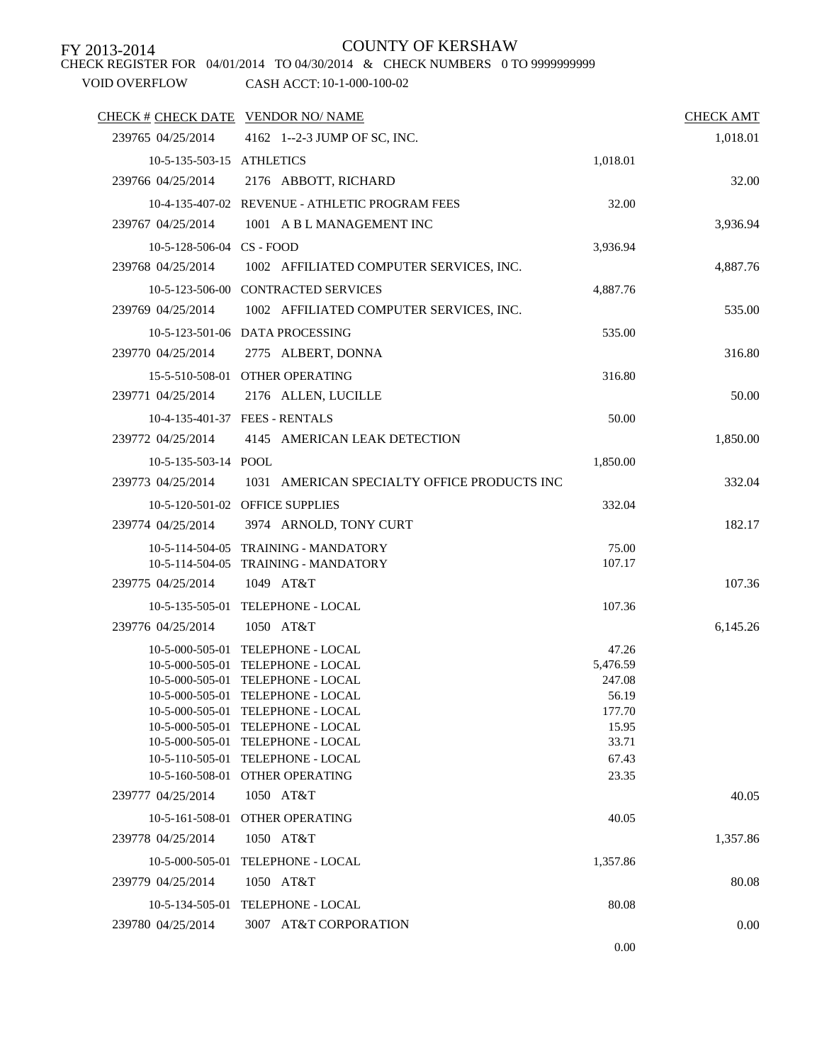CHECK REGISTER FOR 04/01/2014 TO 04/30/2014 & CHECK NUMBERS 0 TO 9999999999

| CHECK # CHECK DATE VENDOR NO/ NAME |                                                           |          | <b>CHECK AMT</b> |
|------------------------------------|-----------------------------------------------------------|----------|------------------|
| 239765 04/25/2014                  | 4162 1--2-3 JUMP OF SC, INC.                              |          | 1,018.01         |
| 10-5-135-503-15 ATHLETICS          |                                                           | 1,018.01 |                  |
| 239766 04/25/2014                  | 2176 ABBOTT, RICHARD                                      |          | 32.00            |
|                                    | 10-4-135-407-02 REVENUE - ATHLETIC PROGRAM FEES           | 32.00    |                  |
| 239767 04/25/2014                  | 1001 A B L MANAGEMENT INC                                 |          | 3,936.94         |
| 10-5-128-506-04 CS - FOOD          |                                                           | 3,936.94 |                  |
|                                    | 239768 04/25/2014 1002 AFFILIATED COMPUTER SERVICES, INC. |          | 4,887.76         |
|                                    | 10-5-123-506-00 CONTRACTED SERVICES                       | 4,887.76 |                  |
| 239769 04/25/2014                  |                                                           |          |                  |
|                                    | 1002 AFFILIATED COMPUTER SERVICES, INC.                   |          | 535.00           |
|                                    | 10-5-123-501-06 DATA PROCESSING                           | 535.00   |                  |
| 239770 04/25/2014                  | 2775 ALBERT, DONNA                                        |          | 316.80           |
|                                    | 15-5-510-508-01 OTHER OPERATING                           | 316.80   |                  |
| 239771 04/25/2014                  | 2176 ALLEN, LUCILLE                                       |          | 50.00            |
|                                    | 10-4-135-401-37 FEES - RENTALS                            | 50.00    |                  |
| 239772 04/25/2014                  | 4145 AMERICAN LEAK DETECTION                              |          | 1,850.00         |
| $10-5-135-503-14$ POOL             |                                                           | 1,850.00 |                  |
| 239773 04/25/2014                  | 1031 AMERICAN SPECIALTY OFFICE PRODUCTS INC               |          | 332.04           |
|                                    | 10-5-120-501-02 OFFICE SUPPLIES                           | 332.04   |                  |
| 239774 04/25/2014                  | 3974 ARNOLD, TONY CURT                                    |          | 182.17           |
|                                    | 10-5-114-504-05 TRAINING - MANDATORY                      | 75.00    |                  |
|                                    | 10-5-114-504-05 TRAINING - MANDATORY                      | 107.17   |                  |
| 239775 04/25/2014                  | 1049 AT&T                                                 |          | 107.36           |
|                                    | 10-5-135-505-01 TELEPHONE - LOCAL                         | 107.36   |                  |
| 239776 04/25/2014                  | 1050 AT&T                                                 |          | 6,145.26         |
|                                    | 10-5-000-505-01 TELEPHONE - LOCAL                         | 47.26    |                  |
|                                    | 10-5-000-505-01 TELEPHONE - LOCAL                         | 5,476.59 |                  |
|                                    | 10-5-000-505-01 TELEPHONE - LOCAL                         | 247.08   |                  |
|                                    | 10-5-000-505-01 TELEPHONE - LOCAL                         | 56.19    |                  |
|                                    | 10-5-000-505-01 TELEPHONE - LOCAL                         | 177.70   |                  |
|                                    | 10-5-000-505-01 TELEPHONE - LOCAL                         | 15.95    |                  |
|                                    | 10-5-000-505-01 TELEPHONE - LOCAL                         | 33.71    |                  |
|                                    | 10-5-110-505-01 TELEPHONE - LOCAL                         | 67.43    |                  |
|                                    | 10-5-160-508-01 OTHER OPERATING                           | 23.35    |                  |
| 239777 04/25/2014                  | 1050 AT&T                                                 |          | 40.05            |
|                                    | 10-5-161-508-01 OTHER OPERATING                           | 40.05    |                  |
| 239778 04/25/2014                  | 1050 AT&T                                                 |          | 1,357.86         |
|                                    | 10-5-000-505-01 TELEPHONE - LOCAL                         | 1,357.86 |                  |
| 239779 04/25/2014                  | 1050 AT&T                                                 |          | 80.08            |
|                                    | 10-5-134-505-01 TELEPHONE - LOCAL                         | 80.08    |                  |
| 239780 04/25/2014                  | 3007 AT&T CORPORATION                                     |          | 0.00             |
|                                    |                                                           | 0.00     |                  |
|                                    |                                                           |          |                  |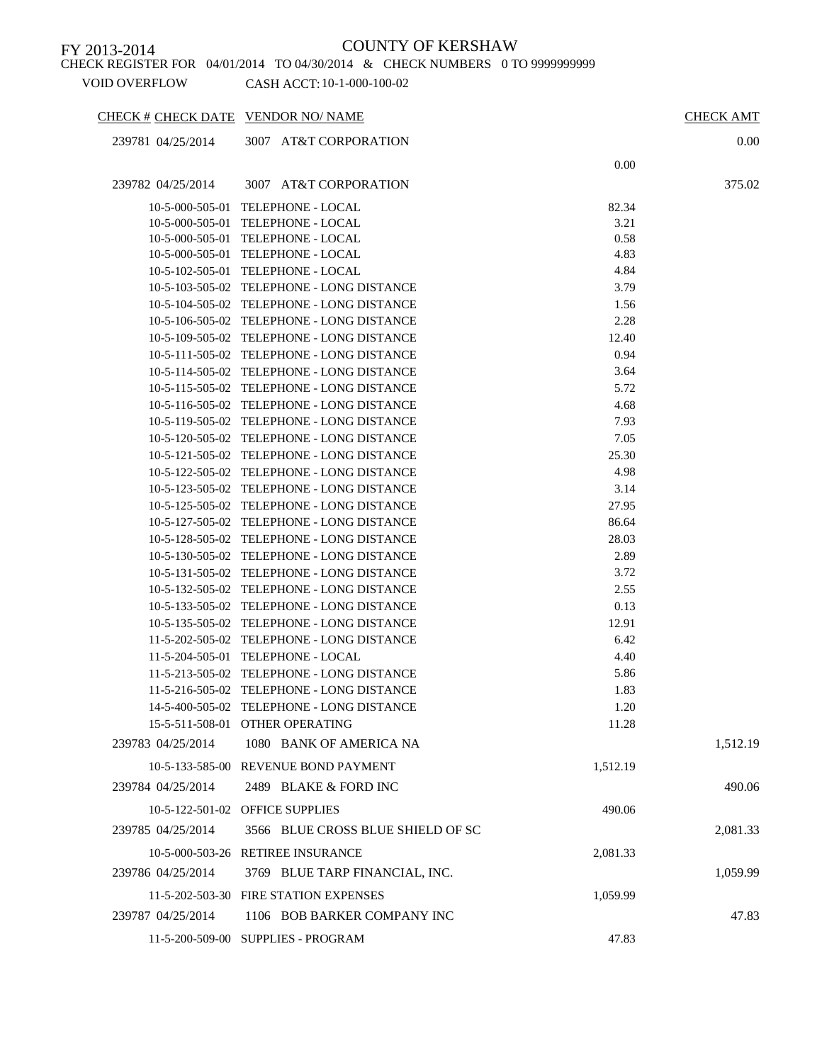CHECK REGISTER FOR 04/01/2014 TO 04/30/2014 & CHECK NUMBERS 0 TO 9999999999

| CHECK # CHECK DATE VENDOR NO/ NAME |                                                                        |              | <b>CHECK AMT</b> |
|------------------------------------|------------------------------------------------------------------------|--------------|------------------|
| 239781 04/25/2014                  | 3007 AT&T CORPORATION                                                  |              | $0.00\,$         |
|                                    |                                                                        | 0.00         |                  |
| 239782 04/25/2014                  | 3007 AT&T CORPORATION                                                  |              | 375.02           |
|                                    |                                                                        |              |                  |
|                                    | 10-5-000-505-01 TELEPHONE - LOCAL                                      | 82.34        |                  |
|                                    | 10-5-000-505-01 TELEPHONE - LOCAL                                      | 3.21         |                  |
|                                    | 10-5-000-505-01 TELEPHONE - LOCAL<br>10-5-000-505-01 TELEPHONE - LOCAL | 0.58<br>4.83 |                  |
|                                    | 10-5-102-505-01 TELEPHONE - LOCAL                                      | 4.84         |                  |
|                                    | 10-5-103-505-02 TELEPHONE - LONG DISTANCE                              | 3.79         |                  |
|                                    | 10-5-104-505-02 TELEPHONE - LONG DISTANCE                              | 1.56         |                  |
|                                    | 10-5-106-505-02 TELEPHONE - LONG DISTANCE                              | 2.28         |                  |
|                                    | 10-5-109-505-02 TELEPHONE - LONG DISTANCE                              | 12.40        |                  |
|                                    | 10-5-111-505-02 TELEPHONE - LONG DISTANCE                              | 0.94         |                  |
|                                    | 10-5-114-505-02 TELEPHONE - LONG DISTANCE                              | 3.64         |                  |
|                                    | 10-5-115-505-02 TELEPHONE - LONG DISTANCE                              | 5.72         |                  |
|                                    | 10-5-116-505-02 TELEPHONE - LONG DISTANCE                              | 4.68         |                  |
|                                    | 10-5-119-505-02 TELEPHONE - LONG DISTANCE                              | 7.93         |                  |
|                                    | 10-5-120-505-02 TELEPHONE - LONG DISTANCE                              | 7.05         |                  |
|                                    | 10-5-121-505-02 TELEPHONE - LONG DISTANCE                              | 25.30        |                  |
|                                    | 10-5-122-505-02 TELEPHONE - LONG DISTANCE                              | 4.98         |                  |
|                                    | 10-5-123-505-02 TELEPHONE - LONG DISTANCE                              | 3.14         |                  |
|                                    | 10-5-125-505-02 TELEPHONE - LONG DISTANCE                              | 27.95        |                  |
|                                    | 10-5-127-505-02 TELEPHONE - LONG DISTANCE                              | 86.64        |                  |
|                                    | 10-5-128-505-02 TELEPHONE - LONG DISTANCE                              | 28.03        |                  |
|                                    | 10-5-130-505-02 TELEPHONE - LONG DISTANCE                              | 2.89         |                  |
|                                    | 10-5-131-505-02 TELEPHONE - LONG DISTANCE                              | 3.72         |                  |
|                                    | 10-5-132-505-02 TELEPHONE - LONG DISTANCE                              | 2.55         |                  |
|                                    | 10-5-133-505-02 TELEPHONE - LONG DISTANCE                              | 0.13         |                  |
|                                    | 10-5-135-505-02 TELEPHONE - LONG DISTANCE                              | 12.91        |                  |
|                                    | 11-5-202-505-02 TELEPHONE - LONG DISTANCE                              | 6.42         |                  |
|                                    | 11-5-204-505-01 TELEPHONE - LOCAL                                      | 4.40         |                  |
|                                    | 11-5-213-505-02 TELEPHONE - LONG DISTANCE                              | 5.86         |                  |
|                                    | 11-5-216-505-02 TELEPHONE - LONG DISTANCE                              | 1.83         |                  |
|                                    | 14-5-400-505-02 TELEPHONE - LONG DISTANCE                              | 1.20         |                  |
|                                    | 15-5-511-508-01 OTHER OPERATING                                        | 11.28        |                  |
| 239783 04/25/2014                  | 1080 BANK OF AMERICA NA                                                |              | 1,512.19         |
|                                    |                                                                        |              |                  |
|                                    | 10-5-133-585-00 REVENUE BOND PAYMENT                                   | 1,512.19     |                  |
| 239784 04/25/2014                  | 2489 BLAKE & FORD INC                                                  |              | 490.06           |
|                                    | 10-5-122-501-02 OFFICE SUPPLIES                                        | 490.06       |                  |
| 239785 04/25/2014                  | 3566 BLUE CROSS BLUE SHIELD OF SC                                      |              | 2,081.33         |
|                                    | 10-5-000-503-26 RETIREE INSURANCE                                      | 2,081.33     |                  |
| 239786 04/25/2014                  | 3769 BLUE TARP FINANCIAL, INC.                                         |              | 1,059.99         |
|                                    | 11-5-202-503-30 FIRE STATION EXPENSES                                  | 1,059.99     |                  |
| 239787 04/25/2014                  | 1106 BOB BARKER COMPANY INC                                            |              | 47.83            |
|                                    | 11-5-200-509-00 SUPPLIES - PROGRAM                                     | 47.83        |                  |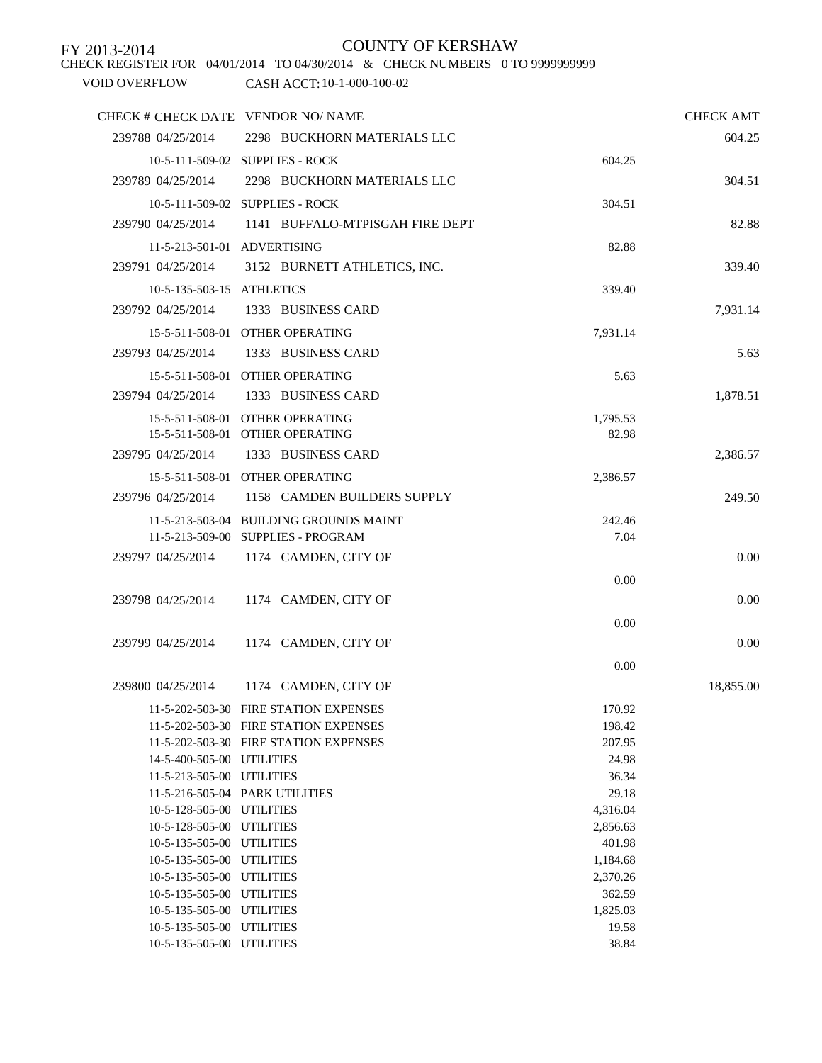CHECK REGISTER FOR 04/01/2014 TO 04/30/2014 & CHECK NUMBERS 0 TO 9999999999

| CHECK # CHECK DATE VENDOR NO/ NAME |                                                                                |                  | <b>CHECK AMT</b> |
|------------------------------------|--------------------------------------------------------------------------------|------------------|------------------|
| 239788 04/25/2014                  | 2298 BUCKHORN MATERIALS LLC                                                    |                  | 604.25           |
|                                    | 10-5-111-509-02 SUPPLIES - ROCK                                                | 604.25           |                  |
| 239789 04/25/2014                  | 2298 BUCKHORN MATERIALS LLC                                                    |                  | 304.51           |
|                                    | 10-5-111-509-02 SUPPLIES - ROCK                                                | 304.51           |                  |
| 239790 04/25/2014                  | 1141 BUFFALO-MTPISGAH FIRE DEPT                                                |                  | 82.88            |
|                                    |                                                                                |                  |                  |
|                                    | 11-5-213-501-01 ADVERTISING                                                    | 82.88            |                  |
| 239791 04/25/2014                  | 3152 BURNETT ATHLETICS, INC.                                                   |                  | 339.40           |
| 10-5-135-503-15 ATHLETICS          |                                                                                | 339.40           |                  |
| 239792 04/25/2014                  | 1333 BUSINESS CARD                                                             |                  | 7,931.14         |
|                                    | 15-5-511-508-01 OTHER OPERATING                                                | 7,931.14         |                  |
| 239793 04/25/2014                  | 1333 BUSINESS CARD                                                             |                  | 5.63             |
|                                    |                                                                                |                  |                  |
|                                    | 15-5-511-508-01 OTHER OPERATING                                                | 5.63             |                  |
| 239794 04/25/2014                  | 1333 BUSINESS CARD                                                             |                  | 1,878.51         |
|                                    | 15-5-511-508-01 OTHER OPERATING                                                | 1,795.53         |                  |
|                                    | 15-5-511-508-01 OTHER OPERATING                                                | 82.98            |                  |
| 239795 04/25/2014                  | 1333 BUSINESS CARD                                                             |                  | 2,386.57         |
|                                    | 15-5-511-508-01 OTHER OPERATING                                                | 2,386.57         |                  |
| 239796 04/25/2014                  | 1158 CAMDEN BUILDERS SUPPLY                                                    |                  | 249.50           |
|                                    | 11-5-213-503-04 BUILDING GROUNDS MAINT                                         | 242.46           |                  |
|                                    | 11-5-213-509-00 SUPPLIES - PROGRAM                                             | 7.04             |                  |
| 239797 04/25/2014                  | 1174 CAMDEN, CITY OF                                                           |                  | 0.00             |
|                                    |                                                                                |                  |                  |
|                                    |                                                                                | 0.00             |                  |
| 239798 04/25/2014                  | 1174 CAMDEN, CITY OF                                                           |                  | 0.00             |
|                                    |                                                                                | 0.00             |                  |
| 239799 04/25/2014                  | 1174 CAMDEN, CITY OF                                                           |                  | 0.00             |
|                                    |                                                                                | 0.00             |                  |
| 239800 04/25/2014                  | 1174 CAMDEN, CITY OF                                                           |                  | 18,855.00        |
|                                    |                                                                                |                  |                  |
|                                    | 11-5-202-503-30 FIRE STATION EXPENSES<br>11-5-202-503-30 FIRE STATION EXPENSES | 170.92<br>198.42 |                  |
|                                    | 11-5-202-503-30 FIRE STATION EXPENSES                                          | 207.95           |                  |
| 14-5-400-505-00 UTILITIES          |                                                                                | 24.98            |                  |
| 11-5-213-505-00 UTILITIES          |                                                                                | 36.34            |                  |
|                                    | 11-5-216-505-04 PARK UTILITIES                                                 | 29.18            |                  |
| 10-5-128-505-00 UTILITIES          |                                                                                | 4,316.04         |                  |
| 10-5-128-505-00 UTILITIES          |                                                                                | 2,856.63         |                  |
| 10-5-135-505-00 UTILITIES          |                                                                                | 401.98           |                  |
| 10-5-135-505-00 UTILITIES          |                                                                                | 1,184.68         |                  |
| 10-5-135-505-00 UTILITIES          |                                                                                | 2,370.26         |                  |
| 10-5-135-505-00 UTILITIES          |                                                                                | 362.59           |                  |
| 10-5-135-505-00 UTILITIES          |                                                                                | 1,825.03         |                  |
| 10-5-135-505-00 UTILITIES          |                                                                                | 19.58            |                  |
| 10-5-135-505-00 UTILITIES          |                                                                                | 38.84            |                  |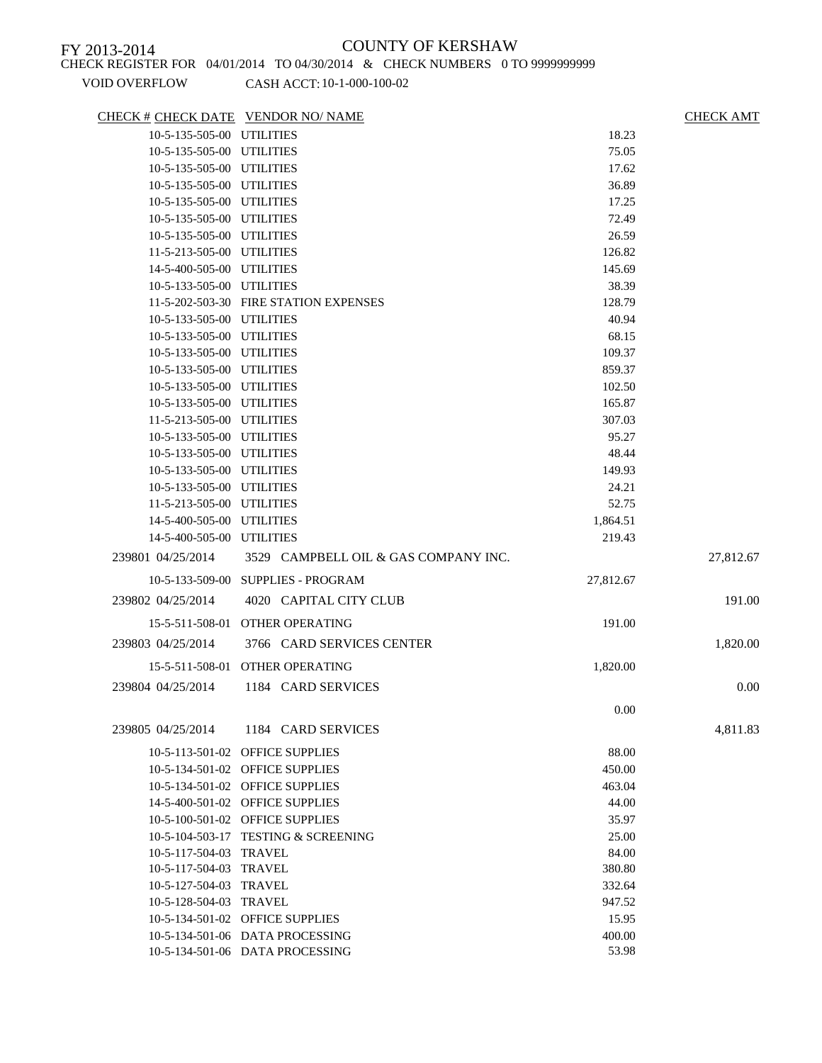CHECK REGISTER FOR 04/01/2014 TO 04/30/2014 & CHECK NUMBERS 0 TO 9999999999

| CHECK # CHECK DATE VENDOR NO/ NAME |                                       |           | <b>CHECK AMT</b> |
|------------------------------------|---------------------------------------|-----------|------------------|
| 10-5-135-505-00 UTILITIES          |                                       | 18.23     |                  |
| 10-5-135-505-00 UTILITIES          |                                       | 75.05     |                  |
| 10-5-135-505-00 UTILITIES          |                                       | 17.62     |                  |
| 10-5-135-505-00 UTILITIES          |                                       | 36.89     |                  |
| 10-5-135-505-00 UTILITIES          |                                       | 17.25     |                  |
| 10-5-135-505-00 UTILITIES          |                                       | 72.49     |                  |
| 10-5-135-505-00 UTILITIES          |                                       | 26.59     |                  |
| 11-5-213-505-00 UTILITIES          |                                       | 126.82    |                  |
| 14-5-400-505-00 UTILITIES          |                                       | 145.69    |                  |
| 10-5-133-505-00 UTILITIES          |                                       | 38.39     |                  |
|                                    | 11-5-202-503-30 FIRE STATION EXPENSES | 128.79    |                  |
| 10-5-133-505-00 UTILITIES          |                                       | 40.94     |                  |
| 10-5-133-505-00 UTILITIES          |                                       | 68.15     |                  |
| 10-5-133-505-00 UTILITIES          |                                       | 109.37    |                  |
| 10-5-133-505-00 UTILITIES          |                                       | 859.37    |                  |
| 10-5-133-505-00 UTILITIES          |                                       | 102.50    |                  |
| 10-5-133-505-00 UTILITIES          |                                       | 165.87    |                  |
| 11-5-213-505-00 UTILITIES          |                                       | 307.03    |                  |
| 10-5-133-505-00 UTILITIES          |                                       | 95.27     |                  |
| 10-5-133-505-00 UTILITIES          |                                       | 48.44     |                  |
| 10-5-133-505-00 UTILITIES          |                                       | 149.93    |                  |
| 10-5-133-505-00 UTILITIES          |                                       | 24.21     |                  |
| 11-5-213-505-00 UTILITIES          |                                       | 52.75     |                  |
| 14-5-400-505-00 UTILITIES          |                                       | 1,864.51  |                  |
| 14-5-400-505-00 UTILITIES          |                                       | 219.43    |                  |
| 239801 04/25/2014                  | 3529 CAMPBELL OIL & GAS COMPANY INC.  |           | 27,812.67        |
|                                    | 10-5-133-509-00 SUPPLIES - PROGRAM    | 27,812.67 |                  |
| 239802 04/25/2014                  | 4020 CAPITAL CITY CLUB                |           | 191.00           |
|                                    | 15-5-511-508-01 OTHER OPERATING       | 191.00    |                  |
| 239803 04/25/2014                  | 3766 CARD SERVICES CENTER             |           | 1,820.00         |
|                                    | 15-5-511-508-01 OTHER OPERATING       | 1,820.00  |                  |
|                                    |                                       |           |                  |
| 239804 04/25/2014                  | 1184 CARD SERVICES                    |           | 0.00             |
|                                    |                                       | 0.00      |                  |
| 239805 04/25/2014                  | 1184 CARD SERVICES                    |           | 4,811.83         |
|                                    | 10-5-113-501-02 OFFICE SUPPLIES       | 88.00     |                  |
|                                    | 10-5-134-501-02 OFFICE SUPPLIES       | 450.00    |                  |
|                                    | 10-5-134-501-02 OFFICE SUPPLIES       | 463.04    |                  |
|                                    | 14-5-400-501-02 OFFICE SUPPLIES       | 44.00     |                  |
|                                    | 10-5-100-501-02 OFFICE SUPPLIES       | 35.97     |                  |
|                                    | 10-5-104-503-17 TESTING & SCREENING   | 25.00     |                  |
| 10-5-117-504-03 TRAVEL             |                                       | 84.00     |                  |
| 10-5-117-504-03 TRAVEL             |                                       | 380.80    |                  |
| 10-5-127-504-03 TRAVEL             |                                       | 332.64    |                  |
| 10-5-128-504-03 TRAVEL             |                                       | 947.52    |                  |
|                                    | 10-5-134-501-02 OFFICE SUPPLIES       | 15.95     |                  |
|                                    | 10-5-134-501-06 DATA PROCESSING       | 400.00    |                  |
|                                    | 10-5-134-501-06 DATA PROCESSING       | 53.98     |                  |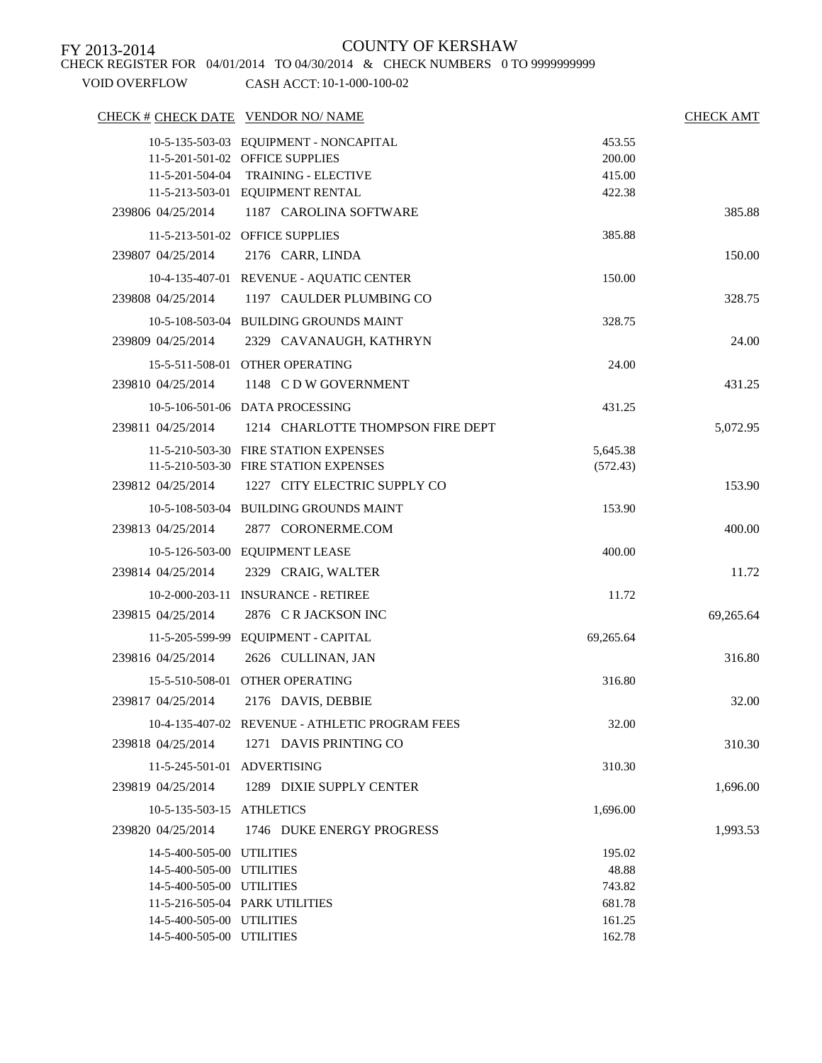CHECK REGISTER FOR 04/01/2014 TO 04/30/2014 & CHECK NUMBERS 0 TO 9999999999

| CHECK # CHECK DATE VENDOR NO/ NAME |                                                 |           | CHECK AMT |
|------------------------------------|-------------------------------------------------|-----------|-----------|
|                                    | 10-5-135-503-03 EQUIPMENT - NONCAPITAL          | 453.55    |           |
|                                    | 11-5-201-501-02 OFFICE SUPPLIES                 | 200.00    |           |
|                                    | 11-5-201-504-04 TRAINING - ELECTIVE             | 415.00    |           |
|                                    | 11-5-213-503-01 EQUIPMENT RENTAL                | 422.38    |           |
| 239806 04/25/2014                  | 1187 CAROLINA SOFTWARE                          |           | 385.88    |
|                                    | 11-5-213-501-02 OFFICE SUPPLIES                 | 385.88    |           |
| 239807 04/25/2014                  | 2176 CARR, LINDA                                |           | 150.00    |
|                                    | 10-4-135-407-01 REVENUE - AQUATIC CENTER        | 150.00    |           |
| 239808 04/25/2014                  | 1197 CAULDER PLUMBING CO                        |           | 328.75    |
|                                    | 10-5-108-503-04 BUILDING GROUNDS MAINT          | 328.75    |           |
| 239809 04/25/2014                  | 2329 CAVANAUGH, KATHRYN                         |           | 24.00     |
|                                    | 15-5-511-508-01 OTHER OPERATING                 | 24.00     |           |
| 239810 04/25/2014                  | 1148 CDW GOVERNMENT                             |           | 431.25    |
|                                    | 10-5-106-501-06 DATA PROCESSING                 | 431.25    |           |
| 239811 04/25/2014                  | 1214 CHARLOTTE THOMPSON FIRE DEPT               |           | 5,072.95  |
|                                    | 11-5-210-503-30 FIRE STATION EXPENSES           | 5,645.38  |           |
|                                    | 11-5-210-503-30 FIRE STATION EXPENSES           | (572.43)  |           |
| 239812 04/25/2014                  | 1227 CITY ELECTRIC SUPPLY CO                    |           | 153.90    |
|                                    | 10-5-108-503-04 BUILDING GROUNDS MAINT          | 153.90    |           |
| 239813 04/25/2014                  | 2877 CORONERME.COM                              |           | 400.00    |
|                                    | 10-5-126-503-00 EQUIPMENT LEASE                 | 400.00    |           |
| 239814 04/25/2014                  | 2329 CRAIG, WALTER                              |           | 11.72     |
|                                    | 10-2-000-203-11 INSURANCE - RETIREE             | 11.72     |           |
| 239815 04/25/2014                  | 2876 CR JACKSON INC                             |           | 69,265.64 |
|                                    | 11-5-205-599-99 EQUIPMENT - CAPITAL             | 69,265.64 |           |
| 239816 04/25/2014                  | 2626 CULLINAN, JAN                              |           | 316.80    |
|                                    | 15-5-510-508-01 OTHER OPERATING                 | 316.80    |           |
| 239817 04/25/2014                  | 2176 DAVIS, DEBBIE                              |           | 32.00     |
|                                    | 10-4-135-407-02 REVENUE - ATHLETIC PROGRAM FEES | 32.00     |           |
| 239818 04/25/2014                  | 1271 DAVIS PRINTING CO                          |           | 310.30    |
| 11-5-245-501-01 ADVERTISING        |                                                 | 310.30    |           |
| 239819 04/25/2014                  | 1289 DIXIE SUPPLY CENTER                        |           | 1,696.00  |
| 10-5-135-503-15 ATHLETICS          |                                                 | 1,696.00  |           |
| 239820 04/25/2014                  | 1746 DUKE ENERGY PROGRESS                       |           | 1,993.53  |
| 14-5-400-505-00 UTILITIES          |                                                 | 195.02    |           |
| 14-5-400-505-00 UTILITIES          |                                                 | 48.88     |           |
| 14-5-400-505-00 UTILITIES          |                                                 | 743.82    |           |
|                                    | 11-5-216-505-04 PARK UTILITIES                  | 681.78    |           |
| 14-5-400-505-00 UTILITIES          |                                                 | 161.25    |           |
| 14-5-400-505-00 UTILITIES          |                                                 | 162.78    |           |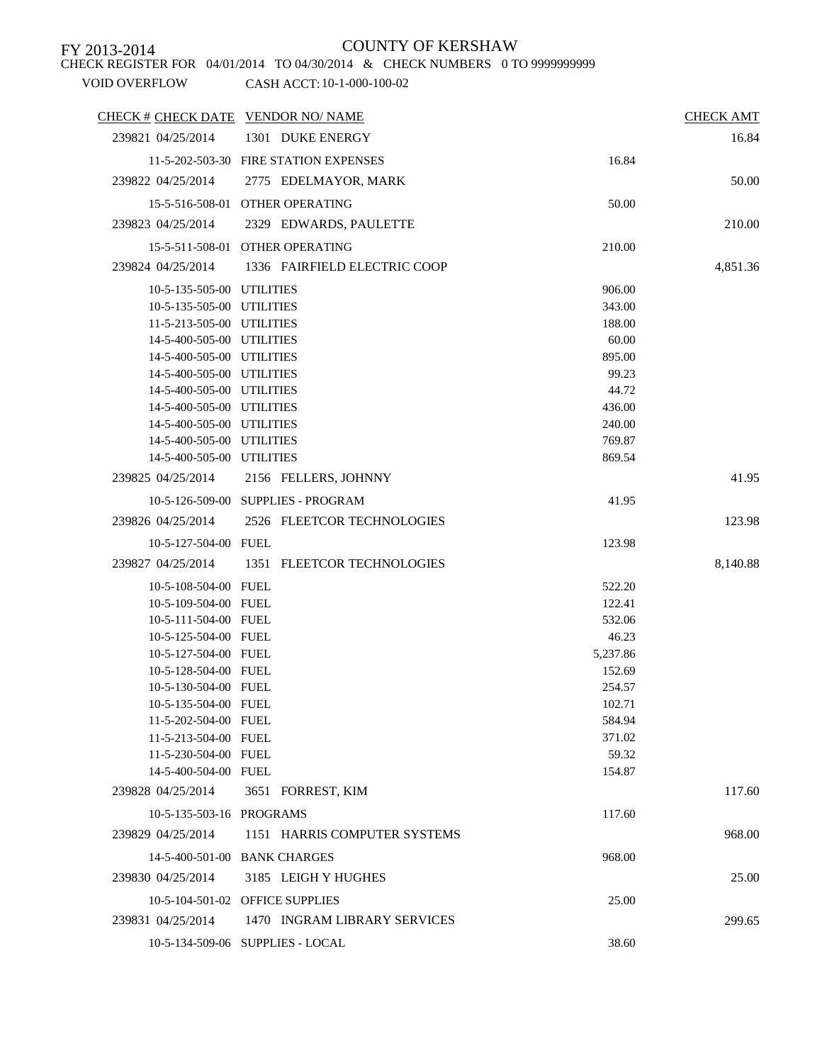CHECK REGISTER FOR 04/01/2014 TO 04/30/2014 & CHECK NUMBERS 0 TO 9999999999

| CHECK # CHECK DATE VENDOR NO/ NAME |                                       |          | <b>CHECK AMT</b> |
|------------------------------------|---------------------------------------|----------|------------------|
| 239821 04/25/2014                  | 1301 DUKE ENERGY                      |          | 16.84            |
|                                    | 11-5-202-503-30 FIRE STATION EXPENSES | 16.84    |                  |
| 239822 04/25/2014                  | 2775 EDELMAYOR, MARK                  |          | 50.00            |
|                                    |                                       |          |                  |
|                                    | 15-5-516-508-01 OTHER OPERATING       | 50.00    |                  |
| 239823 04/25/2014                  | 2329 EDWARDS, PAULETTE                |          | 210.00           |
|                                    | 15-5-511-508-01 OTHER OPERATING       | 210.00   |                  |
| 239824 04/25/2014                  | 1336 FAIRFIELD ELECTRIC COOP          |          | 4,851.36         |
| 10-5-135-505-00 UTILITIES          |                                       | 906.00   |                  |
| 10-5-135-505-00 UTILITIES          |                                       | 343.00   |                  |
| 11-5-213-505-00 UTILITIES          |                                       | 188.00   |                  |
| 14-5-400-505-00 UTILITIES          |                                       | 60.00    |                  |
| 14-5-400-505-00 UTILITIES          |                                       | 895.00   |                  |
| 14-5-400-505-00 UTILITIES          |                                       | 99.23    |                  |
| 14-5-400-505-00 UTILITIES          |                                       | 44.72    |                  |
| 14-5-400-505-00 UTILITIES          |                                       | 436.00   |                  |
| 14-5-400-505-00 UTILITIES          |                                       | 240.00   |                  |
| 14-5-400-505-00 UTILITIES          |                                       | 769.87   |                  |
| 14-5-400-505-00 UTILITIES          |                                       | 869.54   |                  |
| 239825 04/25/2014                  | 2156 FELLERS, JOHNNY                  |          | 41.95            |
|                                    | 10-5-126-509-00 SUPPLIES - PROGRAM    | 41.95    |                  |
| 239826 04/25/2014                  | 2526 FLEETCOR TECHNOLOGIES            |          | 123.98           |
| 10-5-127-504-00 FUEL               |                                       | 123.98   |                  |
| 239827 04/25/2014                  | 1351 FLEETCOR TECHNOLOGIES            |          | 8,140.88         |
|                                    |                                       |          |                  |
| 10-5-108-504-00 FUEL               |                                       | 522.20   |                  |
| 10-5-109-504-00 FUEL               |                                       | 122.41   |                  |
| 10-5-111-504-00 FUEL               |                                       | 532.06   |                  |
| 10-5-125-504-00 FUEL               |                                       | 46.23    |                  |
| 10-5-127-504-00 FUEL               |                                       | 5,237.86 |                  |
| 10-5-128-504-00 FUEL               |                                       | 152.69   |                  |
| 10-5-130-504-00 FUEL               |                                       | 254.57   |                  |
| 10-5-135-504-00 FUEL               |                                       | 102.71   |                  |
| 11-5-202-504-00 FUEL               |                                       | 584.94   |                  |
| 11-5-213-504-00 FUEL               |                                       | 371.02   |                  |
| 11-5-230-504-00 FUEL               |                                       | 59.32    |                  |
| 14-5-400-504-00 FUEL               |                                       | 154.87   |                  |
| 239828 04/25/2014                  | 3651 FORREST, KIM                     |          | 117.60           |
| 10-5-135-503-16 PROGRAMS           |                                       | 117.60   |                  |
| 239829 04/25/2014                  | 1151 HARRIS COMPUTER SYSTEMS          |          | 968.00           |
|                                    | 14-5-400-501-00 BANK CHARGES          | 968.00   |                  |
| 239830 04/25/2014                  | 3185 LEIGH Y HUGHES                   |          | 25.00            |
|                                    | 10-5-104-501-02 OFFICE SUPPLIES       | 25.00    |                  |
| 239831 04/25/2014                  | 1470 INGRAM LIBRARY SERVICES          |          | 299.65           |
|                                    | 10-5-134-509-06 SUPPLIES - LOCAL      | 38.60    |                  |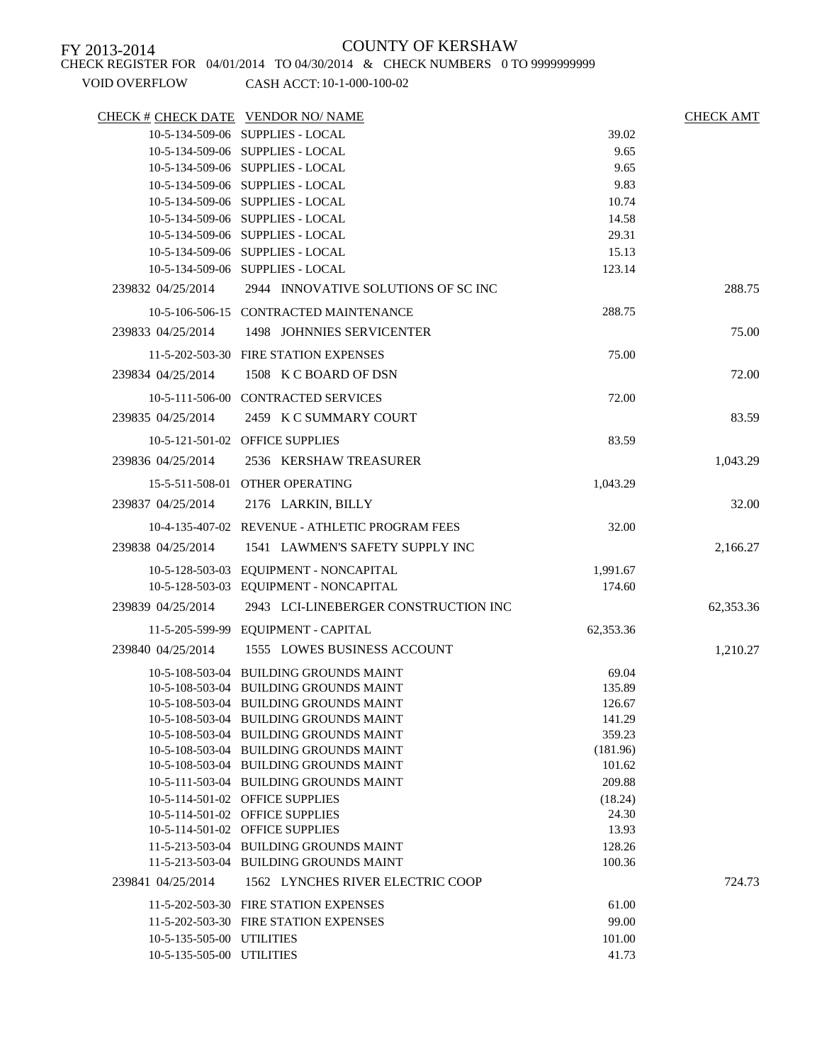### CHECK REGISTER FOR 04/01/2014 TO 04/30/2014 & CHECK NUMBERS 0 TO 9999999999

| CHECK # CHECK DATE VENDOR NO/ NAME |                                                 |           | <b>CHECK AMT</b> |
|------------------------------------|-------------------------------------------------|-----------|------------------|
|                                    | 10-5-134-509-06 SUPPLIES - LOCAL                | 39.02     |                  |
|                                    | 10-5-134-509-06 SUPPLIES - LOCAL                | 9.65      |                  |
|                                    | 10-5-134-509-06 SUPPLIES - LOCAL                | 9.65      |                  |
|                                    | 10-5-134-509-06 SUPPLIES - LOCAL                | 9.83      |                  |
|                                    | 10-5-134-509-06 SUPPLIES - LOCAL                | 10.74     |                  |
|                                    | 10-5-134-509-06 SUPPLIES - LOCAL                | 14.58     |                  |
|                                    | 10-5-134-509-06 SUPPLIES - LOCAL                | 29.31     |                  |
|                                    | 10-5-134-509-06 SUPPLIES - LOCAL                | 15.13     |                  |
|                                    | 10-5-134-509-06 SUPPLIES - LOCAL                | 123.14    |                  |
| 239832 04/25/2014                  | 2944 INNOVATIVE SOLUTIONS OF SCINC              |           | 288.75           |
|                                    | 10-5-106-506-15 CONTRACTED MAINTENANCE          | 288.75    |                  |
| 239833 04/25/2014                  | 1498 JOHNNIES SERVICENTER                       |           | 75.00            |
|                                    | 11-5-202-503-30 FIRE STATION EXPENSES           | 75.00     |                  |
| 239834 04/25/2014                  | 1508 K C BOARD OF DSN                           |           | 72.00            |
|                                    | 10-5-111-506-00 CONTRACTED SERVICES             | 72.00     |                  |
| 239835 04/25/2014                  | 2459 K C SUMMARY COURT                          |           | 83.59            |
|                                    |                                                 |           |                  |
|                                    | 10-5-121-501-02 OFFICE SUPPLIES                 | 83.59     |                  |
| 239836 04/25/2014                  | 2536 KERSHAW TREASURER                          |           | 1,043.29         |
|                                    | 15-5-511-508-01 OTHER OPERATING                 | 1,043.29  |                  |
| 239837 04/25/2014                  | 2176 LARKIN, BILLY                              |           | 32.00            |
|                                    | 10-4-135-407-02 REVENUE - ATHLETIC PROGRAM FEES | 32.00     |                  |
| 239838 04/25/2014                  | 1541 LAWMEN'S SAFETY SUPPLY INC                 |           | 2,166.27         |
|                                    |                                                 |           |                  |
|                                    | 10-5-128-503-03 EQUIPMENT - NONCAPITAL          | 1,991.67  |                  |
|                                    | 10-5-128-503-03 EQUIPMENT - NONCAPITAL          | 174.60    |                  |
| 239839 04/25/2014                  | 2943 LCI-LINEBERGER CONSTRUCTION INC            |           | 62,353.36        |
|                                    | 11-5-205-599-99 EQUIPMENT - CAPITAL             | 62,353.36 |                  |
| 239840 04/25/2014                  | 1555 LOWES BUSINESS ACCOUNT                     |           | 1,210.27         |
|                                    | 10-5-108-503-04 BUILDING GROUNDS MAINT          | 69.04     |                  |
|                                    | 10-5-108-503-04 BUILDING GROUNDS MAINT          | 135.89    |                  |
|                                    | 10-5-108-503-04 BUILDING GROUNDS MAINT          | 126.67    |                  |
|                                    | 10-5-108-503-04 BUILDING GROUNDS MAINT          | 141.29    |                  |
|                                    | 10-5-108-503-04 BUILDING GROUNDS MAINT          | 359.23    |                  |
|                                    | 10-5-108-503-04 BUILDING GROUNDS MAINT          | (181.96)  |                  |
|                                    | 10-5-108-503-04 BUILDING GROUNDS MAINT          | 101.62    |                  |
|                                    | 10-5-111-503-04 BUILDING GROUNDS MAINT          | 209.88    |                  |
|                                    | 10-5-114-501-02 OFFICE SUPPLIES                 | (18.24)   |                  |
|                                    | 10-5-114-501-02 OFFICE SUPPLIES                 | 24.30     |                  |
|                                    | 10-5-114-501-02 OFFICE SUPPLIES                 | 13.93     |                  |
|                                    | 11-5-213-503-04 BUILDING GROUNDS MAINT          | 128.26    |                  |
|                                    | 11-5-213-503-04 BUILDING GROUNDS MAINT          | 100.36    |                  |
| 239841 04/25/2014                  | 1562 LYNCHES RIVER ELECTRIC COOP                |           | 724.73           |
|                                    | 11-5-202-503-30 FIRE STATION EXPENSES           | 61.00     |                  |
|                                    | 11-5-202-503-30 FIRE STATION EXPENSES           | 99.00     |                  |
| 10-5-135-505-00 UTILITIES          |                                                 | 101.00    |                  |
| 10-5-135-505-00 UTILITIES          |                                                 | 41.73     |                  |
|                                    |                                                 |           |                  |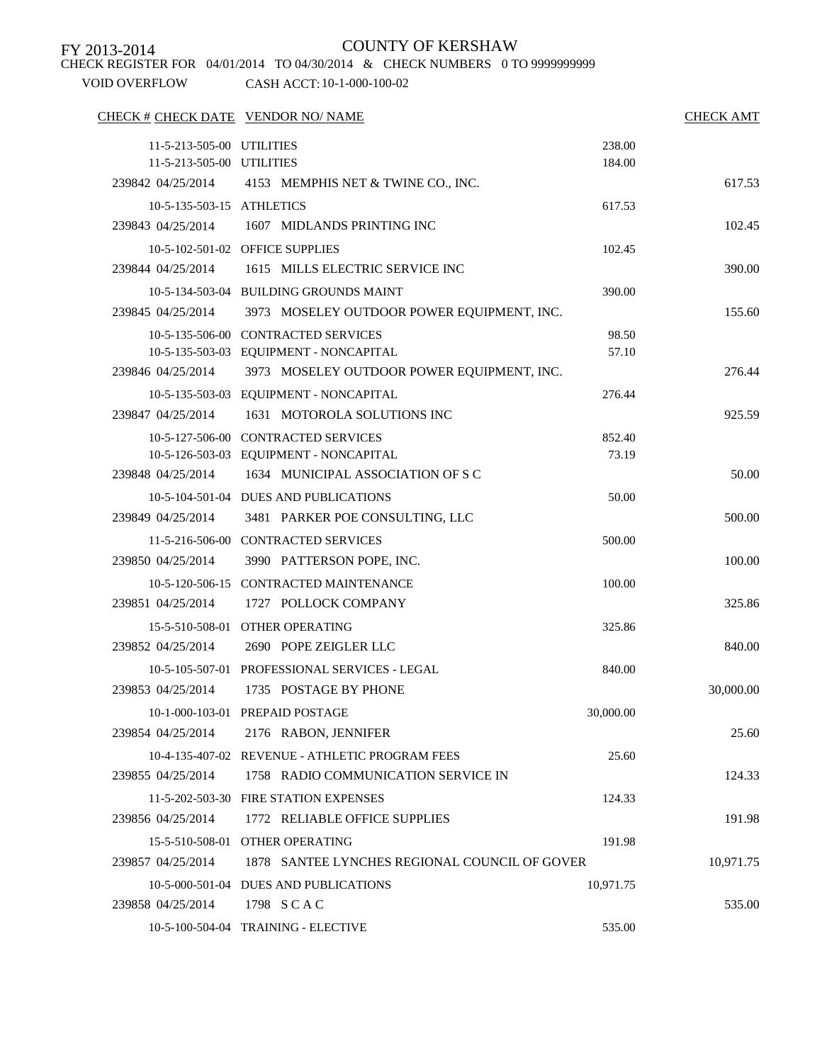CHECK REGISTER FOR 04/01/2014 TO 04/30/2014 & CHECK NUMBERS 0 TO 9999999999

| CHECK # CHECK DATE VENDOR NO/ NAME |                                                      |           | <b>CHECK AMT</b> |
|------------------------------------|------------------------------------------------------|-----------|------------------|
| 11-5-213-505-00 UTILITIES          |                                                      | 238.00    |                  |
| 11-5-213-505-00 UTILITIES          |                                                      | 184.00    |                  |
|                                    | 239842 04/25/2014 4153 MEMPHIS NET & TWINE CO., INC. |           | 617.53           |
| 10-5-135-503-15 ATHLETICS          |                                                      | 617.53    |                  |
| 239843 04/25/2014                  | 1607 MIDLANDS PRINTING INC                           |           | 102.45           |
|                                    | 10-5-102-501-02 OFFICE SUPPLIES                      | 102.45    |                  |
| 239844 04/25/2014                  | 1615 MILLS ELECTRIC SERVICE INC                      |           | 390.00           |
|                                    | 10-5-134-503-04 BUILDING GROUNDS MAINT               | 390.00    |                  |
| 239845 04/25/2014                  | 3973 MOSELEY OUTDOOR POWER EQUIPMENT, INC.           |           | 155.60           |
|                                    | 10-5-135-506-00 CONTRACTED SERVICES                  | 98.50     |                  |
|                                    | 10-5-135-503-03 EQUIPMENT - NONCAPITAL               | 57.10     |                  |
| 239846 04/25/2014                  | 3973 MOSELEY OUTDOOR POWER EQUIPMENT, INC.           |           | 276.44           |
|                                    | 10-5-135-503-03 EQUIPMENT - NONCAPITAL               | 276.44    |                  |
| 239847 04/25/2014                  | 1631 MOTOROLA SOLUTIONS INC                          |           | 925.59           |
|                                    | 10-5-127-506-00 CONTRACTED SERVICES                  | 852.40    |                  |
|                                    | 10-5-126-503-03 EQUIPMENT - NONCAPITAL               | 73.19     |                  |
| 239848 04/25/2014                  | 1634 MUNICIPAL ASSOCIATION OF S C                    |           | 50.00            |
|                                    | 10-5-104-501-04 DUES AND PUBLICATIONS                | 50.00     |                  |
| 239849 04/25/2014                  | 3481 PARKER POE CONSULTING, LLC                      |           | 500.00           |
|                                    | 11-5-216-506-00 CONTRACTED SERVICES                  | 500.00    |                  |
| 239850 04/25/2014                  | 3990 PATTERSON POPE, INC.                            |           | 100.00           |
|                                    | 10-5-120-506-15 CONTRACTED MAINTENANCE               | 100.00    |                  |
| 239851 04/25/2014                  | 1727 POLLOCK COMPANY                                 |           | 325.86           |
|                                    | 15-5-510-508-01 OTHER OPERATING                      | 325.86    |                  |
| 239852 04/25/2014                  | 2690 POPE ZEIGLER LLC                                |           | 840.00           |
|                                    | 10-5-105-507-01 PROFESSIONAL SERVICES - LEGAL        | 840.00    |                  |
| 239853 04/25/2014                  | 1735 POSTAGE BY PHONE                                |           | 30,000.00        |
|                                    | 10-1-000-103-01 PREPAID POSTAGE                      | 30,000.00 |                  |
| 239854 04/25/2014                  | 2176 RABON, JENNIFER                                 |           | 25.60            |
|                                    | 10-4-135-407-02 REVENUE - ATHLETIC PROGRAM FEES      | 25.60     |                  |
| 239855 04/25/2014                  | 1758 RADIO COMMUNICATION SERVICE IN                  |           | 124.33           |
|                                    | 11-5-202-503-30 FIRE STATION EXPENSES                | 124.33    |                  |
| 239856 04/25/2014                  | 1772 RELIABLE OFFICE SUPPLIES                        |           | 191.98           |
|                                    | 15-5-510-508-01 OTHER OPERATING                      | 191.98    |                  |
| 239857 04/25/2014                  | 1878 SANTEE LYNCHES REGIONAL COUNCIL OF GOVER        |           | 10,971.75        |
|                                    | 10-5-000-501-04 DUES AND PUBLICATIONS                | 10,971.75 |                  |
| 239858 04/25/2014                  | 1798 SCAC                                            |           | 535.00           |
|                                    | 10-5-100-504-04 TRAINING - ELECTIVE                  | 535.00    |                  |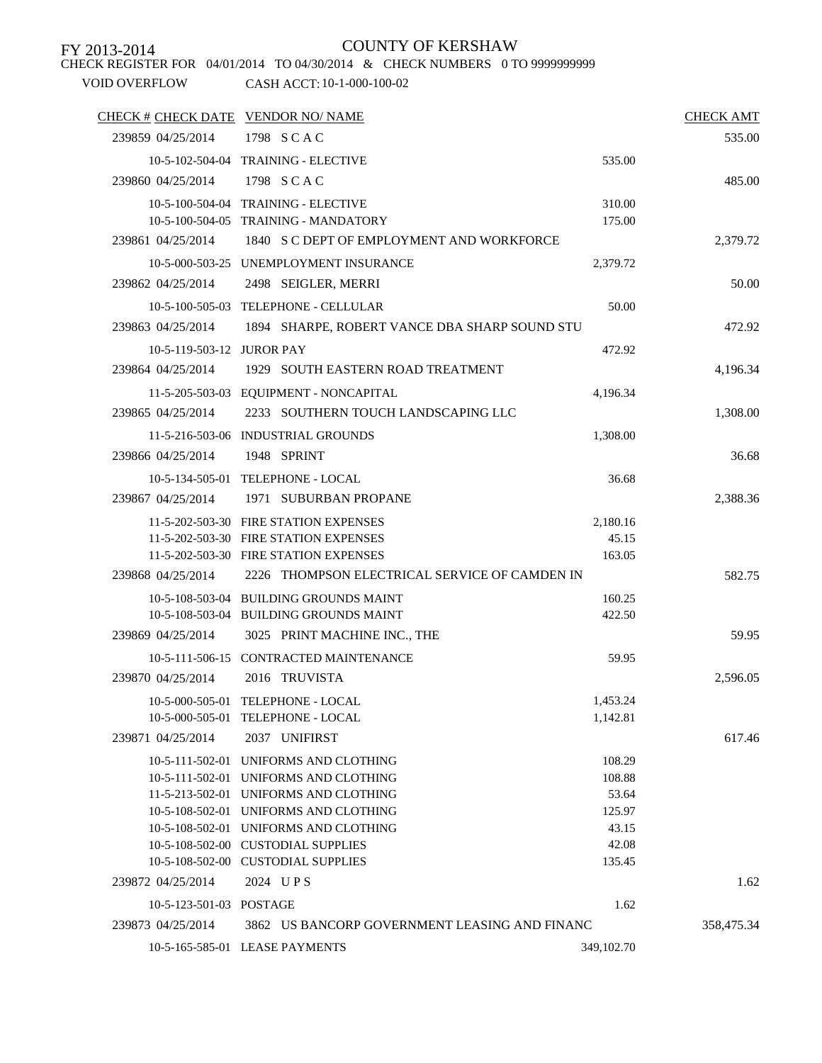CHECK REGISTER FOR 04/01/2014 TO 04/30/2014 & CHECK NUMBERS 0 TO 9999999999

| CHECK # CHECK DATE VENDOR NO/ NAME |                                                                                |                      | <b>CHECK AMT</b> |
|------------------------------------|--------------------------------------------------------------------------------|----------------------|------------------|
| 239859 04/25/2014                  | 1798 SCAC                                                                      |                      | 535.00           |
|                                    | 10-5-102-504-04 TRAINING - ELECTIVE                                            | 535.00               |                  |
| 239860 04/25/2014                  | 1798 SCAC                                                                      |                      | 485.00           |
|                                    | 10-5-100-504-04 TRAINING - ELECTIVE                                            | 310.00               |                  |
|                                    | 10-5-100-504-05 TRAINING - MANDATORY                                           | 175.00               |                  |
| 239861 04/25/2014                  | 1840 S C DEPT OF EMPLOYMENT AND WORKFORCE                                      |                      | 2,379.72         |
|                                    | 10-5-000-503-25 UNEMPLOYMENT INSURANCE                                         | 2,379.72             |                  |
| 239862 04/25/2014                  | 2498 SEIGLER, MERRI                                                            |                      | 50.00            |
|                                    | 10-5-100-505-03 TELEPHONE - CELLULAR                                           | 50.00                |                  |
| 239863 04/25/2014                  | 1894 SHARPE, ROBERT VANCE DBA SHARP SOUND STU                                  |                      | 472.92           |
| 10-5-119-503-12 JUROR PAY          |                                                                                | 472.92               |                  |
| 239864 04/25/2014                  | 1929 SOUTH EASTERN ROAD TREATMENT                                              |                      | 4,196.34         |
|                                    | 11-5-205-503-03 EQUIPMENT - NONCAPITAL                                         | 4,196.34             |                  |
| 239865 04/25/2014                  | 2233 SOUTHERN TOUCH LANDSCAPING LLC                                            |                      | 1,308.00         |
|                                    |                                                                                |                      |                  |
|                                    | 11-5-216-503-06 INDUSTRIAL GROUNDS                                             | 1,308.00             |                  |
| 239866 04/25/2014                  | 1948 SPRINT                                                                    |                      | 36.68            |
|                                    | 10-5-134-505-01 TELEPHONE - LOCAL                                              | 36.68                |                  |
| 239867 04/25/2014                  | 1971 SUBURBAN PROPANE                                                          |                      | 2,388.36         |
|                                    | 11-5-202-503-30 FIRE STATION EXPENSES                                          | 2,180.16             |                  |
|                                    | 11-5-202-503-30 FIRE STATION EXPENSES<br>11-5-202-503-30 FIRE STATION EXPENSES | 45.15<br>163.05      |                  |
| 239868 04/25/2014                  | 2226 THOMPSON ELECTRICAL SERVICE OF CAMDEN IN                                  |                      | 582.75           |
|                                    | 10-5-108-503-04 BUILDING GROUNDS MAINT                                         | 160.25               |                  |
|                                    | 10-5-108-503-04 BUILDING GROUNDS MAINT                                         | 422.50               |                  |
| 239869 04/25/2014                  | 3025 PRINT MACHINE INC., THE                                                   |                      | 59.95            |
|                                    | 10-5-111-506-15 CONTRACTED MAINTENANCE                                         | 59.95                |                  |
| 239870 04/25/2014                  | 2016 TRUVISTA                                                                  |                      | 2,596.05         |
|                                    |                                                                                |                      |                  |
|                                    | 10-5-000-505-01 TELEPHONE - LOCAL<br>10-5-000-505-01 TELEPHONE - LOCAL         | 1,453.24<br>1,142.81 |                  |
| 239871 04/25/2014                  | 2037 UNIFIRST                                                                  |                      | 617.46           |
|                                    | 10-5-111-502-01 UNIFORMS AND CLOTHING                                          | 108.29               |                  |
|                                    | 10-5-111-502-01 UNIFORMS AND CLOTHING                                          | 108.88               |                  |
|                                    | 11-5-213-502-01 UNIFORMS AND CLOTHING                                          | 53.64                |                  |
|                                    | 10-5-108-502-01 UNIFORMS AND CLOTHING                                          | 125.97               |                  |
|                                    | 10-5-108-502-01 UNIFORMS AND CLOTHING                                          | 43.15                |                  |
|                                    | 10-5-108-502-00 CUSTODIAL SUPPLIES                                             | 42.08<br>135.45      |                  |
|                                    | 10-5-108-502-00 CUSTODIAL SUPPLIES                                             |                      |                  |
| 239872 04/25/2014                  | 2024 UPS                                                                       |                      | 1.62             |
| 10-5-123-501-03 POSTAGE            |                                                                                | 1.62                 |                  |
| 239873 04/25/2014                  | 3862 US BANCORP GOVERNMENT LEASING AND FINANC                                  |                      | 358,475.34       |
|                                    | 10-5-165-585-01 LEASE PAYMENTS                                                 | 349,102.70           |                  |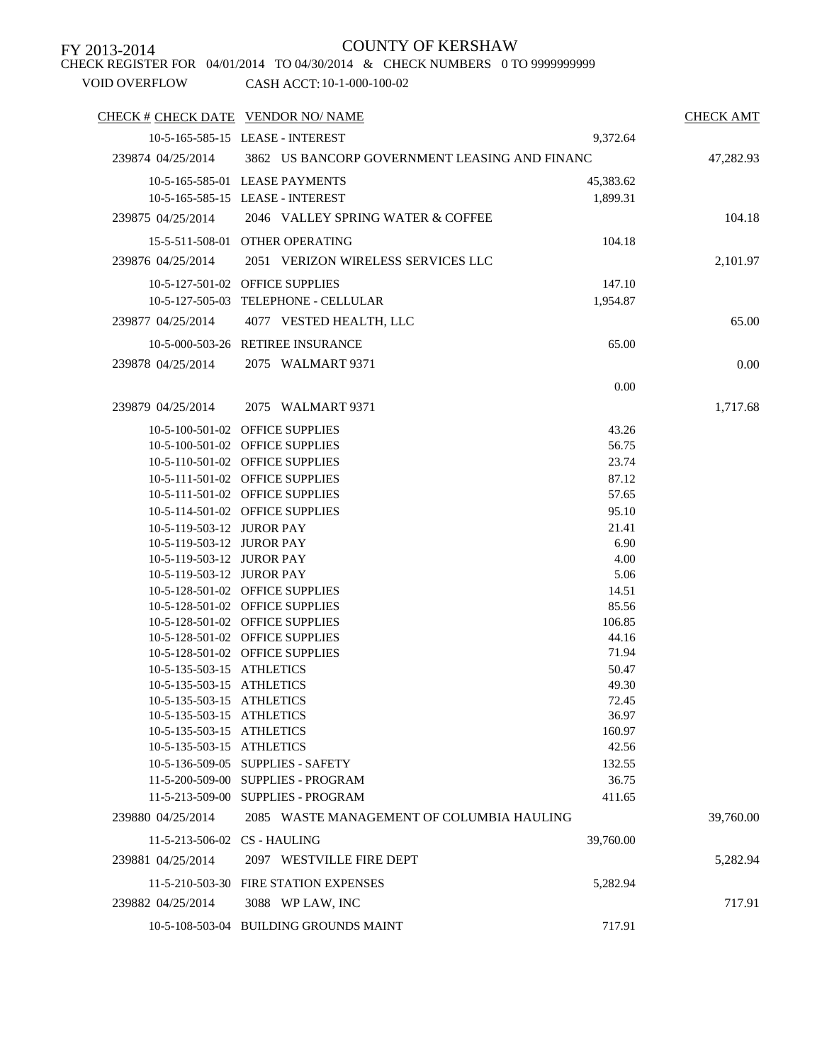VOID OVERFLOW CASH ACCT: 10-1-000-100-02 CHECK REGISTER FOR 04/01/2014 TO 04/30/2014 & CHECK NUMBERS 0 TO 9999999999

| CHECK # CHECK DATE VENDOR NO/ NAME                     |                                                                    |                | <b>CHECK AMT</b> |
|--------------------------------------------------------|--------------------------------------------------------------------|----------------|------------------|
|                                                        | 10-5-165-585-15 LEASE - INTEREST                                   | 9,372.64       |                  |
| 239874 04/25/2014                                      | 3862 US BANCORP GOVERNMENT LEASING AND FINANC                      |                | 47,282.93        |
|                                                        | 10-5-165-585-01 LEASE PAYMENTS                                     | 45,383.62      |                  |
|                                                        | 10-5-165-585-15 LEASE - INTEREST                                   | 1,899.31       |                  |
| 239875 04/25/2014                                      | 2046 VALLEY SPRING WATER & COFFEE                                  |                | 104.18           |
|                                                        | 15-5-511-508-01 OTHER OPERATING                                    | 104.18         |                  |
| 239876 04/25/2014                                      | 2051 VERIZON WIRELESS SERVICES LLC                                 |                | 2,101.97         |
|                                                        | 10-5-127-501-02 OFFICE SUPPLIES                                    | 147.10         |                  |
|                                                        | 10-5-127-505-03 TELEPHONE - CELLULAR                               |                |                  |
|                                                        |                                                                    | 1,954.87       |                  |
| 239877 04/25/2014                                      | 4077 VESTED HEALTH, LLC                                            |                | 65.00            |
|                                                        | 10-5-000-503-26 RETIREE INSURANCE                                  | 65.00          |                  |
| 239878 04/25/2014                                      | 2075 WALMART 9371                                                  |                | 0.00             |
|                                                        |                                                                    | 0.00           |                  |
| 239879 04/25/2014                                      | 2075 WALMART 9371                                                  |                | 1,717.68         |
|                                                        |                                                                    |                |                  |
|                                                        | 10-5-100-501-02 OFFICE SUPPLIES                                    | 43.26          |                  |
|                                                        | 10-5-100-501-02 OFFICE SUPPLIES                                    | 56.75          |                  |
|                                                        | 10-5-110-501-02 OFFICE SUPPLIES                                    | 23.74          |                  |
|                                                        | 10-5-111-501-02 OFFICE SUPPLIES<br>10-5-111-501-02 OFFICE SUPPLIES | 87.12<br>57.65 |                  |
|                                                        |                                                                    |                |                  |
|                                                        | 10-5-114-501-02 OFFICE SUPPLIES                                    | 95.10          |                  |
| 10-5-119-503-12 JUROR PAY<br>10-5-119-503-12 JUROR PAY |                                                                    | 21.41<br>6.90  |                  |
| 10-5-119-503-12 JUROR PAY                              |                                                                    | 4.00           |                  |
| 10-5-119-503-12 JUROR PAY                              |                                                                    | 5.06           |                  |
|                                                        | 10-5-128-501-02 OFFICE SUPPLIES                                    | 14.51          |                  |
|                                                        | 10-5-128-501-02 OFFICE SUPPLIES                                    | 85.56          |                  |
|                                                        | 10-5-128-501-02 OFFICE SUPPLIES                                    | 106.85         |                  |
|                                                        | 10-5-128-501-02 OFFICE SUPPLIES                                    | 44.16          |                  |
|                                                        | 10-5-128-501-02 OFFICE SUPPLIES                                    | 71.94          |                  |
| 10-5-135-503-15 ATHLETICS                              |                                                                    | 50.47          |                  |
| 10-5-135-503-15 ATHLETICS                              |                                                                    | 49.30          |                  |
| 10-5-135-503-15 ATHLETICS                              |                                                                    | 72.45          |                  |
| 10-5-135-503-15 ATHLETICS                              |                                                                    | 36.97          |                  |
| 10-5-135-503-15 ATHLETICS                              |                                                                    | 160.97         |                  |
| 10-5-135-503-15 ATHLETICS                              |                                                                    | 42.56          |                  |
|                                                        | 10-5-136-509-05 SUPPLIES - SAFETY                                  | 132.55         |                  |
|                                                        | 11-5-200-509-00 SUPPLIES - PROGRAM                                 | 36.75          |                  |
|                                                        | 11-5-213-509-00 SUPPLIES - PROGRAM                                 | 411.65         |                  |
| 239880 04/25/2014                                      | 2085 WASTE MANAGEMENT OF COLUMBIA HAULING                          |                | 39,760.00        |
| 11-5-213-506-02 CS - HAULING                           |                                                                    | 39,760.00      |                  |
| 239881 04/25/2014                                      | 2097 WESTVILLE FIRE DEPT                                           |                | 5,282.94         |
|                                                        | 11-5-210-503-30 FIRE STATION EXPENSES                              | 5,282.94       |                  |
| 239882 04/25/2014                                      | 3088 WP LAW, INC                                                   |                | 717.91           |
|                                                        | 10-5-108-503-04 BUILDING GROUNDS MAINT                             | 717.91         |                  |